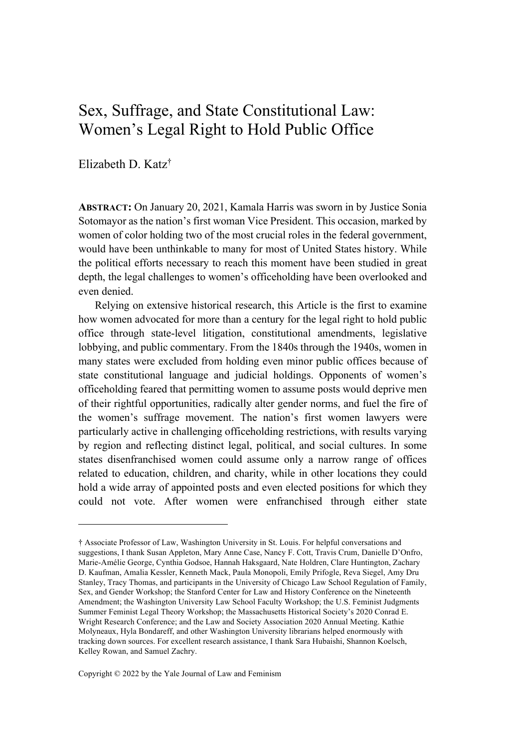# Sex, Suffrage, and State Constitutional Law: Women's Legal Right to Hold Public Office

Elizabeth D. Katz†

**ABSTRACT:** On January 20, 2021, Kamala Harris was sworn in by Justice Sonia Sotomayor as the nation's first woman Vice President. This occasion, marked by women of color holding two of the most crucial roles in the federal government, would have been unthinkable to many for most of United States history. While the political efforts necessary to reach this moment have been studied in great depth, the legal challenges to women's officeholding have been overlooked and even denied.

Relying on extensive historical research, this Article is the first to examine how women advocated for more than a century for the legal right to hold public office through state-level litigation, constitutional amendments, legislative lobbying, and public commentary. From the 1840s through the 1940s, women in many states were excluded from holding even minor public offices because of state constitutional language and judicial holdings. Opponents of women's officeholding feared that permitting women to assume posts would deprive men of their rightful opportunities, radically alter gender norms, and fuel the fire of the women's suffrage movement. The nation's first women lawyers were particularly active in challenging officeholding restrictions, with results varying by region and reflecting distinct legal, political, and social cultures. In some states disenfranchised women could assume only a narrow range of offices related to education, children, and charity, while in other locations they could hold a wide array of appointed posts and even elected positions for which they could not vote. After women were enfranchised through either state

Copyright © 2022 by the Yale Journal of Law and Feminism

<sup>†</sup> Associate Professor of Law, Washington University in St. Louis. For helpful conversations and suggestions, I thank Susan Appleton, Mary Anne Case, Nancy F. Cott, Travis Crum, Danielle D'Onfro, Marie-Amélie George, Cynthia Godsoe, Hannah Haksgaard, Nate Holdren, Clare Huntington, Zachary D. Kaufman, Amalia Kessler, Kenneth Mack, Paula Monopoli, Emily Prifogle, Reva Siegel, Amy Dru Stanley, Tracy Thomas, and participants in the University of Chicago Law School Regulation of Family, Sex, and Gender Workshop; the Stanford Center for Law and History Conference on the Nineteenth Amendment; the Washington University Law School Faculty Workshop; the U.S. Feminist Judgments Summer Feminist Legal Theory Workshop; the Massachusetts Historical Society's 2020 Conrad E. Wright Research Conference; and the Law and Society Association 2020 Annual Meeting. Kathie Molyneaux, Hyla Bondareff, and other Washington University librarians helped enormously with tracking down sources. For excellent research assistance, I thank Sara Hubaishi, Shannon Koelsch, Kelley Rowan, and Samuel Zachry.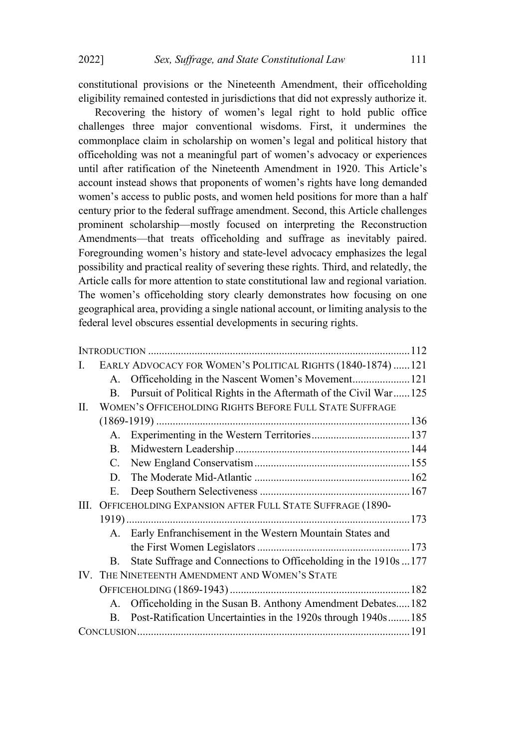constitutional provisions or the Nineteenth Amendment, their officeholding eligibility remained contested in jurisdictions that did not expressly authorize it.

Recovering the history of women's legal right to hold public office challenges three major conventional wisdoms. First, it undermines the commonplace claim in scholarship on women's legal and political history that officeholding was not a meaningful part of women's advocacy or experiences until after ratification of the Nineteenth Amendment in 1920. This Article's account instead shows that proponents of women's rights have long demanded women's access to public posts, and women held positions for more than a half century prior to the federal suffrage amendment. Second, this Article challenges prominent scholarship—mostly focused on interpreting the Reconstruction Amendments—that treats officeholding and suffrage as inevitably paired. Foregrounding women's history and state-level advocacy emphasizes the legal possibility and practical reality of severing these rights. Third, and relatedly, the Article calls for more attention to state constitutional law and regional variation. The women's officeholding story clearly demonstrates how focusing on one geographical area, providing a single national account, or limiting analysis to the federal level obscures essential developments in securing rights.

| L. |                                                | EARLY ADVOCACY FOR WOMEN'S POLITICAL RIGHTS (1840-1874)  121      |  |
|----|------------------------------------------------|-------------------------------------------------------------------|--|
|    |                                                | A. Officeholding in the Nascent Women's Movement 121              |  |
|    | В.                                             | Pursuit of Political Rights in the Aftermath of the Civil War 125 |  |
| П. |                                                | WOMEN'S OFFICEHOLDING RIGHTS BEFORE FULL STATE SUFFRAGE           |  |
|    |                                                |                                                                   |  |
|    |                                                |                                                                   |  |
|    | B.                                             |                                                                   |  |
|    |                                                |                                                                   |  |
|    | D.                                             |                                                                   |  |
|    | Е.                                             |                                                                   |  |
| Ш. |                                                | OFFICEHOLDING EXPANSION AFTER FULL STATE SUFFRAGE (1890-          |  |
|    |                                                |                                                                   |  |
|    |                                                | A. Early Enfranchisement in the Western Mountain States and       |  |
|    |                                                |                                                                   |  |
|    | B.                                             | State Suffrage and Connections to Officeholding in the 1910s  177 |  |
|    | IV. THE NINETEENTH AMENDMENT AND WOMEN'S STATE |                                                                   |  |
|    |                                                |                                                                   |  |
|    |                                                | A. Officeholding in the Susan B. Anthony Amendment Debates182     |  |
|    | $\mathbf{B}$ .                                 | Post-Ratification Uncertainties in the 1920s through 1940s185     |  |
|    |                                                |                                                                   |  |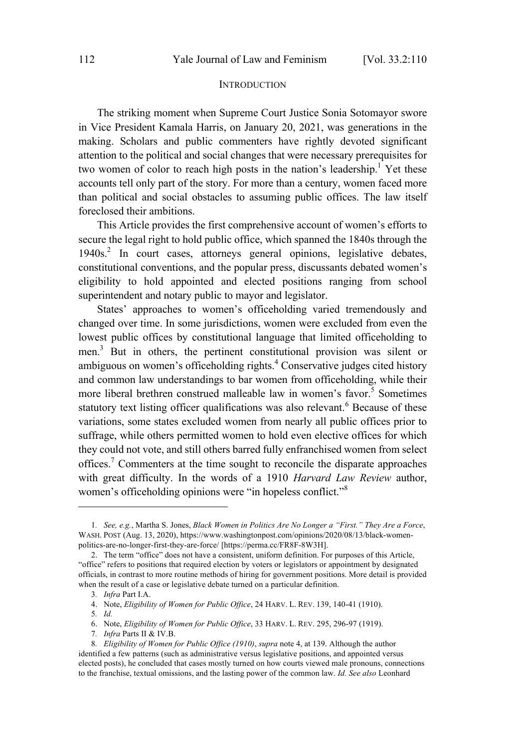#### **INTRODUCTION**

The striking moment when Supreme Court Justice Sonia Sotomayor swore in Vice President Kamala Harris, on January 20, 2021, was generations in the making. Scholars and public commenters have rightly devoted significant attention to the political and social changes that were necessary prerequisites for two women of color to reach high posts in the nation's leadership.<sup>1</sup> Yet these accounts tell only part of the story. For more than a century, women faced more than political and social obstacles to assuming public offices. The law itself foreclosed their ambitions.

This Article provides the first comprehensive account of women's efforts to secure the legal right to hold public office, which spanned the 1840s through the 1940s. 2 In court cases, attorneys general opinions, legislative debates, constitutional conventions, and the popular press, discussants debated women's eligibility to hold appointed and elected positions ranging from school superintendent and notary public to mayor and legislator.

States' approaches to women's officeholding varied tremendously and changed over time. In some jurisdictions, women were excluded from even the lowest public offices by constitutional language that limited officeholding to men.<sup>3</sup> But in others, the pertinent constitutional provision was silent or ambiguous on women's officeholding rights.<sup>4</sup> Conservative judges cited history and common law understandings to bar women from officeholding, while their more liberal brethren construed malleable law in women's favor.<sup>5</sup> Sometimes statutory text listing officer qualifications was also relevant.<sup>6</sup> Because of these variations, some states excluded women from nearly all public offices prior to suffrage, while others permitted women to hold even elective offices for which they could not vote, and still others barred fully enfranchised women from select offices.<sup>7</sup> Commenters at the time sought to reconcile the disparate approaches with great difficulty. In the words of a 1910 *Harvard Law Review* author, women's officeholding opinions were "in hopeless conflict."<sup>8</sup>

- 6. Note, *Eligibility of Women for Public Office*, 33 HARV. L. REV. 295, 296-97 (1919).
- 7*. Infra* Parts II & IV.B.

<sup>1</sup>*. See, e.g.*, Martha S. Jones, *Black Women in Politics Are No Longer a "First." They Are a Force*, WASH. POST (Aug. 13, 2020), https://www.washingtonpost.com/opinions/2020/08/13/black-womenpolitics-are-no-longer-first-they-are-force/ [https://perma.cc/FR8F-8W3H].

<sup>2.</sup> The term "office" does not have a consistent, uniform definition. For purposes of this Article, "office" refers to positions that required election by voters or legislators or appointment by designated officials, in contrast to more routine methods of hiring for government positions. More detail is provided when the result of a case or legislative debate turned on a particular definition.

<sup>3</sup>*. Infra* Part I.A.

<sup>4.</sup> Note, *Eligibility of Women for Public Office*, 24 HARV. L. REV. 139, 140-41 (1910).

<sup>5</sup>*. Id.*

<sup>8</sup>*. Eligibility of Women for Public Office (1910)*, *supra* note 4, at 139. Although the author identified a few patterns (such as administrative versus legislative positions, and appointed versus elected posts), he concluded that cases mostly turned on how courts viewed male pronouns, connections to the franchise, textual omissions, and the lasting power of the common law. *Id. See also* Leonhard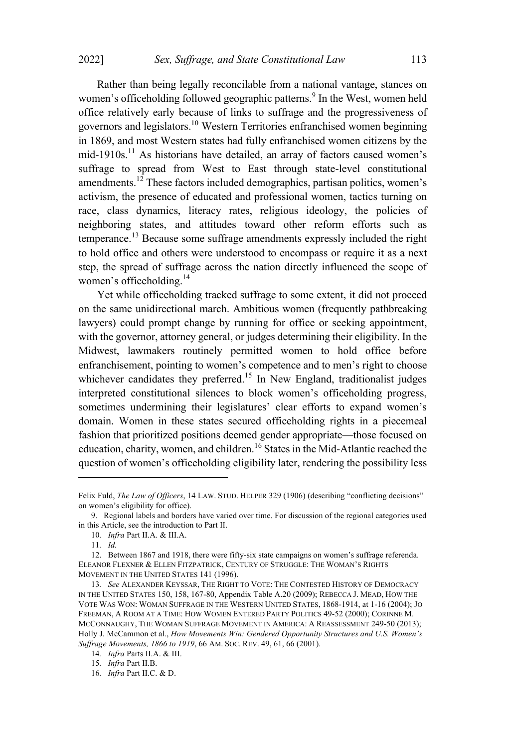Rather than being legally reconcilable from a national vantage, stances on women's officeholding followed geographic patterns.<sup>9</sup> In the West, women held office relatively early because of links to suffrage and the progressiveness of governors and legislators.<sup>10</sup> Western Territories enfranchised women beginning in 1869, and most Western states had fully enfranchised women citizens by the mid-1910s.<sup>11</sup> As historians have detailed, an array of factors caused women's suffrage to spread from West to East through state-level constitutional amendments.<sup>12</sup> These factors included demographics, partisan politics, women's activism, the presence of educated and professional women, tactics turning on race, class dynamics, literacy rates, religious ideology, the policies of neighboring states, and attitudes toward other reform efforts such as temperance.<sup>13</sup> Because some suffrage amendments expressly included the right to hold office and others were understood to encompass or require it as a next step, the spread of suffrage across the nation directly influenced the scope of women's officeholding.<sup>14</sup>

Yet while officeholding tracked suffrage to some extent, it did not proceed on the same unidirectional march. Ambitious women (frequently pathbreaking lawyers) could prompt change by running for office or seeking appointment, with the governor, attorney general, or judges determining their eligibility. In the Midwest, lawmakers routinely permitted women to hold office before enfranchisement, pointing to women's competence and to men's right to choose whichever candidates they preferred.<sup>15</sup> In New England, traditionalist judges interpreted constitutional silences to block women's officeholding progress, sometimes undermining their legislatures' clear efforts to expand women's domain. Women in these states secured officeholding rights in a piecemeal fashion that prioritized positions deemed gender appropriate—those focused on education, charity, women, and children.<sup>16</sup> States in the Mid-Atlantic reached the question of women's officeholding eligibility later, rendering the possibility less

Felix Fuld, *The Law of Officers*, 14 LAW. STUD. HELPER 329 (1906) (describing "conflicting decisions" on women's eligibility for office).

<sup>9.</sup> Regional labels and borders have varied over time. For discussion of the regional categories used in this Article, see the introduction to Part II.

<sup>10</sup>*. Infra* Part II.A. & III.A.

<sup>11</sup>*. Id.*

<sup>12.</sup> Between 1867 and 1918, there were fifty-six state campaigns on women's suffrage referenda. ELEANOR FLEXNER & ELLEN FITZPATRICK, CENTURY OF STRUGGLE: THE WOMAN'S RIGHTS MOVEMENT IN THE UNITED STATES 141 (1996).

<sup>13</sup>*. See* ALEXANDER KEYSSAR, THE RIGHT TO VOTE: THE CONTESTED HISTORY OF DEMOCRACY IN THE UNITED STATES 150, 158, 167-80, Appendix Table A.20 (2009); REBECCA J. MEAD, HOW THE VOTE WAS WON: WOMAN SUFFRAGE IN THE WESTERN UNITED STATES, 1868-1914, at 1-16 (2004); JO FREEMAN, A ROOM AT A TIME: HOW WOMEN ENTERED PARTY POLITICS 49-52 (2000); CORINNE M. MCCONNAUGHY, THE WOMAN SUFFRAGE MOVEMENT IN AMERICA: A REASSESSMENT 249-50 (2013); Holly J. McCammon et al., *How Movements Win: Gendered Opportunity Structures and U.S. Women's Suffrage Movements, 1866 to 1919*, 66 AM. SOC. REV. 49, 61, 66 (2001).

<sup>14</sup>*. Infra* Parts II.A. & III.

<sup>15</sup>*. Infra* Part II.B.

<sup>16</sup>*. Infra* Part II.C. & D.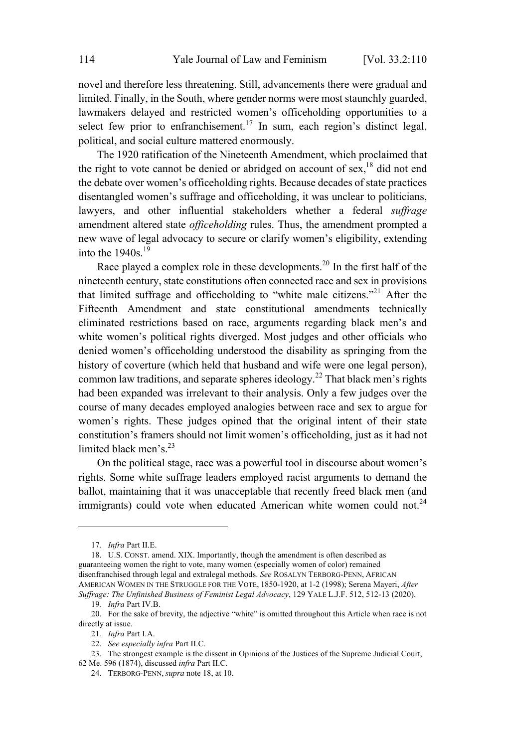novel and therefore less threatening. Still, advancements there were gradual and limited. Finally, in the South, where gender norms were most staunchly guarded, lawmakers delayed and restricted women's officeholding opportunities to a select few prior to enfranchisement.<sup>17</sup> In sum, each region's distinct legal, political, and social culture mattered enormously.

The 1920 ratification of the Nineteenth Amendment, which proclaimed that the right to vote cannot be denied or abridged on account of sex,<sup>18</sup> did not end the debate over women's officeholding rights. Because decades of state practices disentangled women's suffrage and officeholding, it was unclear to politicians, lawyers, and other influential stakeholders whether a federal *suffrage* amendment altered state *officeholding* rules. Thus, the amendment prompted a new wave of legal advocacy to secure or clarify women's eligibility, extending into the  $1940s.<sup>19</sup>$ 

Race played a complex role in these developments.<sup>20</sup> In the first half of the nineteenth century, state constitutions often connected race and sex in provisions that limited suffrage and officeholding to "white male citizens."<sup>21</sup> After the Fifteenth Amendment and state constitutional amendments technically eliminated restrictions based on race, arguments regarding black men's and white women's political rights diverged. Most judges and other officials who denied women's officeholding understood the disability as springing from the history of coverture (which held that husband and wife were one legal person), common law traditions, and separate spheres ideology.<sup>22</sup> That black men's rights had been expanded was irrelevant to their analysis. Only a few judges over the course of many decades employed analogies between race and sex to argue for women's rights. These judges opined that the original intent of their state constitution's framers should not limit women's officeholding, just as it had not limited black men's. $^{23}$ 

On the political stage, race was a powerful tool in discourse about women's rights. Some white suffrage leaders employed racist arguments to demand the ballot, maintaining that it was unacceptable that recently freed black men (and immigrants) could vote when educated American white women could not.<sup>24</sup>

<sup>17</sup>*. Infra* Part II.E.

<sup>18.</sup> U.S. CONST. amend. XIX. Importantly, though the amendment is often described as guaranteeing women the right to vote, many women (especially women of color) remained disenfranchised through legal and extralegal methods. *See* ROSALYN TERBORG-PENN, AFRICAN AMERICAN WOMEN IN THE STRUGGLE FOR THE VOTE, 1850-1920, at 1-2 (1998); Serena Mayeri, *After Suffrage: The Unfinished Business of Feminist Legal Advocacy*, 129 YALE L.J.F. 512, 512-13 (2020).

<sup>19</sup>*. Infra* Part IV.B.

<sup>20.</sup> For the sake of brevity, the adjective "white" is omitted throughout this Article when race is not directly at issue.

<sup>21</sup>*. Infra* Part I.A.

<sup>22.</sup> *See especially infra* Part II.C.

<sup>23.</sup> The strongest example is the dissent in Opinions of the Justices of the Supreme Judicial Court, 62 Me. 596 (1874), discussed *infra* Part II.C.

<sup>24.</sup> TERBORG-PENN, *supra* note 18, at 10.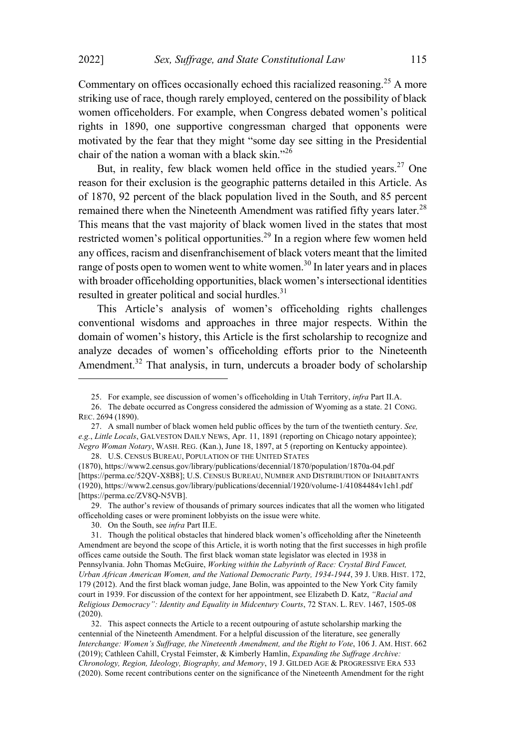Commentary on offices occasionally echoed this racialized reasoning.<sup>25</sup> A more striking use of race, though rarely employed, centered on the possibility of black women officeholders. For example, when Congress debated women's political rights in 1890, one supportive congressman charged that opponents were motivated by the fear that they might "some day see sitting in the Presidential chair of the nation <sup>a</sup> woman with <sup>a</sup> black skin."<sup>26</sup>

But, in reality, few black women held office in the studied years.<sup>27</sup> One reason for their exclusion is the geographic patterns detailed in this Article. As of 1870, 92 percent of the black population lived in the South, and 85 percent remained there when the Nineteenth Amendment was ratified fifty years later.<sup>28</sup> This means that the vast majority of black women lived in the states that most restricted women's political opportunities.<sup>29</sup> In a region where few women held any offices, racism and disenfranchisement of black voters meant that the limited range of posts open to women went to white women. <sup>30</sup> In later years and in places with broader officeholding opportunities, black women's intersectional identities resulted in greater political and social hurdles. 31

This Article's analysis of women's officeholding rights challenges conventional wisdoms and approaches in three major respects. Within the domain of women's history, this Article is the first scholarship to recognize and analyze decades of women's officeholding efforts prior to the Nineteenth Amendment.<sup>32</sup> That analysis, in turn, undercuts a broader body of scholarship

<sup>25.</sup> For example, see discussion of women's officeholding in Utah Territory, *infra* Part II.A.

<sup>26.</sup> The debate occurred as Congress considered the admission of Wyoming as a state. 21 CONG. REC. 2694 (1890).

<sup>27.</sup> A small number of black women held public offices by the turn of the twentieth century. *See, e.g.*, *Little Locals*, GALVESTON DAILY NEWS, Apr. 11, 1891 (reporting on Chicago notary appointee); *Negro Woman Notary*, WASH. REG. (Kan.), June 18, 1897, at 5 (reporting on Kentucky appointee). 28. U.S. CENSUS BUREAU, POPULATION OF THE UNITED STATES

<sup>(1870),</sup> https://www2.census.gov/library/publications/decennial/1870/population/1870a-04.pdf [https://perma.cc/52QV-X8B8]; U.S. CENSUS BUREAU, NUMBER AND DISTRIBUTION OF INHABITANTS (1920), https://www2.census.gov/library/publications/decennial/1920/volume-1/41084484v1ch1.pdf [https://perma.cc/ZV8O-N5VB].

<sup>29.</sup> The author's review of thousands of primary sources indicates that all the women who litigated officeholding cases or were prominent lobbyists on the issue were white.

<sup>30.</sup> On the South, see *infra* Part II.E.

<sup>31.</sup> Though the political obstacles that hindered black women's officeholding after the Nineteenth Amendment are beyond the scope of this Article, it is worth noting that the first successes in high profile offices came outside the South. The first black woman state legislator was elected in 1938 in Pennsylvania. John Thomas McGuire, *Working within the Labyrinth of Race: Crystal Bird Faucet, Urban African American Women, and the National Democratic Party, 1934-1944*, 39 J. URB. HIST. 172, 179 (2012). And the first black woman judge, Jane Bolin, was appointed to the New York City family court in 1939. For discussion of the context for her appointment, see Elizabeth D. Katz, *"Racial and Religious Democracy": Identity and Equality in Midcentury Courts*, 72 STAN. L. REV. 1467, 1505-08 (2020).

<sup>32.</sup> This aspect connects the Article to a recent outpouring of astute scholarship marking the centennial of the Nineteenth Amendment. For a helpful discussion of the literature, see generally *Interchange: Women's Suffrage, the Nineteenth Amendment, and the Right to Vote*, 106 J. AM. HIST. 662 (2019); Cathleen Cahill, Crystal Feimster, & Kimberly Hamlin, *Expanding the Suffrage Archive: Chronology, Region, Ideology, Biography, and Memory*, 19 J. GILDED AGE & PROGRESSIVE ERA 533 (2020). Some recent contributions center on the significance of the Nineteenth Amendment for the right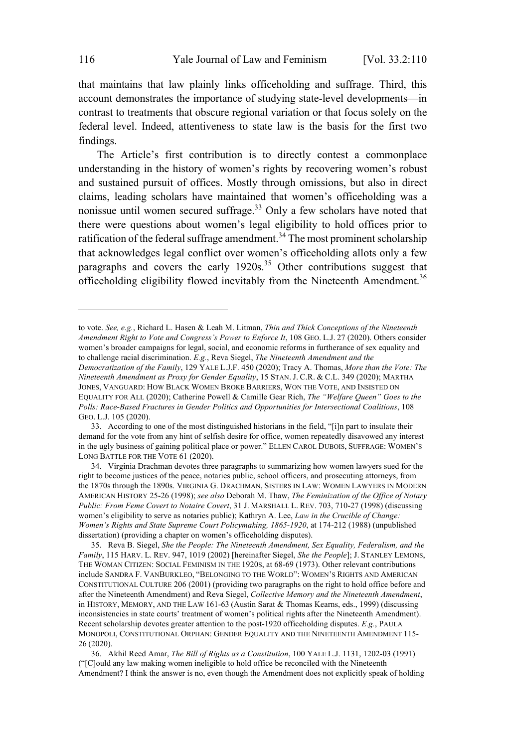that maintains that law plainly links officeholding and suffrage. Third, this account demonstrates the importance of studying state-level developments—in contrast to treatments that obscure regional variation or that focus solely on the federal level. Indeed, attentiveness to state law is the basis for the first two findings.

The Article's first contribution is to directly contest a commonplace understanding in the history of women's rights by recovering women's robust and sustained pursuit of offices. Mostly through omissions, but also in direct claims, leading scholars have maintained that women's officeholding was a nonissue until women secured suffrage.<sup>33</sup> Only a few scholars have noted that there were questions about women's legal eligibility to hold offices prior to ratification of the federal suffrage amendment.<sup>34</sup> The most prominent scholarship that acknowledges legal conflict over women's officeholding allots only a few paragraphs and covers the early  $1920s^{35}$  Other contributions suggest that officeholding eligibility flowed inevitably from the Nineteenth Amendment.<sup>36</sup>

to vote. *See, e.g.*, Richard L. Hasen & Leah M. Litman, *Thin and Thick Conceptions of the Nineteenth Amendment Right to Vote and Congress's Power to Enforce It*, 108 GEO. L.J. 27 (2020). Others consider women's broader campaigns for legal, social, and economic reforms in furtherance of sex equality and to challenge racial discrimination. *E.g.*, Reva Siegel, *The Nineteenth Amendment and the Democratization of the Family*, 129 YALE L.J.F. 450 (2020); Tracy A. Thomas, *More than the Vote: The Nineteenth Amendment as Proxy for Gender Equality*, 15 STAN. J. C.R. & C.L. 349 (2020); MARTHA JONES, VANGUARD: HOW BLACK WOMEN BROKE BARRIERS, WON THE VOTE, AND INSISTED ON EQUALITY FOR ALL (2020); Catherine Powell & Camille Gear Rich, *The "Welfare Queen" Goes to the Polls: Race-Based Fractures in Gender Politics and Opportunities for Intersectional Coalitions*, 108 GEO. L.J. 105 (2020).

<sup>33.</sup> According to one of the most distinguished historians in the field, "[i]n part to insulate their demand for the vote from any hint of selfish desire for office, women repeatedly disavowed any interest in the ugly business of gaining political place or power." ELLEN CAROL DUBOIS, SUFFRAGE: WOMEN'S LONG BATTLE FOR THE VOTE 61 (2020).

<sup>34.</sup> Virginia Drachman devotes three paragraphs to summarizing how women lawyers sued for the right to become justices of the peace, notaries public, school officers, and prosecuting attorneys, from the 1870s through the 1890s. VIRGINIA G. DRACHMAN, SISTERS IN LAW: WOMEN LAWYERS IN MODERN AMERICAN HISTORY 25-26 (1998); *see also* Deborah M. Thaw, *The Feminization of the Office of Notary Public: From Feme Covert to Notaire Covert*, 31 J. MARSHALL L. REV. 703, 710-27 (1998) (discussing women's eligibility to serve as notaries public); Kathryn A. Lee, *Law in the Crucible of Change: Women's Rights and State Supreme Court Policymaking, 1865*-*1920*, at 174-212 (1988) (unpublished dissertation) (providing a chapter on women's officeholding disputes).

<sup>35.</sup> Reva B. Siegel, *She the People: The Nineteenth Amendment, Sex Equality, Federalism, and the Family*, 115 HARV. L. REV. 947, 1019 (2002) [hereinafter Siegel, *She the People*]; J. STANLEY LEMONS, THE WOMAN CITIZEN: SOCIAL FEMINISM IN THE 1920S, at 68-69 (1973). Other relevant contributions include SANDRA F. VANBURKLEO, "BELONGING TO THE WORLD": WOMEN'S RIGHTS AND AMERICAN CONSTITUTIONAL CULTURE 206 (2001) (providing two paragraphs on the right to hold office before and after the Nineteenth Amendment) and Reva Siegel, *Collective Memory and the Nineteenth Amendment*, in HISTORY, MEMORY, AND THE LAW 161-63 (Austin Sarat & Thomas Kearns, eds., 1999) (discussing inconsistencies in state courts' treatment of women's political rights after the Nineteenth Amendment). Recent scholarship devotes greater attention to the post-1920 officeholding disputes. *E.g.*, PAULA MONOPOLI, CONSTITUTIONAL ORPHAN: GENDER EQUALITY AND THE NINETEENTH AMENDMENT 115- 26 (2020).

<sup>36.</sup> Akhil Reed Amar, *The Bill of Rights as a Constitution*, 100 YALE L.J. 1131, 1202-03 (1991) ("[C]ould any law making women ineligible to hold office be reconciled with the Nineteenth Amendment? I think the answer is no, even though the Amendment does not explicitly speak of holding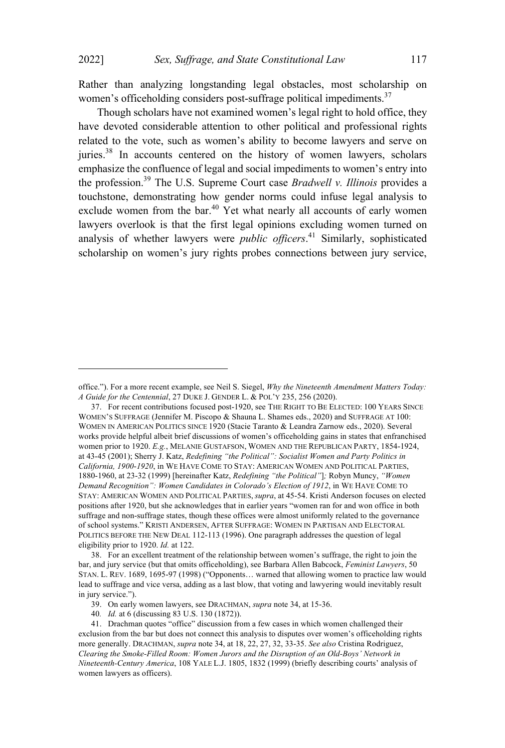Rather than analyzing longstanding legal obstacles, most scholarship on women's officeholding considers post-suffrage political impediments.<sup>37</sup>

Though scholars have not examined women's legal right to hold office, they have devoted considerable attention to other political and professional rights related to the vote, such as women's ability to become lawyers and serve on juries.<sup>38</sup> In accounts centered on the history of women lawyers, scholars emphasize the confluence of legal and social impediments to women's entry into the profession. <sup>39</sup> The U.S. Supreme Court case *Bradwell v. Illinois* provides <sup>a</sup> touchstone, demonstrating how gender norms could infuse legal analysis to exclude women from the bar.<sup>40</sup> Yet what nearly all accounts of early women lawyers overlook is that the first legal opinions excluding women turned on analysis of whether lawyers were *public officers*. <sup>41</sup> Similarly, sophisticated scholarship on women's jury rights probes connections between jury service,

38. For an excellent treatment of the relationship between women's suffrage, the right to join the bar, and jury service (but that omits officeholding), see Barbara Allen Babcock, *Feminist Lawyers*, 50 STAN. L. REV. 1689, 1695-97 (1998) ("Opponents… warned that allowing women to practice law would lead to suffrage and vice versa, adding as a last blow, that voting and lawyering would inevitably result in jury service.").

40*. Id.* at 6 (discussing 83 U.S. 130 (1872)).

office."). For a more recent example, see Neil S. Siegel, *Why the Nineteenth Amendment Matters Today: A Guide for the Centennial*, 27 DUKE J. GENDER L. & POL'<sup>Y</sup> 235, 256 (2020).

<sup>37.</sup> For recent contributions focused post-1920, see THE RIGHT TO BE ELECTED: 100 YEARS SINCE WOMEN'S SUFFRAGE (Jennifer M. Piscopo & Shauna L. Shames eds., 2020) and SUFFRAGE AT 100: WOMEN IN AMERICAN POLITICS SINCE 1920 (Stacie Taranto & Leandra Zarnow eds., 2020). Several works provide helpful albeit brief discussions of women's officeholding gains in states that enfranchised women prior to 1920. *E.g.*, MELANIE GUSTAFSON, WOMEN AND THE REPUBLICAN PARTY, 1854-1924, at 43-45 (2001); Sherry J. Katz, *Redefining "the Political": Socialist Women and Party Politics in California, 1900*-*1920*, in W<sup>E</sup> HAVE COME TO STAY: AMERICAN WOMEN AND POLITICAL PARTIES, 1880-1960, at 23-32 (1999) [hereinafter Katz, *Redefining "the Political"*]*;* Robyn Muncy, *"Women Demand Recognition": Women Candidates in Colorado's Election of 1912*, in W<sup>E</sup> HAVE COME TO STAY: AMERICAN WOMEN AND POLITICAL PARTIES, *supra*, at 45-54. Kristi Anderson focuses on elected positions after 1920, but she acknowledges that in earlier years "women ran for and won office in both suffrage and non-suffrage states, though these offices were almost uniformly related to the governance of school systems." KRISTI ANDERSEN, AFTER SUFFRAGE: WOMEN IN PARTISAN AND ELECTORAL POLITICS BEFORE THE NEW DEAL 112-113 (1996). One paragraph addresses the question of legal eligibility prior to 1920. *Id.* at 122.

<sup>39.</sup> On early women lawyers, see DRACHMAN, *supra* note 34, at 15-36.

<sup>41.</sup> Drachman quotes "office" discussion from a few cases in which women challenged their exclusion from the bar but does not connect this analysis to disputes over women's officeholding rights more generally. DRACHMAN, *supra* note 34, at 18, 22, 27, 32, 33-35. *See also* Cristina Rodriguez, *Clearing the Smoke-Filled Room: Women Jurors and the Disruption of an Old-Boys' Network in Nineteenth-Century America*, 108 YALE L.J. 1805, 1832 (1999) (briefly describing courts' analysis of women lawyers as officers).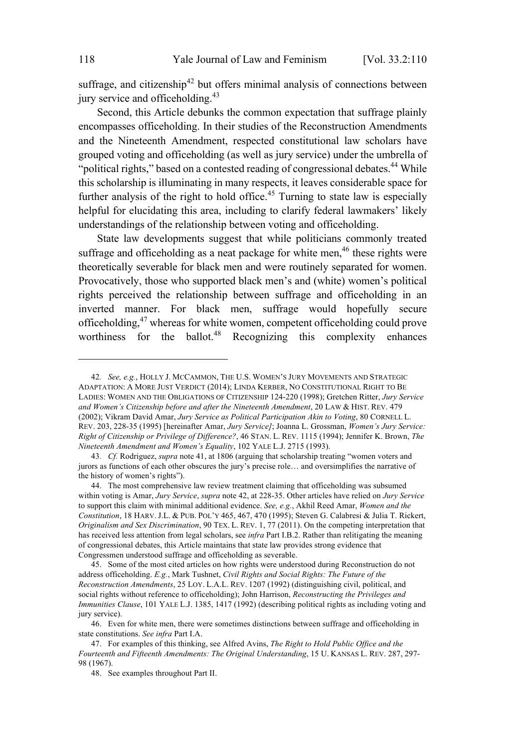suffrage, and citizenship<sup>42</sup> but offers minimal analysis of connections between jury service and officeholding.<sup>43</sup>

Second, this Article debunks the common expectation that suffrage plainly encompasses officeholding. In their studies of the Reconstruction Amendments and the Nineteenth Amendment, respected constitutional law scholars have grouped voting and officeholding (as well as jury service) under the umbrella of "political rights," based on a contested reading of congressional debates.<sup>44</sup> While this scholarship is illuminating in many respects, it leaves considerable space for further analysis of the right to hold office.<sup>45</sup> Turning to state law is especially helpful for elucidating this area, including to clarify federal lawmakers' likely understandings of the relationship between voting and officeholding.

State law developments suggest that while politicians commonly treated suffrage and officeholding as a neat package for white men,<sup>46</sup> these rights were theoretically severable for black men and were routinely separated for women. Provocatively, those who supported black men's and (white) women's political rights perceived the relationship between suffrage and officeholding in an inverted manner. For black men, suffrage would hopefully secure officeholding, <sup>47</sup> whereas for white women, competent officeholding could prove worthiness for the ballot. <sup>48</sup> Recognizing this complexity enhances

46. Even for white men, there were sometimes distinctions between suffrage and officeholding in state constitutions. *See infra* Part I.A.

<sup>42</sup>*. See, e.g.*, HOLLY J. MCCAMMON, THE U.S. WOMEN'<sup>S</sup> JURY MOVEMENTS AND STRATEGIC ADAPTATION: A MORE JUST VERDICT (2014); LINDA KERBER, NO CONSTITUTIONAL RIGHT TO BE LADIES: WOMEN AND THE OBLIGATIONS OF CITIZENSHIP 124-220 (1998); Gretchen Ritter, *Jury Service and Women's Citizenship before and after the Nineteenth Amendment*, 20 LAW & HIST. REV. 479 (2002); Vikram David Amar, *Jury Service as Political Participation Akin to Voting*, 80 CORNELL L. REV. 203, 228-35 (1995) [hereinafter Amar, *Jury Service]*; Joanna L. Grossman, *Women's Jury Service: Right of Citizenship or Privilege of Difference?*, 46 STAN. L. REV. 1115 (1994); Jennifer K. Brown, *The Nineteenth Amendment and Women's Equality*, 102 YALE L.J. 2715 (1993).

<sup>43</sup>*. Cf.* Rodriguez, *supra* note 41, at 1806 (arguing that scholarship treating "women voters and jurors as functions of each other obscures the jury's precise role… and oversimplifies the narrative of the history of women's rights").

<sup>44.</sup> The most comprehensive law review treatment claiming that officeholding was subsumed within voting is Amar, *Jury Service*, *supra* note 42, at 228-35. Other articles have relied on *Jury Service* to support this claim with minimal additional evidence. *See, e.g.*, Akhil Reed Amar, *Women and the Constitution*, 18 HARV. J.L. & PUB. POL'<sup>Y</sup> 465, 467, 470 (1995); Steven G. Calabresi & Julia T. Rickert, *Originalism and Sex Discrimination*, 90 TEX. L. REV. 1, 77 (2011). On the competing interpretation that has received less attention from legal scholars, see *infra* Part I.B.2. Rather than relitigating the meaning of congressional debates, this Article maintains that state law provides strong evidence that Congressmen understood suffrage and officeholding as severable.

<sup>45.</sup> Some of the most cited articles on how rights were understood during Reconstruction do not address officeholding. *E.g.*, Mark Tushnet, *Civil Rights and Social Rights: The Future of the Reconstruction Amendments*, 25 LOY. L.A.L. REV. 1207 (1992) (distinguishing civil, political, and social rights without reference to officeholding); John Harrison, *Reconstructing the Privileges and Immunities Clause*, 101 YALE L.J. 1385, 1417 (1992) (describing political rights as including voting and jury service).

<sup>47.</sup> For examples of this thinking, see Alfred Avins, *The Right to Hold Public Office and the Fourteenth and Fifteenth Amendments: The Original Understanding*, 15 U. KANSAS L. REV. 287, 297- 98 (1967).

<sup>48.</sup> See examples throughout Part II.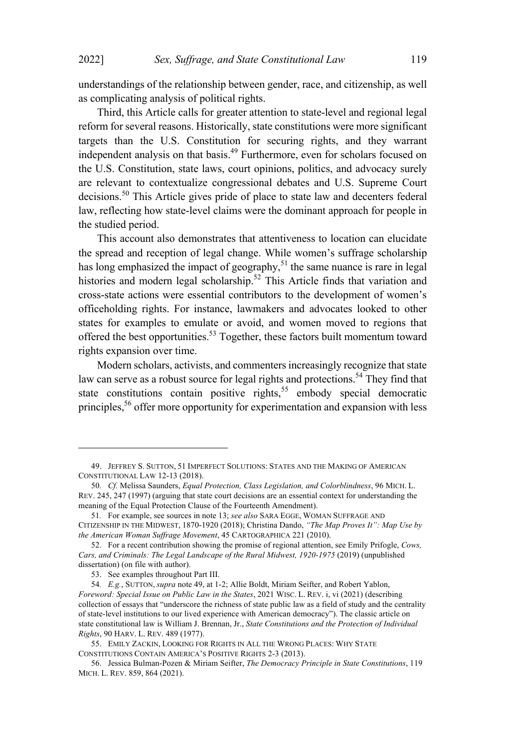understandings of the relationship between gender, race, and citizenship, as well as complicating analysis of political rights.

Third, this Article calls for greater attention to state-level and regional legal reform for several reasons. Historically, state constitutions were more significant targets than the U.S. Constitution for securing rights, and they warrant independent analysis on that basis. <sup>49</sup> Furthermore, even for scholars focused on the U.S. Constitution, state laws, court opinions, politics, and advocacy surely are relevant to contextualize congressional debates and U.S. Supreme Court decisions.<sup>50</sup> This Article gives pride of place to state law and decenters federal law, reflecting how state-level claims were the dominant approach for people in the studied period.

This account also demonstrates that attentiveness to location can elucidate the spread and reception of legal change. While women's suffrage scholarship has long emphasized the impact of geography,<sup>51</sup> the same nuance is rare in legal histories and modern legal scholarship.<sup>52</sup> This Article finds that variation and cross-state actions were essential contributors to the development of women's officeholding rights. For instance, lawmakers and advocates looked to other states for examples to emulate or avoid, and women moved to regions that offered the best opportunities.<sup>53</sup> Together, these factors built momentum toward rights expansion over time.

Modern scholars, activists, and commenters increasingly recognize that state law can serve as a robust source for legal rights and protections.<sup>54</sup> They find that state constitutions contain positive rights,<sup>55</sup> embody special democratic principles, <sup>56</sup> offer more opportunity for experimentation and expansion with less

<sup>49.</sup> JEFFREY S. SUTTON, 51 IMPERFECT SOLUTIONS: STATES AND THE MAKING OF AMERICAN CONSTITUTIONAL LAW 12-13 (2018).

<sup>50</sup>*. Cf.* Melissa Saunders, *Equal Protection, Class Legislation, and Colorblindness*, 96 MICH. L. REV. 245, 247 (1997) (arguing that state court decisions are an essential context for understanding the meaning of the Equal Protection Clause of the Fourteenth Amendment).

<sup>51</sup>*.* For example, see sources in note 13; *see also* SARA EGGE, WOMAN SUFFRAGE AND CITIZENSHIP IN THE MIDWEST, 1870-1920 (2018); Christina Dando, *"The Map Proves It": Map Use by the American Woman Suffrage Movement*, 45 CARTOGRAPHICA 221 (2010).

<sup>52.</sup> For a recent contribution showing the promise of regional attention, see Emily Prifogle, *Cows, Cars, and Criminals: The Legal Landscape of the Rural Midwest, 1920-1975* (2019) (unpublished dissertation) (on file with author).

<sup>53.</sup> See examples throughout Part III.

<sup>54</sup>*. E.g.*, SUTTON, *supra* note 49, at 1-2; Allie Boldt, Miriam Seifter, and Robert Yablon, *Foreword: Special Issue on Public Law in the States*, 2021 WISC. L. REV. i, vi (2021) (describing collection of essays that "underscore the richness of state public law as a field of study and the centrality of state-level institutions to our lived experience with American democracy"). The classic article on state constitutional law is William J. Brennan, Jr., *State Constitutions and the Protection of Individual Rights*, 90 HARV. L. REV. 489 (1977).

<sup>55.</sup> EMILY ZACKIN, LOOKING FOR RIGHTS IN ALL THE WRONG PLACES: WHY STATE CONSTITUTIONS CONTAIN AMERICA'S POSITIVE RIGHTS 2-3 (2013).

<sup>56.</sup> Jessica Bulman-Pozen & Miriam Seifter, *The Democracy Principle in State Constitutions*, 119 MICH. L. REV. 859, 864 (2021).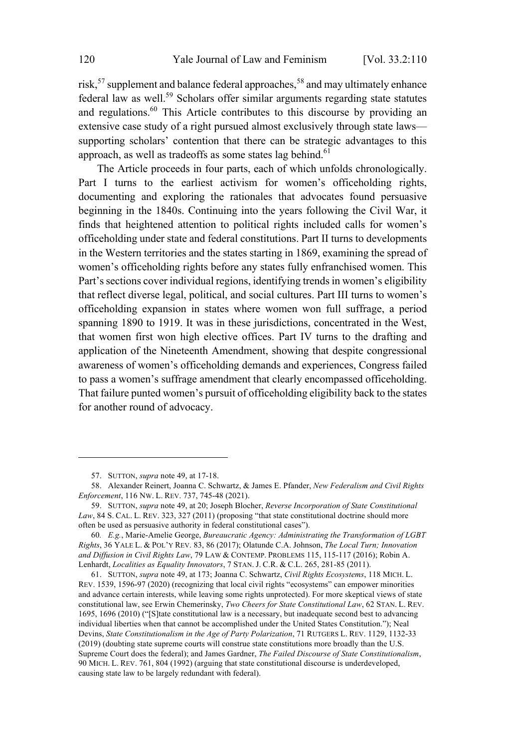risk,<sup>57</sup> supplement and balance federal approaches,<sup>58</sup> and may ultimately enhance federal law as well. <sup>59</sup> Scholars offer similar arguments regarding state statutes and regulations.<sup>60</sup> This Article contributes to this discourse by providing an extensive case study of a right pursued almost exclusively through state laws supporting scholars' contention that there can be strategic advantages to this approach, as well as tradeoffs as some states lag behind. $61$ 

The Article proceeds in four parts, each of which unfolds chronologically. Part I turns to the earliest activism for women's officeholding rights, documenting and exploring the rationales that advocates found persuasive beginning in the 1840s. Continuing into the years following the Civil War, it finds that heightened attention to political rights included calls for women's officeholding under state and federal constitutions. Part II turns to developments in the Western territories and the states starting in 1869, examining the spread of women's officeholding rights before any states fully enfranchised women. This Part's sections cover individual regions, identifying trends in women's eligibility that reflect diverse legal, political, and social cultures. Part III turns to women's officeholding expansion in states where women won full suffrage, a period spanning 1890 to 1919. It was in these jurisdictions, concentrated in the West, that women first won high elective offices. Part IV turns to the drafting and application of the Nineteenth Amendment, showing that despite congressional awareness of women's officeholding demands and experiences, Congress failed to pass a women's suffrage amendment that clearly encompassed officeholding. That failure punted women's pursuit of officeholding eligibility back to the states for another round of advocacy.

<sup>57.</sup> SUTTON, *supra* note 49, at 17-18.

<sup>58.</sup> Alexander Reinert, Joanna C. Schwartz, & James E. Pfander, *New Federalism and Civil Rights Enforcement*, 116 NW. L. REV. 737, 745-48 (2021).

<sup>59.</sup> SUTTON, *supra* note 49, at 20; Joseph Blocher, *Reverse Incorporation of State Constitutional* Law, 84 S. CAL. L. REV. 323, 327 (2011) (proposing "that state constitutional doctrine should more often be used as persuasive authority in federal constitutional cases").

<sup>60</sup>*. E.g.*, Marie-Amelie George, *Bureaucratic Agency: Administrating the Transformation of LGBT Rights*, 36 YALE L. & POL'<sup>Y</sup> REV. 83, 86 (2017); Olatunde C.A. Johnson, *The Local Turn; Innovation and Diffusion in Civil Rights Law*, 79 LAW & CONTEMP. PROBLEMS 115, 115-117 (2016); Robin A. Lenhardt, *Localities as Equality Innovators*, 7 STAN. J. C.R. & C.L. 265, 281-85 (2011).

<sup>61.</sup> SUTTON, *supra* note 49, at 173; Joanna C. Schwartz, *Civil Rights Ecosystems*, 118 MICH. L. REV. 1539, 1596-97 (2020) (recognizing that local civil rights "ecosystems" can empower minorities and advance certain interests, while leaving some rights unprotected). For more skeptical views of state constitutional law, see Erwin Chemerinsky, *Two Cheers for State Constitutional Law*, 62 STAN. L. REV. 1695, 1696 (2010) ("[S]tate constitutional law is a necessary, but inadequate second best to advancing individual liberties when that cannot be accomplished under the United States Constitution."); Neal Devins, *State Constitutionalism in the Age of Party Polarization*, 71 RUTGERS L. REV. 1129, 1132-33 (2019) (doubting state supreme courts will construe state constitutions more broadly than the U.S. Supreme Court does the federal); and James Gardner, *The Failed Discourse of State Constitutionalism*, 90 MICH. L. REV. 761, 804 (1992) (arguing that state constitutional discourse is underdeveloped, causing state law to be largely redundant with federal).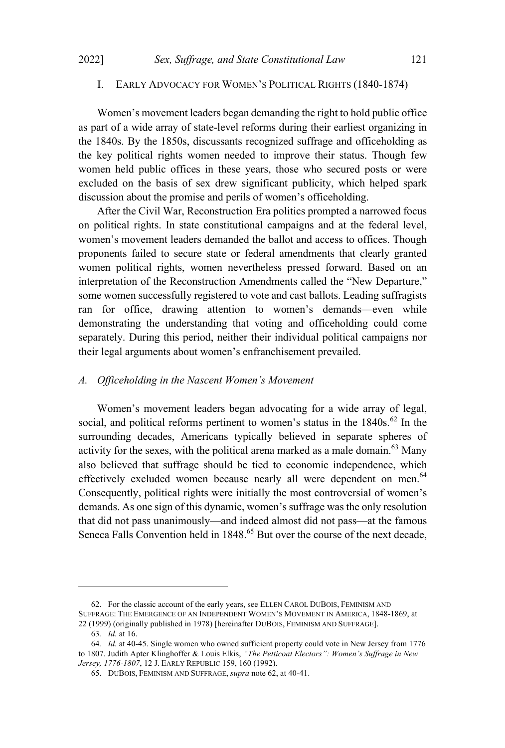## I. EARLY ADVOCACY FOR WOMEN'<sup>S</sup> POLITICAL RIGHTS (1840-1874)

Women's movement leaders began demanding the right to hold public office as part of a wide array of state-level reforms during their earliest organizing in the 1840s. By the 1850s, discussants recognized suffrage and officeholding as the key political rights women needed to improve their status. Though few women held public offices in these years, those who secured posts or were excluded on the basis of sex drew significant publicity, which helped spark discussion about the promise and perils of women's officeholding.

After the Civil War, Reconstruction Era politics prompted a narrowed focus on political rights. In state constitutional campaigns and at the federal level, women's movement leaders demanded the ballot and access to offices. Though proponents failed to secure state or federal amendments that clearly granted women political rights, women nevertheless pressed forward. Based on an interpretation of the Reconstruction Amendments called the "New Departure," some women successfully registered to vote and cast ballots. Leading suffragists ran for office, drawing attention to women's demands—even while demonstrating the understanding that voting and officeholding could come separately. During this period, neither their individual political campaigns nor their legal arguments about women's enfranchisement prevailed.

## *A. Officeholding in the Nascent Women's Movement*

Women's movement leaders began advocating for a wide array of legal, social, and political reforms pertinent to women's status in the  $1840s^{62}$  In the surrounding decades, Americans typically believed in separate spheres of activity for the sexes, with the political arena marked as a male domain.<sup>63</sup> Many also believed that suffrage should be tied to economic independence, which effectively excluded women because nearly all were dependent on men.<sup>64</sup> Consequently, political rights were initially the most controversial of women's demands. As one sign of this dynamic, women's suffrage was the only resolution that did not pass unanimously—and indeed almost did not pass—at the famous Seneca Falls Convention held in 1848.<sup>65</sup> But over the course of the next decade,

<sup>62.</sup> For the classic account of the early years, see ELLEN CAROL DUBOIS, FEMINISM AND SUFFRAGE: THE EMERGENCE OF AN INDEPENDENT WOMEN'S MOVEMENT IN AMERICA, 1848-1869, at 22 (1999) (originally published in 1978) [hereinafter DUBOIS, FEMINISM AND SUFFRAGE].

<sup>63</sup>*. Id.* at 16.

<sup>64</sup>*. Id.* at 40-45. Single women who owned sufficient property could vote in New Jersey from 1776 to 1807. Judith Apter Klinghoffer & Louis Elkis, *"The Petticoat Electors": Women's Suffrage in New Jersey, 1776-1807*, 12 J. EARLY REPUBLIC 159, 160 (1992).

<sup>65.</sup> DUBOIS, FEMINISM AND SUFFRAGE, *supra* note 62, at 40-41.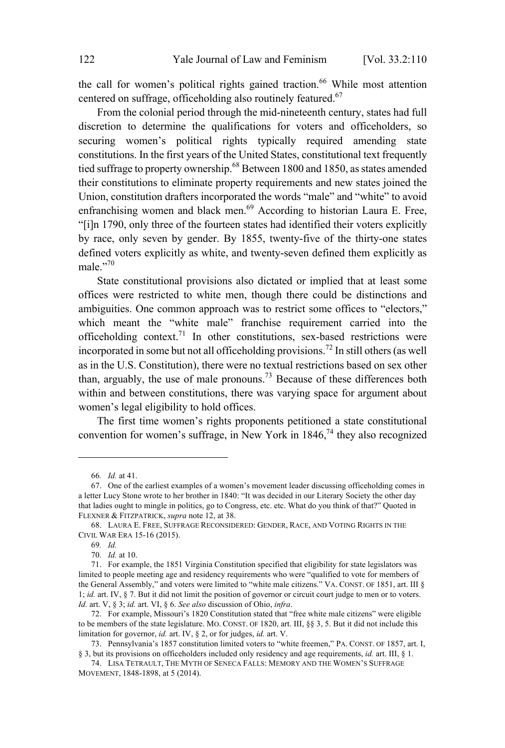the call for women's political rights gained traction. <sup>66</sup> While most attention centered on suffrage, officeholding also routinely featured. 67

From the colonial period through the mid-nineteenth century, states had full discretion to determine the qualifications for voters and officeholders, so securing women's political rights typically required amending state constitutions. In the first years of the United States, constitutional text frequently tied suffrage to property ownership.<sup>68</sup> Between 1800 and 1850, as states amended their constitutions to eliminate property requirements and new states joined the Union, constitution drafters incorporated the words "male" and "white" to avoid enfranchising women and black men.<sup>69</sup> According to historian Laura E. Free, "[i]n 1790, only three of the fourteen states had identified their voters explicitly by race, only seven by gender. By 1855, twenty-five of the thirty-one states defined voters explicitly as white, and twenty-seven defined them explicitly as male." $70$ 

State constitutional provisions also dictated or implied that at least some offices were restricted to white men, though there could be distinctions and ambiguities. One common approach was to restrict some offices to "electors," which meant the "white male" franchise requirement carried into the officeholding context.<sup>71</sup> In other constitutions, sex-based restrictions were incorporated in some but not all officeholding provisions.<sup>72</sup> In still others (as well as in the U.S. Constitution), there were no textual restrictions based on sex other than, arguably, the use of male pronouns. <sup>73</sup> Because of these differences both within and between constitutions, there was varying space for argument about women's legal eligibility to hold offices.

The first time women's rights proponents petitioned a state constitutional convention for women's suffrage, in New York in  $1846<sup>74</sup>$  they also recognized

72. For example, Missouri's 1820 Constitution stated that "free white male citizens" were eligible to be members of the state legislature. MO. CONST. OF 1820, art. III, §§ 3, 5. But it did not include this limitation for governor, *id.* art. IV, § 2, or for judges, *id.* art. V.

<sup>66</sup>*. Id.* at 41.

<sup>67.</sup> One of the earliest examples of a women's movement leader discussing officeholding comes in a letter Lucy Stone wrote to her brother in 1840: "It was decided in our Literary Society the other day that ladies ought to mingle in politics, go to Congress, etc. etc. What do you think of that?" Quoted in FLEXNER & FITZPATRICK, *supra* note 12, at 38.

<sup>68.</sup> LAURA E. FREE, SUFFRAGE RECONSIDERED: GENDER, RACE, AND VOTING RIGHTS IN THE CIVIL WAR ERA 15-16 (2015).

<sup>69</sup>*. Id.*

<sup>70</sup>*. Id.* at 10.

<sup>71.</sup> For example, the 1851 Virginia Constitution specified that eligibility for state legislators was limited to people meeting age and residency requirements who were "qualified to vote for members of the General Assembly," and voters were limited to "white male citizens." VA. CONST. OF 1851, art. III § 1; *id.* art. IV, § 7. But it did not limit the position of governor or circuit court judge to men or to voters. *Id.* art. V, § 3; *id.* art. VI, § 6. *See also* discussion of Ohio, *infra*.

<sup>73.</sup> Pennsylvania's 1857 constitution limited voters to "white freemen," PA. CONST. OF 1857, art. I, § 3, but its provisions on officeholders included only residency and age requirements, *id.* art. III, § 1.

<sup>74.</sup> LISA TETRAULT, THE MYTH OF SENECA FALLS: MEMORY AND THE WOMEN'S SUFFRAGE MOVEMENT, 1848-1898, at 5 (2014).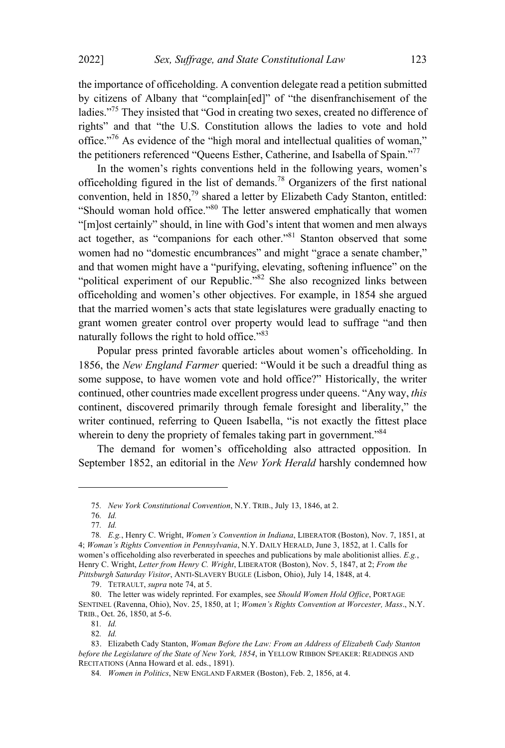the importance of officeholding. A convention delegate read a petition submitted by citizens of Albany that "complain[ed]" of "the disenfranchisement of the ladies."<sup>75</sup> They insisted that "God in creating two sexes, created no difference of rights" and that "the U.S. Constitution allows the ladies to vote and hold office."<sup>76</sup> As evidence of the "high moral and intellectual qualities of woman," the petitioners referenced "Queens Esther, Catherine, and Isabella of Spain." 77

In the women's rights conventions held in the following years, women's officeholding figured in the list of demands. <sup>78</sup> Organizers of the first national convention, held in  $1850<sup>79</sup>$  shared a letter by Elizabeth Cady Stanton, entitled: "Should woman hold office."<sup>80</sup> The letter answered emphatically that women "[m]ost certainly" should, in line with God's intent that women and men always act together, as "companions for each other."<sup>81</sup> Stanton observed that some women had no "domestic encumbrances" and might "grace a senate chamber," and that women might have a "purifying, elevating, softening influence" on the "political experiment of our Republic."<sup>82</sup> She also recognized links between officeholding and women's other objectives. For example, in 1854 she argued that the married women's acts that state legislatures were gradually enacting to grant women greater control over property would lead to suffrage "and then naturally follows the right to hold office."83

Popular press printed favorable articles about women's officeholding. In 1856, the *New England Farmer* queried: "Would it be such a dreadful thing as some suppose, to have women vote and hold office?" Historically, the writer continued, other countries made excellent progress under queens. "Any way, *this* continent, discovered primarily through female foresight and liberality," the writer continued, referring to Queen Isabella, "is not exactly the fittest place wherein to deny the propriety of females taking part in government."<sup>84</sup>

The demand for women's officeholding also attracted opposition. In September 1852, an editorial in the *New York Herald* harshly condemned how

<sup>75</sup>*. New York Constitutional Convention*, N.Y. TRIB., July 13, 1846, at 2.

<sup>76</sup>*. Id.*

<sup>77</sup>*. Id.* 78*. E.g.*, Henry C. Wright, *Women's Convention in Indiana*, LIBERATOR (Boston), Nov. 7, 1851, at

<sup>4;</sup> *Woman's Rights Convention in Pennsylvania*, N.Y. DAILY HERALD, June 3, 1852, at 1. Calls for women's officeholding also reverberated in speeches and publications by male abolitionist allies. *E.g.*, Henry C. Wright, *Letter from Henry C. Wright*, LIBERATOR (Boston), Nov. 5, 1847, at 2; *From the Pittsburgh Saturday Visitor*, ANTI-SLAVERY BUGLE (Lisbon, Ohio), July 14, 1848, at 4.

<sup>79.</sup> TETRAULT, *supra* note 74, at 5.

<sup>80.</sup> The letter was widely reprinted. For examples, see *Should Women Hold Office*, PORTAGE SENTINEL (Ravenna, Ohio), Nov. 25, 1850, at 1; *Women's Rights Convention at Worcester, Mass*., N.Y. TRIB., Oct. 26, 1850, at 5-6.

<sup>81</sup>*. Id.*

<sup>82</sup>*. Id.*

<sup>83.</sup> Elizabeth Cady Stanton, *Woman Before the Law: From an Address of Elizabeth Cady Stanton before the Legislature of the State of New York, 1854*, in YELLOW RIBBON SPEAKER: READINGS AND RECITATIONS (Anna Howard et al. eds., 1891).

<sup>84</sup>*. Women in Politics*, NEW ENGLAND FARMER (Boston), Feb. 2, 1856, at 4.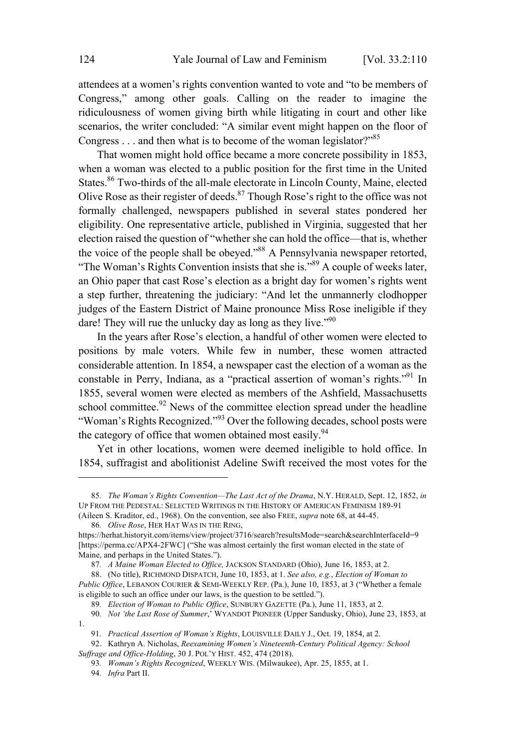attendees at a women's rights convention wanted to vote and "to be members of Congress," among other goals. Calling on the reader to imagine the ridiculousness of women giving birth while litigating in court and other like scenarios, the writer concluded: "A similar event might happen on the floor of Congress . . . and then what is to become of the woman legislator?"85

That women might hold office became a more concrete possibility in 1853, when a woman was elected to a public position for the first time in the United States. <sup>86</sup> Two-thirds of the all-male electorate in Lincoln County, Maine, elected Olive Rose as their register of deeds. $87$  Though Rose's right to the office was not formally challenged, newspapers published in several states pondered her eligibility. One representative article, published in Virginia, suggested that her election raised the question of "whether she can hold the office—that is, whether the voice of the people shall be obeyed." <sup>88</sup> <sup>A</sup> Pennsylvania newspaper retorted, "The Woman's Rights Convention insists that she is."<sup>89</sup> <sup>A</sup> couple of weeks later, an Ohio paper that cast Rose's election as a bright day for women's rights went a step further, threatening the judiciary: "And let the unmannerly clodhopper judges of the Eastern District of Maine pronounce Miss Rose ineligible if they dare! They will rue the unlucky day as long as they live."<sup>90</sup>

In the years after Rose's election, a handful of other women were elected to positions by male voters. While few in number, these women attracted considerable attention. In 1854, a newspaper cast the election of a woman as the constable in Perry, Indiana, as a "practical assertion of woman's rights."<sup>91</sup> In 1855, several women were elected as members of the Ashfield, Massachusetts school committee.<sup>92</sup> News of the committee election spread under the headline "Woman's Rights Recognized."<sup>93</sup> Over the following decades, school posts were the category of office that women obtained most easily.<sup>94</sup>

Yet in other locations, women were deemed ineligible to hold office. In 1854, suffragist and abolitionist Adeline Swift received the most votes for the

94*. Infra* Part II.

<sup>85</sup>*. The Woman's Rights Convention—The Last Act of the Drama*, N.Y. HERALD, Sept. 12, 1852, *in* UP FROM THE PEDESTAL: SELECTED WRITINGS IN THE HISTORY OF AMERICAN FEMINISM 189-91 (Aileen S. Kraditor, ed., 1968). On the convention, see also FREE, *supra* note 68, at 44-45.

<sup>86</sup>*. Olive Rose*, HER HAT WAS IN THE RING,

https://herhat.historyit.com/items/view/project/3716/search?resultsMode=search&searchInterfaceId=9 [https://perma.cc/APX4-2FWC] ("She was almost certainly the first woman elected in the state of Maine, and perhaps in the United States.").

<sup>87</sup>*. A Maine Woman Elected to Office,* JACKSON STANDARD (Ohio), June 16, 1853, at 2.

<sup>88.</sup> (No title), RICHMOND DISPATCH, June 10, 1853, at 1. *See also, e.g.*, *Election of Woman to Public Office*, LEBANON COURIER & SEMI-WEEKLY REP. (Pa.), June 10, 1853, at 3 ("Whether a female is eligible to such an office under our laws, is the question to be settled.").

<sup>89</sup>*. Election of Woman to Public Office*, SUNBURY GAZETTE (Pa.), June 11, 1853, at 2.

<sup>90</sup>*. Not 'the Last Rose of Summer*,' WYANDOT PIONEER (Upper Sandusky, Ohio), June 23, 1853, at 1.

<sup>91</sup>*. Practical Assertion of Woman's Rights*, LOUISVILLE DAILY J., Oct. 19, 1854, at 2.

<sup>92.</sup> Kathryn A. Nicholas, *Reexamining Women's Nineteenth-Century Political Agency: School Suffrage and Office-Holding*, 30 J. POL'<sup>Y</sup> HIST. 452, 474 (2018).

<sup>93</sup>*. Woman's Rights Recognized*, WEEKLY WIS. (Milwaukee), Apr. 25, 1855, at 1.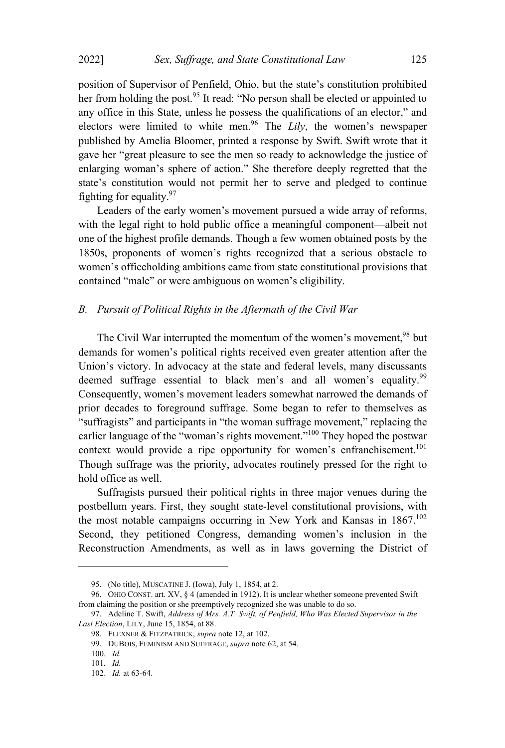position of Supervisor of Penfield, Ohio, but the state's constitution prohibited her from holding the post.<sup>95</sup> It read: "No person shall be elected or appointed to any office in this State, unless he possess the qualifications of an elector," and electors were limited to white men.<sup>96</sup> The *Lily*, the women's newspaper published by Amelia Bloomer, printed a response by Swift. Swift wrote that it gave her "great pleasure to see the men so ready to acknowledge the justice of enlarging woman's sphere of action." She therefore deeply regretted that the state's constitution would not permit her to serve and pledged to continue fighting for equality.  $97$ 

Leaders of the early women's movement pursued a wide array of reforms, with the legal right to hold public office a meaningful component—albeit not one of the highest profile demands. Though a few women obtained posts by the 1850s, proponents of women's rights recognized that a serious obstacle to women's officeholding ambitions came from state constitutional provisions that contained "male" or were ambiguous on women's eligibility.

#### *B. Pursuit of Political Rights in the Aftermath of the Civil War*

The Civil War interrupted the momentum of the women's movement,<sup>98</sup> but demands for women's political rights received even greater attention after the Union's victory. In advocacy at the state and federal levels, many discussants deemed suffrage essential to black men's and all women's equality.<sup>99</sup> Consequently, women's movement leaders somewhat narrowed the demands of prior decades to foreground suffrage. Some began to refer to themselves as "suffragists" and participants in "the woman suffrage movement," replacing the earlier language of the "woman's rights movement."<sup>100</sup> They hoped the postwar context would provide a ripe opportunity for women's enfranchisement.<sup>101</sup> Though suffrage was the priority, advocates routinely pressed for the right to hold office as well.

Suffragists pursued their political rights in three major venues during the postbellum years. First, they sought state-level constitutional provisions, with the most notable campaigns occurring in New York and Kansas in  $1867$ .<sup>102</sup> Second, they petitioned Congress, demanding women's inclusion in the Reconstruction Amendments, as well as in laws governing the District of

<sup>95.</sup> (No title), MUSCATINE J. (Iowa), July 1, 1854, at 2.

<sup>96.</sup> OHIO CONST. art. XV, § 4 (amended in 1912). It is unclear whether someone prevented Swift from claiming the position or she preemptively recognized she was unable to do so.

<sup>97.</sup> Adeline T. Swift, *Address of Mrs. A.T. Swift, of Penfield, Who Was Elected Supervisor in the Last Election*, LILY, June 15, 1854, at 88.

<sup>98.</sup> FLEXNER & FITZPATRICK, *supra* note 12, at 102.

<sup>99.</sup> DUBOIS, FEMINISM AND SUFFRAGE, *supra* note 62, at 54.

<sup>100</sup>*. Id.*

<sup>101</sup>*. Id.*

<sup>102.</sup> *Id.* at 63-64.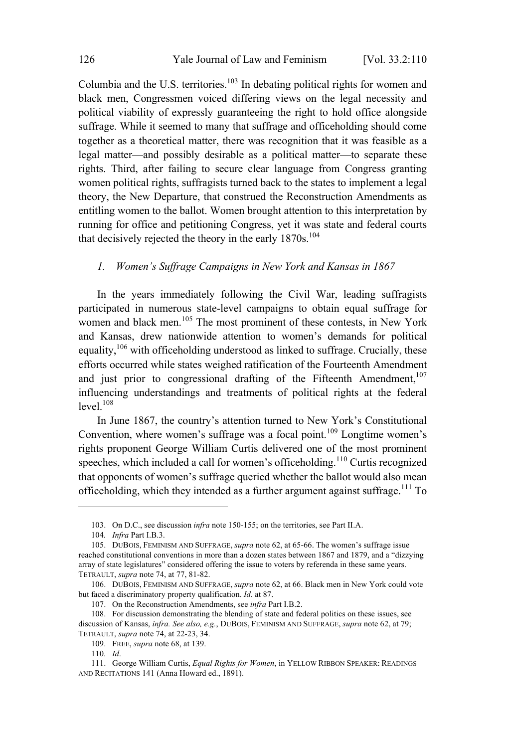Columbia and the U.S. territories.<sup>103</sup> In debating political rights for women and black men, Congressmen voiced differing views on the legal necessity and political viability of expressly guaranteeing the right to hold office alongside suffrage. While it seemed to many that suffrage and officeholding should come together as a theoretical matter, there was recognition that it was feasible as a legal matter—and possibly desirable as a political matter—to separate these rights. Third, after failing to secure clear language from Congress granting women political rights, suffragists turned back to the states to implement a legal theory, the New Departure, that construed the Reconstruction Amendments as entitling women to the ballot. Women brought attention to this interpretation by running for office and petitioning Congress, yet it was state and federal courts that decisively rejected the theory in the early 1870s. 104

#### *1. Women's Suffrage Campaigns in New York and Kansas in 1867*

In the years immediately following the Civil War, leading suffragists participated in numerous state-level campaigns to obtain equal suffrage for women and black men.<sup>105</sup> The most prominent of these contests, in New York and Kansas, drew nationwide attention to women's demands for political equality, $106$  with officeholding understood as linked to suffrage. Crucially, these efforts occurred while states weighed ratification of the Fourteenth Amendment and just prior to congressional drafting of the Fifteenth Amendment.<sup>107</sup> influencing understandings and treatments of political rights at the federal  $level.<sup>108</sup>$ 

In June 1867, the country's attention turned to New York's Constitutional Convention, where women's suffrage was a focal point.<sup>109</sup> Longtime women's rights proponent George William Curtis delivered one of the most prominent speeches, which included a call for women's officeholding.<sup>110</sup> Curtis recognized that opponents of women's suffrage queried whether the ballot would also mean officeholding, which they intended as a further argument against suffrage.<sup>111</sup> To

<sup>103.</sup> On D.C., see discussion *infra* note 150-155; on the territories, see Part II.A.

<sup>104</sup>*. Infra* Part I.B.3.

<sup>105.</sup> DUBOIS, FEMINISM AND SUFFRAGE, *supra* note 62, at 65-66. The women's suffrage issue reached constitutional conventions in more than a dozen states between 1867 and 1879, and a "dizzying array of state legislatures" considered offering the issue to voters by referenda in these same years. TETRAULT, *supra* note 74, at 77, 81-82.

<sup>106.</sup> DUBOIS, FEMINISM AND SUFFRAGE, *supra* note 62, at 66. Black men in New York could vote but faced a discriminatory property qualification. *Id.* at 87.

<sup>107.</sup> On the Reconstruction Amendments, see *infra* Part I.B.2.

<sup>108.</sup> For discussion demonstrating the blending of state and federal politics on these issues, see discussion of Kansas, *infra. See also, e.g.*, DUBOIS, FEMINISM AND SUFFRAGE, *supra* note 62, at 79; TETRAULT, *supra* note 74, at 22-23, 34.

<sup>109.</sup> FREE, *supra* note 68, at 139.

<sup>110</sup>*. Id*.

<sup>111.</sup> George William Curtis, *Equal Rights for Women*, in YELLOW RIBBON SPEAKER: READINGS AND RECITATIONS 141 (Anna Howard ed., 1891).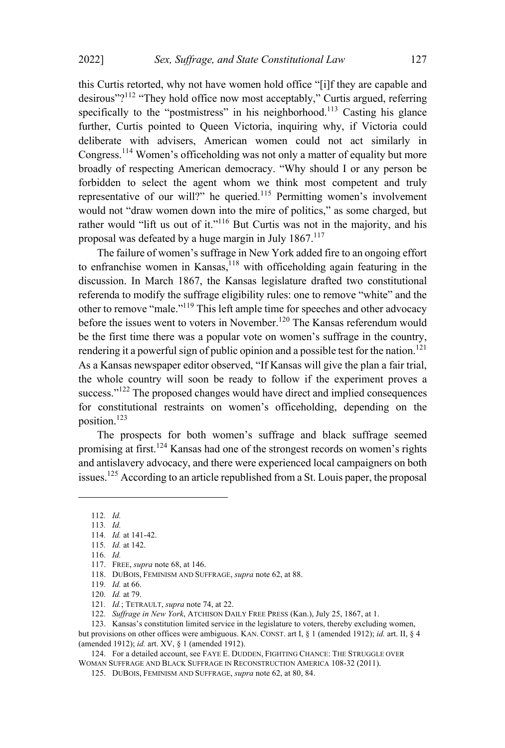this Curtis retorted, why not have women hold office "[i]f they are capable and desirous"?<sup>112</sup> "They hold office now most acceptably," Curtis argued, referring specifically to the "postmistress" in his neighborhood.<sup>113</sup> Casting his glance further, Curtis pointed to Queen Victoria, inquiring why, if Victoria could deliberate with advisers, American women could not act similarly in Congress. <sup>114</sup> Women's officeholding was not only <sup>a</sup> matter of equality but more broadly of respecting American democracy. "Why should I or any person be forbidden to select the agent whom we think most competent and truly representative of our will?" he queried. $115$  Permitting women's involvement would not "draw women down into the mire of politics," as some charged, but rather would "lift us out of it."<sup>116</sup> But Curtis was not in the majority, and his proposal was defeated by a huge margin in July  $1867$ <sup>117</sup>

The failure of women's suffrage in New York added fire to an ongoing effort to enfranchise women in Kansas, <sup>118</sup> with officeholding again featuring in the discussion. In March 1867, the Kansas legislature drafted two constitutional referenda to modify the suffrage eligibility rules: one to remove "white" and the other to remove "male."<sup>119</sup> This left ample time for speeches and other advocacy before the issues went to voters in November.<sup>120</sup> The Kansas referendum would be the first time there was a popular vote on women's suffrage in the country, rendering it a powerful sign of public opinion and a possible test for the nation.<sup>121</sup> As a Kansas newspaper editor observed, "If Kansas will give the plan a fair trial, the whole country will soon be ready to follow if the experiment proves a success."<sup>122</sup> The proposed changes would have direct and implied consequences for constitutional restraints on women's officeholding, depending on the position.<sup>123</sup>

The prospects for both women's suffrage and black suffrage seemed promising at first.<sup>124</sup> Kansas had one of the strongest records on women's rights and antislavery advocacy, and there were experienced local campaigners on both issues.<sup>125</sup> According to an article republished from <sup>a</sup> St. Louis paper, the proposal

121*. Id.*; TETRAULT, *supra* note 74, at 22.

123. Kansas's constitution limited service in the legislature to voters, thereby excluding women, but provisions on other offices were ambiguous. KAN. CONST. art I, § 1 (amended 1912); *id.* art. II, § 4 (amended 1912); *id.* art. XV, § 1 (amended 1912).

124. For a detailed account, see FAYE E. DUDDEN, FIGHTING CHANCE: THE STRUGGLE OVER WOMAN SUFFRAGE AND BLACK SUFFRAGE IN RECONSTRUCTION AMERICA 108-32 (2011).

<sup>112</sup>*. Id.*

<sup>113</sup>*. Id.*

<sup>114</sup>*. Id.* at 141-42. 115*. Id.* at 142.

<sup>116</sup>*. Id.*

<sup>117.</sup> FREE, *supra* note 68, at 146.

<sup>118.</sup> DUBOIS, FEMINISM AND SUFFRAGE, *supra* note 62, at 88.

<sup>119</sup>*. Id.* at 66.

<sup>120</sup>*. Id.* at 79.

<sup>122</sup>*. Suffrage in New York*, ATCHISON DAILY FREE PRESS (Kan.), July 25, 1867, at 1.

<sup>125.</sup> DUBOIS, FEMINISM AND SUFFRAGE, *supra* note 62, at 80, 84.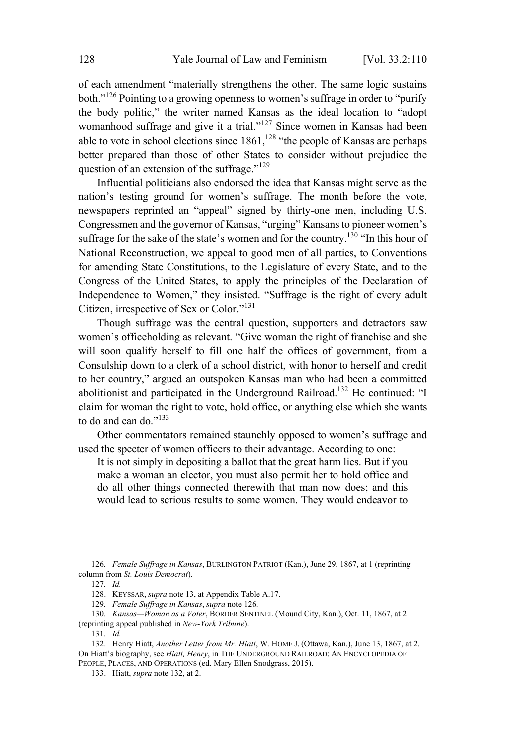of each amendment "materially strengthens the other. The same logic sustains both."<sup>126</sup> Pointing to <sup>a</sup> growing openness to women's suffrage in order to "purify the body politic," the writer named Kansas as the ideal location to "adopt womanhood suffrage and give it a trial."<sup>127</sup> Since women in Kansas had been able to vote in school elections since 1861,<sup>128</sup> "the people of Kansas are perhaps better prepared than those of other States to consider without prejudice the question of an extension of the suffrage."<sup>129</sup>

Influential politicians also endorsed the idea that Kansas might serve as the nation's testing ground for women's suffrage. The month before the vote, newspapers reprinted an "appeal" signed by thirty-one men, including U.S. Congressmen and the governor of Kansas, "urging" Kansans to pioneer women's suffrage for the sake of the state's women and for the country.<sup>130</sup> "In this hour of National Reconstruction, we appeal to good men of all parties, to Conventions for amending State Constitutions, to the Legislature of every State, and to the Congress of the United States, to apply the principles of the Declaration of Independence to Women," they insisted. "Suffrage is the right of every adult Citizen, irrespective of Sex or Color."<sup>131</sup>

Though suffrage was the central question, supporters and detractors saw women's officeholding as relevant. "Give woman the right of franchise and she will soon qualify herself to fill one half the offices of government, from a Consulship down to a clerk of a school district, with honor to herself and credit to her country," argued an outspoken Kansas man who had been a committed abolitionist and participated in the Underground Railroad. <sup>132</sup> He continued: "I claim for woman the right to vote, hold office, or anything else which she wants to do and can do."<sup>133</sup>

Other commentators remained staunchly opposed to women's suffrage and used the specter of women officers to their advantage. According to one:

It is not simply in depositing a ballot that the great harm lies. But if you make a woman an elector, you must also permit her to hold office and do all other things connected therewith that man now does; and this would lead to serious results to some women. They would endeavor to

129*. Female Suffrage in Kansas*, *supra* note 126*.*

<sup>126</sup>*. Female Suffrage in Kansas*, BURLINGTON PATRIOT (Kan.), June 29, 1867, at 1 (reprinting column from *St. Louis Democrat*).

<sup>127</sup>*. Id.*

<sup>128.</sup> KEYSSAR, *supra* note 13, at Appendix Table A.17.

<sup>130</sup>*. Kansas—Woman as a Voter*, BORDER SENTINEL (Mound City, Kan.), Oct. 11, 1867, at 2 (reprinting appeal published in *New-York Tribune*).

<sup>131</sup>*. Id.*

<sup>132.</sup> Henry Hiatt, *Another Letter from Mr. Hiatt*, W. HOME J. (Ottawa, Kan.), June 13, 1867, at 2. On Hiatt's biography, see *Hiatt, Henry*, in THE UNDERGROUND RAILROAD: A<sup>N</sup> ENCYCLOPEDIA OF PEOPLE, PLACES, AND OPERATIONS (ed. Mary Ellen Snodgrass, 2015).

<sup>133.</sup> Hiatt, *supra* note 132, at 2.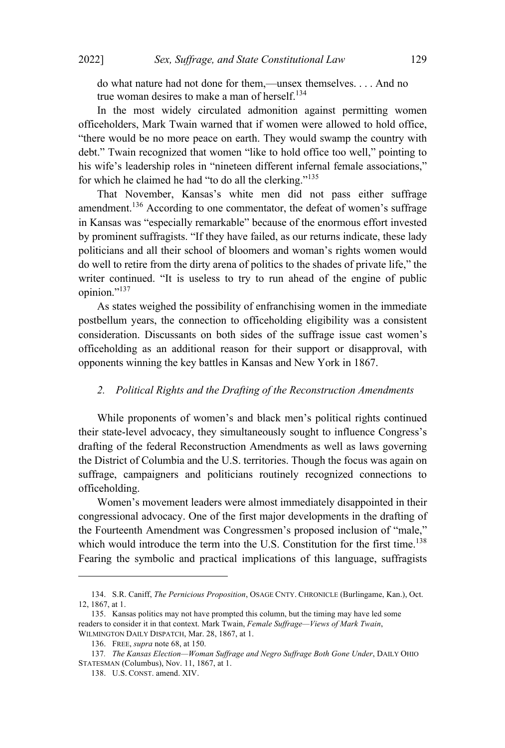do what nature had not done for them,—unsex themselves. . . . And no true woman desires to make a man of herself.<sup>134</sup>

In the most widely circulated admonition against permitting women officeholders, Mark Twain warned that if women were allowed to hold office, "there would be no more peace on earth. They would swamp the country with debt." Twain recognized that women "like to hold office too well," pointing to his wife's leadership roles in "nineteen different infernal female associations," for which he claimed he had "to do all the clerking."<sup>135</sup>

That November, Kansas's white men did not pass either suffrage amendment. <sup>136</sup> According to one commentator, the defeat of women's suffrage in Kansas was "especially remarkable" because of the enormous effort invested by prominent suffragists. "If they have failed, as our returns indicate, these lady politicians and all their school of bloomers and woman's rights women would do well to retire from the dirty arena of politics to the shades of private life," the writer continued. "It is useless to try to run ahead of the engine of public opinion."<sup>137</sup>

As states weighed the possibility of enfranchising women in the immediate postbellum years, the connection to officeholding eligibility was a consistent consideration. Discussants on both sides of the suffrage issue cast women's officeholding as an additional reason for their support or disapproval, with opponents winning the key battles in Kansas and New York in 1867.

#### *2. Political Rights and the Drafting of the Reconstruction Amendments*

While proponents of women's and black men's political rights continued their state-level advocacy, they simultaneously sought to influence Congress's drafting of the federal Reconstruction Amendments as well as laws governing the District of Columbia and the U.S. territories. Though the focus was again on suffrage, campaigners and politicians routinely recognized connections to officeholding.

Women's movement leaders were almost immediately disappointed in their congressional advocacy. One of the first major developments in the drafting of the Fourteenth Amendment was Congressmen's proposed inclusion of "male," which would introduce the term into the U.S. Constitution for the first time.<sup>138</sup> Fearing the symbolic and practical implications of this language, suffragists

<sup>134.</sup> S.R. Caniff, *The Pernicious Proposition*, OSAGE CNTY. CHRONICLE (Burlingame, Kan.), Oct. 12, 1867, at 1.

<sup>135.</sup> Kansas politics may not have prompted this column, but the timing may have led some readers to consider it in that context. Mark Twain, *Female Suffrage—Views of Mark Twain*, WILMINGTON DAILY DISPATCH, Mar. 28, 1867, at 1.

<sup>136.</sup> FREE, *supra* note 68, at 150.

<sup>137</sup>*. The Kansas Election—Woman Suffrage and Negro Suffrage Both Gone Under*, DAILY OHIO STATESMAN (Columbus), Nov. 11, 1867, at 1.

<sup>138.</sup> U.S. CONST. amend. XIV.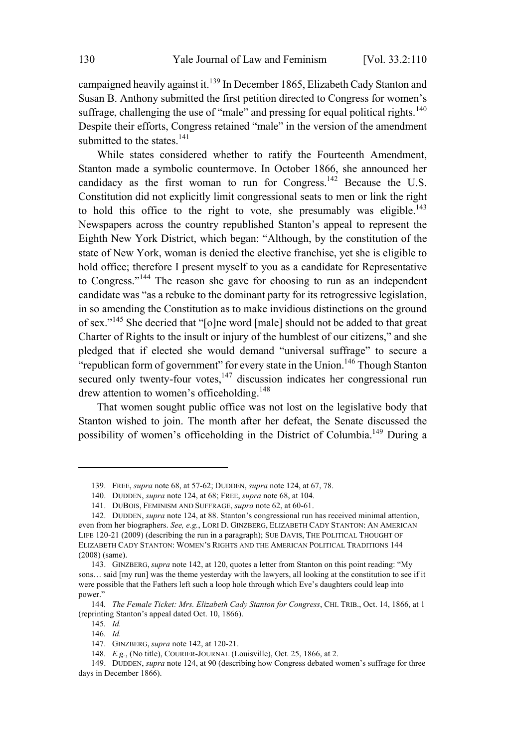campaigned heavily against it.<sup>139</sup> In December 1865, Elizabeth Cady Stanton and Susan B. Anthony submitted the first petition directed to Congress for women's suffrage, challenging the use of "male" and pressing for equal political rights.<sup>140</sup> Despite their efforts, Congress retained "male" in the version of the amendment submitted to the states.<sup>141</sup>

While states considered whether to ratify the Fourteenth Amendment, Stanton made a symbolic countermove. In October 1866, she announced her candidacy as the first woman to run for Congress.<sup>142</sup> Because the U.S. Constitution did not explicitly limit congressional seats to men or link the right to hold this office to the right to vote, she presumably was eligible.<sup>143</sup> Newspapers across the country republished Stanton's appeal to represent the Eighth New York District, which began: "Although, by the constitution of the state of New York, woman is denied the elective franchise, yet she is eligible to hold office; therefore I present myself to you as a candidate for Representative to Congress." <sup>144</sup> The reason she gave for choosing to run as an independent candidate was "as a rebuke to the dominant party for its retrogressive legislation, in so amending the Constitution as to make invidious distinctions on the ground of sex."<sup>145</sup> She decried that "[o]ne word [male] should not be added to that great Charter of Rights to the insult or injury of the humblest of our citizens," and she pledged that if elected she would demand "universal suffrage" to secure a "republican form of government" for every state in the Union.<sup>146</sup> Though Stanton secured only twenty-four votes,<sup>147</sup> discussion indicates her congressional run drew attention to women's officeholding.<sup>148</sup>

That women sought public office was not lost on the legislative body that Stanton wished to join. The month after her defeat, the Senate discussed the possibility of women's officeholding in the District of Columbia.<sup>149</sup> During a

<sup>139.</sup> FREE, *supra* note 68, at 57-62; DUDDEN, *supra* note 124, at 67, 78.

<sup>140.</sup> DUDDEN, *supra* note 124, at 68; FREE, *supra* note 68, at 104.

<sup>141.</sup> DUBOIS, FEMINISM AND SUFFRAGE, *supra* note 62, at 60-61.

<sup>142.</sup> DUDDEN, *supra* note 124, at 88. Stanton's congressional run has received minimal attention, even from her biographers. *See, e.g.*, LORI D. GINZBERG, ELIZABETH CADY STANTON: A<sup>N</sup> AMERICAN LIFE 120-21 (2009) (describing the run in a paragraph); SUE DAVIS, THE POLITICAL THOUGHT OF ELIZABETH CADY STANTON: WOMEN'S RIGHTS AND THE AMERICAN POLITICAL TRADITIONS 144 (2008) (same).

<sup>143.</sup> GINZBERG, *supra* note 142, at 120, quotes a letter from Stanton on this point reading: "My sons... said [my run] was the theme yesterday with the lawyers, all looking at the constitution to see if it were possible that the Fathers left such a loop hole through which Eve's daughters could leap into power."

<sup>144</sup>*. The Female Ticket: Mrs. Elizabeth Cady Stanton for Congress*, CHI. TRIB., Oct. 14, 1866, at 1 (reprinting Stanton's appeal dated Oct. 10, 1866).

<sup>145</sup>*. Id.*

<sup>146</sup>*. Id.*

<sup>147.</sup> GINZBERG, *supra* note 142, at 120-21.

<sup>148</sup>*. E.g.*, (No title), COURIER-JOURNAL (Louisville), Oct. 25, 1866, at 2.

<sup>149.</sup> DUDDEN, *supra* note 124, at 90 (describing how Congress debated women's suffrage for three days in December 1866).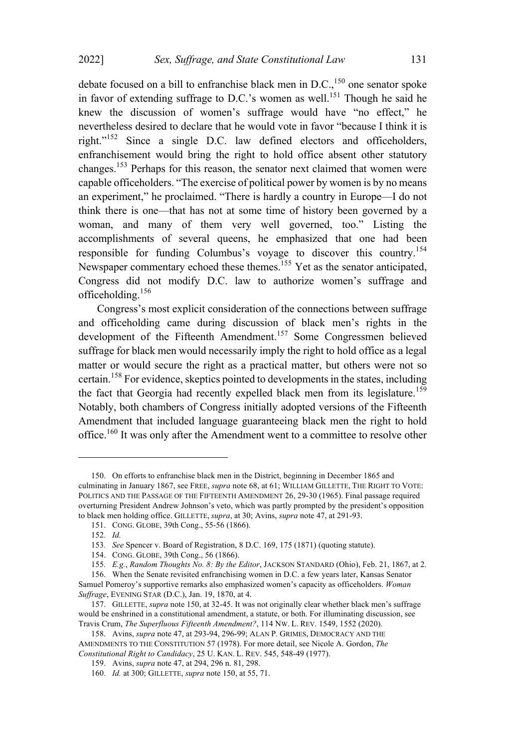debate focused on a bill to enfranchise black men in  $D.C.,<sup>150</sup>$  one senator spoke in favor of extending suffrage to D.C.'s women as well.<sup>151</sup> Though he said he knew the discussion of women's suffrage would have "no effect," he nevertheless desired to declare that he would vote in favor "because I think it is right." <sup>152</sup> Since <sup>a</sup> single D.C. law defined electors and officeholders, enfranchisement would bring the right to hold office absent other statutory changes.<sup>153</sup> Perhaps for this reason, the senator next claimed that women were capable officeholders. "The exercise of political power by women is by no means an experiment," he proclaimed. "There is hardly a country in Europe—I do not think there is one—that has not at some time of history been governed by a woman, and many of them very well governed, too." Listing the accomplishments of several queens, he emphasized that one had been responsible for funding Columbus's voyage to discover this country.<sup>154</sup> Newspaper commentary echoed these themes.<sup>155</sup> Yet as the senator anticipated, Congress did not modify D.C. law to authorize women's suffrage and officeholding. $156$ 

Congress's most explicit consideration of the connections between suffrage and officeholding came during discussion of black men's rights in the development of the Fifteenth Amendment. <sup>157</sup> Some Congressmen believed suffrage for black men would necessarily imply the right to hold office as a legal matter or would secure the right as a practical matter, but others were not so certain.<sup>158</sup> For evidence, skeptics pointed to developments in the states, including the fact that Georgia had recently expelled black men from its legislature.<sup>159</sup> Notably, both chambers of Congress initially adopted versions of the Fifteenth Amendment that included language guaranteeing black men the right to hold office.<sup>160</sup> It was only after the Amendment went to <sup>a</sup> committee to resolve other

<sup>150.</sup> On efforts to enfranchise black men in the District, beginning in December 1865 and culminating in January 1867, see FREE, *supra* note 68, at 61; WILLIAM GILLETTE, THE RIGHT TO VOTE: POLITICS AND THE PASSAGE OF THE FIFTEENTH AMENDMENT 26, 29-30 (1965). Final passage required overturning President Andrew Johnson's veto, which was partly prompted by the president's opposition to black men holding office. GILLETTE, *supra*, at 30; Avins, *supra* note 47, at 291-93.

<sup>151.</sup> CONG. GLOBE, 39th Cong., 55-56 (1866).

<sup>152</sup>*. Id.*

<sup>153</sup>*. See* Spencer v. Board of Registration, 8 D.C. 169, 175 (1871) (quoting statute).

<sup>154.</sup> CONG. GLOBE, 39th Cong., 56 (1866).

<sup>155</sup>*. E.g.*, *Random Thoughts No. 8: By the Editor*, JACKSON STANDARD (Ohio), Feb. 21, 1867, at 2.

<sup>156.</sup> When the Senate revisited enfranchising women in D.C. a few years later, Kansas Senator Samuel Pomeroy's supportive remarks also emphasized women's capacity as officeholders. *Woman Suffrage*, EVENING STAR (D.C.), Jan. 19, 1870, at 4.

<sup>157.</sup> GILLETTE, *supra* note 150, at 32-45. It was not originally clear whether black men's suffrage would be enshrined in a constitutional amendment, a statute, or both. For illuminating discussion, see Travis Crum, *The Superfluous Fifteenth Amendment?*, 114 NW. L. REV. 1549, 1552 (2020).

<sup>158.</sup> Avins, *supra* note 47, at 293-94, 296-99; ALAN P. GRIMES, DEMOCRACY AND THE AMENDMENTS TO THE CONSTITUTION 57 (1978). For more detail, see Nicole A. Gordon, *The Constitutional Right to Candidacy*, 25 U. KAN. L. REV. 545, 548-49 (1977).

<sup>159.</sup> Avins, *supra* note 47, at 294, 296 n. 81, 298.

<sup>160</sup>*. Id.* at 300; GILLETTE, *supra* note 150, at 55, 71.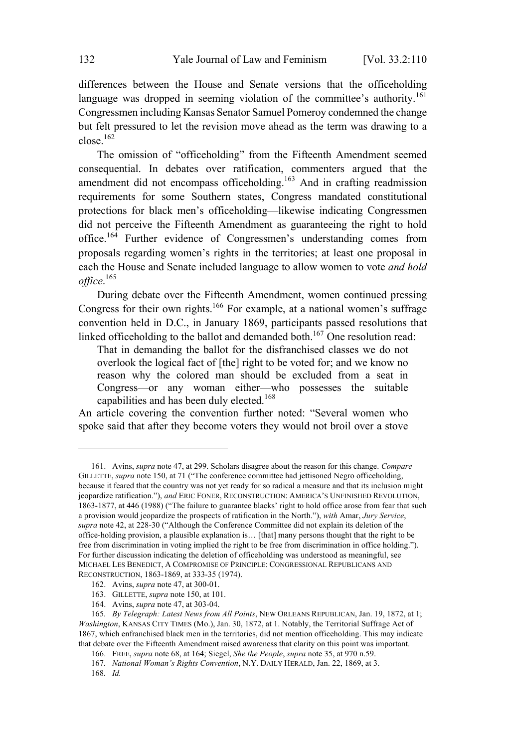differences between the House and Senate versions that the officeholding language was dropped in seeming violation of the committee's authority.<sup>161</sup> Congressmen including Kansas Senator Samuel Pomeroy condemned the change but felt pressured to let the revision move ahead as the term was drawing to a  $close.$ <sup>162</sup>

The omission of "officeholding" from the Fifteenth Amendment seemed consequential. In debates over ratification, commenters argued that the amendment did not encompass officeholding.<sup>163</sup> And in crafting readmission requirements for some Southern states, Congress mandated constitutional protections for black men's officeholding—likewise indicating Congressmen did not perceive the Fifteenth Amendment as guaranteeing the right to hold office.<sup>164</sup> Further evidence of Congressmen's understanding comes from proposals regarding women's rights in the territories; at least one proposal in each the House and Senate included language to allow women to vote *and hold office*. 165

During debate over the Fifteenth Amendment, women continued pressing Congress for their own rights.<sup>166</sup> For example, at a national women's suffrage convention held in D.C., in January 1869, participants passed resolutions that linked officeholding to the ballot and demanded both.<sup>167</sup> One resolution read:

That in demanding the ballot for the disfranchised classes we do not overlook the logical fact of [the] right to be voted for; and we know no reason why the colored man should be excluded from a seat in Congress—or any woman either—who possesses the suitable capabilities and has been duly elected. 168

An article covering the convention further noted: "Several women who spoke said that after they become voters they would not broil over a stove

<sup>161.</sup> Avins, *supra* note 47, at 299. Scholars disagree about the reason for this change. *Compare* GILLETTE, *supra* note 150, at 71 ("The conference committee had jettisoned Negro officeholding, because it feared that the country was not yet ready for so radical a measure and that its inclusion might jeopardize ratification."), *and* ERIC FONER, RECONSTRUCTION: AMERICA'<sup>S</sup> UNFINISHED REVOLUTION, 1863-1877, at 446 (1988) ("The failure to guarantee blacks' right to hold office arose from fear that such a provision would jeopardize the prospects of ratification in the North."), *with* Amar, *Jury Service*, *supra* note 42, at 228-30 ("Although the Conference Committee did not explain its deletion of the office-holding provision, a plausible explanation is… [that] many persons thought that the right to be free from discrimination in voting implied the right to be free from discrimination in office holding."). For further discussion indicating the deletion of officeholding was understood as meaningful, see MICHAEL LES BENEDICT, A COMPROMISE OF PRINCIPLE: CONGRESSIONAL REPUBLICANS AND RECONSTRUCTION, 1863-1869, at 333-35 (1974).

<sup>162.</sup> Avins, *supra* note 47, at 300-01.

<sup>163.</sup> GILLETTE, *supra* note 150, at 101.

<sup>164.</sup> Avins, *supra* note 47, at 303-04.

<sup>165</sup>*. By Telegraph: Latest News from All Points*, NEW ORLEANS REPUBLICAN, Jan. 19, 1872, at 1; *Washington*, KANSAS CITY TIMES (Mo.), Jan. 30, 1872, at 1. Notably, the Territorial Suffrage Act of 1867, which enfranchised black men in the territories, did not mention officeholding. This may indicate that debate over the Fifteenth Amendment raised awareness that clarity on this point was important.

<sup>166.</sup> FREE, *supra* note 68, at 164; Siegel, *She the People*, *supra* note 35, at 970 n.59.

<sup>167</sup>*. National Woman's Rights Convention*, N.Y. DAILY HERALD, Jan. 22, 1869, at 3.

<sup>168</sup>*. Id.*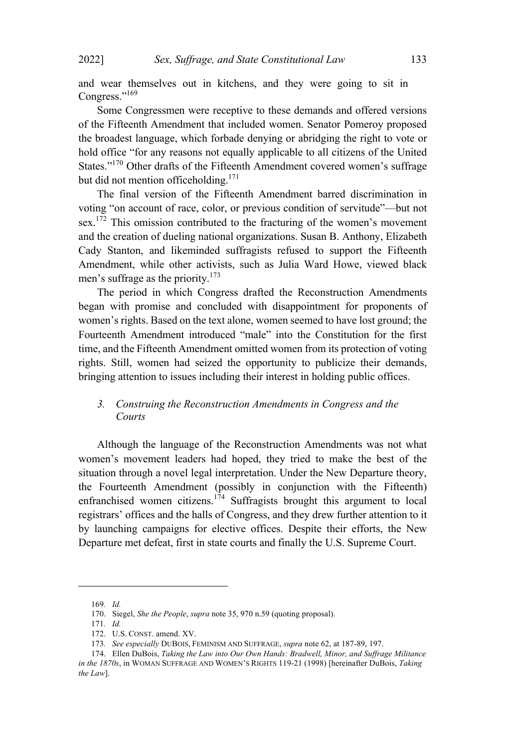and wear themselves out in kitchens, and they were going to sit in Congress."<sup>169</sup>

Some Congressmen were receptive to these demands and offered versions of the Fifteenth Amendment that included women. Senator Pomeroy proposed the broadest language, which forbade denying or abridging the right to vote or hold office "for any reasons not equally applicable to all citizens of the United States."<sup>170</sup> Other drafts of the Fifteenth Amendment covered women's suffrage but did not mention officeholding. 171

The final version of the Fifteenth Amendment barred discrimination in voting "on account of race, color, or previous condition of servitude"—but not sex.<sup>172</sup> This omission contributed to the fracturing of the women's movement and the creation of dueling national organizations. Susan B. Anthony, Elizabeth Cady Stanton, and likeminded suffragists refused to support the Fifteenth Amendment, while other activists, such as Julia Ward Howe, viewed black men's suffrage as the priority.<sup>173</sup>

The period in which Congress drafted the Reconstruction Amendments began with promise and concluded with disappointment for proponents of women's rights. Based on the text alone, women seemed to have lost ground; the Fourteenth Amendment introduced "male" into the Constitution for the first time, and the Fifteenth Amendment omitted women from its protection of voting rights. Still, women had seized the opportunity to publicize their demands, bringing attention to issues including their interest in holding public offices.

# *3. Construing the Reconstruction Amendments in Congress and the Courts*

Although the language of the Reconstruction Amendments was not what women's movement leaders had hoped, they tried to make the best of the situation through a novel legal interpretation. Under the New Departure theory, the Fourteenth Amendment (possibly in conjunction with the Fifteenth) enfranchised women citizens.<sup>174</sup> Suffragists brought this argument to local registrars' offices and the halls of Congress, and they drew further attention to it by launching campaigns for elective offices. Despite their efforts, the New Departure met defeat, first in state courts and finally the U.S. Supreme Court.

<sup>169</sup>*. Id.*

<sup>170.</sup> Siegel, *She the People*, *supra* note 35, 970 n.59 (quoting proposal).

<sup>171</sup>*. Id.*

<sup>172.</sup> U.S. CONST. amend. XV.

<sup>173</sup>*. See especially* DUBOIS, FEMINISM AND SUFFRAGE, *supra* note 62, at 187-89, 197.

<sup>174.</sup> Ellen DuBois, *Taking the Law into Our Own Hands: Bradwell, Minor, and Suffrage Militance in the 1870s*, in WOMAN SUFFRAGE AND WOMEN'<sup>S</sup> RIGHTS 119-21 (1998) [hereinafter DuBois, *Taking the Law*].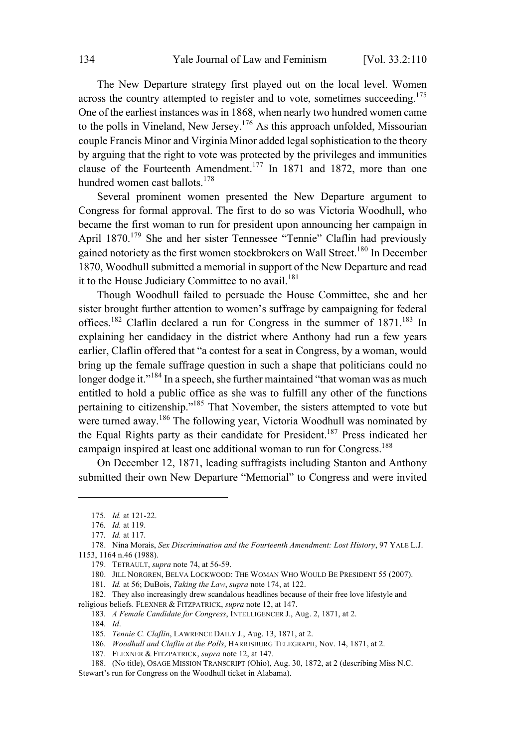The New Departure strategy first played out on the local level. Women across the country attempted to register and to vote, sometimes succeeding.<sup>175</sup> One of the earliest instances was in 1868, when nearly two hundred women came to the polls in Vineland, New Jersey.<sup>176</sup> As this approach unfolded, Missourian couple Francis Minor and Virginia Minor added legal sophistication to the theory by arguing that the right to vote was protected by the privileges and immunities clause of the Fourteenth Amendment. <sup>177</sup> In <sup>1871</sup> and 1872, more than one hundred women cast ballots.<sup>178</sup>

Several prominent women presented the New Departure argument to Congress for formal approval. The first to do so was Victoria Woodhull, who became the first woman to run for president upon announcing her campaign in April  $1870$ <sup>179</sup> She and her sister Tennessee "Tennie" Claflin had previously gained notoriety as the first women stockbrokers on Wall Street.<sup>180</sup> In December 1870, Woodhull submitted a memorial in support of the New Departure and read it to the House Judiciary Committee to no avail. $181$ 

Though Woodhull failed to persuade the House Committee, she and her sister brought further attention to women's suffrage by campaigning for federal offices.<sup>182</sup> Claflin declared a run for Congress in the summer of 1871.<sup>183</sup> In explaining her candidacy in the district where Anthony had run a few years earlier, Claflin offered that "a contest for a seat in Congress, by a woman, would bring up the female suffrage question in such a shape that politicians could no longer dodge it."<sup>184</sup> In a speech, she further maintained "that woman was as much entitled to hold a public office as she was to fulfill any other of the functions pertaining to citizenship."<sup>185</sup> That November, the sisters attempted to vote but were turned away. <sup>186</sup> The following year, Victoria Woodhull was nominated by the Equal Rights party as their candidate for President.<sup>187</sup> Press indicated her campaign inspired at least one additional woman to run for Congress.<sup>188</sup>

On December 12, 1871, leading suffragists including Stanton and Anthony submitted their own New Departure "Memorial" to Congress and were invited

<sup>175</sup>*. Id.* at 121-22.

<sup>176</sup>*. Id.* at 119.

<sup>177</sup>*. Id.* at 117.

<sup>178.</sup> Nina Morais, *Sex Discrimination and the Fourteenth Amendment: Lost History*, 97 YALE L.J. 1153, 1164 n.46 (1988).

<sup>179.</sup> TETRAULT, *supra* note 74, at 56-59.

<sup>180.</sup> JILL NORGREN, BELVA LOCKWOOD: THE WOMAN WHO WOULD BE PRESIDENT 55 (2007).

<sup>181</sup>*. Id.* at 56; DuBois, *Taking the Law*, *supra* note 174, at 122.

<sup>182.</sup> They also increasingly drew scandalous headlines because of their free love lifestyle and religious beliefs. FLEXNER & FITZPATRICK, *supra* note 12, at 147.

<sup>183</sup>*. A Female Candidate for Congress*, INTELLIGENCER J., Aug. 2, 1871, at 2.

<sup>184</sup>*. Id*.

<sup>185</sup>*. Tennie C. Claflin*, LAWRENCE DAILY J., Aug. 13, 1871, at 2.

<sup>186</sup>*. Woodhull and Claflin at the Polls*, HARRISBURG TELEGRAPH, Nov. 14, 1871, at 2.

<sup>187.</sup> FLEXNER & FITZPATRICK, *supra* note 12, at 147.

<sup>188.</sup> (No title), OSAGE MISSION TRANSCRIPT (Ohio), Aug. 30, 1872, at 2 (describing Miss N.C. Stewart's run for Congress on the Woodhull ticket in Alabama).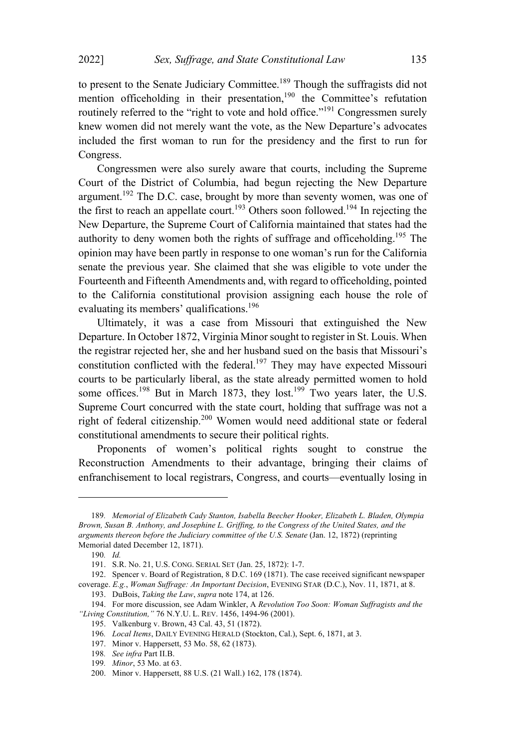to present to the Senate Judiciary Committee.<sup>189</sup> Though the suffragists did not mention officeholding in their presentation,<sup>190</sup> the Committee's refutation routinely referred to the "right to vote and hold office."<sup>191</sup> Congressmen surely knew women did not merely want the vote, as the New Departure's advocates included the first woman to run for the presidency and the first to run for Congress.

Congressmen were also surely aware that courts, including the Supreme Court of the District of Columbia, had begun rejecting the New Departure argument.<sup>192</sup> The D.C. case, brought by more than seventy women, was one of the first to reach an appellate court.<sup>193</sup> Others soon followed.<sup>194</sup> In rejecting the New Departure, the Supreme Court of California maintained that states had the authority to deny women both the rights of suffrage and officeholding.<sup>195</sup> The opinion may have been partly in response to one woman's run for the California senate the previous year. She claimed that she was eligible to vote under the Fourteenth and Fifteenth Amendments and, with regard to officeholding, pointed to the California constitutional provision assigning each house the role of evaluating its members' qualifications.<sup>196</sup>

Ultimately, it was a case from Missouri that extinguished the New Departure. In October 1872, Virginia Minor sought to register in St. Louis. When the registrar rejected her, she and her husband sued on the basis that Missouri's constitution conflicted with the federal.<sup>197</sup> They may have expected Missouri courts to be particularly liberal, as the state already permitted women to hold some offices.<sup>198</sup> But in March 1873, they lost.<sup>199</sup> Two years later, the U.S. Supreme Court concurred with the state court, holding that suffrage was not a right of federal citizenship.<sup>200</sup> Women would need additional state or federal constitutional amendments to secure their political rights.

Proponents of women's political rights sought to construe the Reconstruction Amendments to their advantage, bringing their claims of enfranchisement to local registrars, Congress, and courts—eventually losing in

<sup>189</sup>*. Memorial of Elizabeth Cady Stanton, Isabella Beecher Hooker, Elizabeth L. Bladen, Olympia Brown, Susan B. Anthony, and Josephine L. Griffing, to the Congress of the United States, and the arguments thereon before the Judiciary committee of the U.S. Senate* (Jan. 12, 1872) (reprinting Memorial dated December 12, 1871).

<sup>190</sup>*. Id.*

<sup>191.</sup> S.R. No. 21, U.S. CONG. SERIAL SET (Jan. 25, 1872): 1-7.

<sup>192.</sup> Spencer v. Board of Registration, 8 D.C. 169 (1871). The case received significant newspaper coverage. *E.g.*, *Woman Suffrage: An Important Decision*, EVENING STAR (D.C.), Nov. 11, 1871, at 8.

<sup>193.</sup> DuBois, *Taking the Law*, *supra* note 174, at 126.

<sup>194.</sup> For more discussion, see Adam Winkler, A *Revolution Too Soon: Woman Suffragists and the "Living Constitution,"* 76 N.Y.U. L. REV. 1456, 1494-96 (2001).

<sup>195.</sup> Valkenburg v. Brown, 43 Cal. 43, 51 (1872).

<sup>196</sup>*. Local Items*, DAILY EVENING HERALD (Stockton, Cal.), Sept. 6, 1871, at 3.

<sup>197.</sup> Minor v. Happersett, 53 Mo. 58, 62 (1873).

<sup>198</sup>*. See infra* Part II.B.

<sup>199</sup>*. Minor*, 53 Mo. at 63.

<sup>200.</sup> Minor v. Happersett, 88 U.S. (21 Wall.) 162, 178 (1874).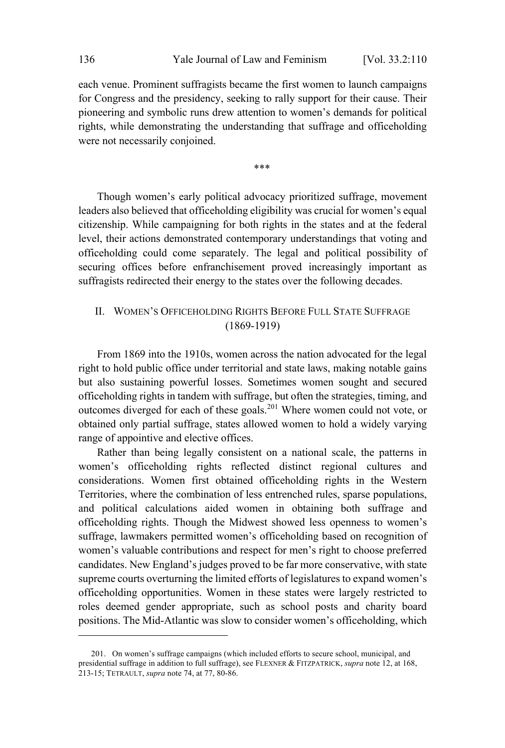each venue. Prominent suffragists became the first women to launch campaigns for Congress and the presidency, seeking to rally support for their cause. Their pioneering and symbolic runs drew attention to women's demands for political rights, while demonstrating the understanding that suffrage and officeholding were not necessarily conjoined.

\*\*\*

Though women's early political advocacy prioritized suffrage, movement leaders also believed that officeholding eligibility was crucial for women's equal citizenship. While campaigning for both rights in the states and at the federal level, their actions demonstrated contemporary understandings that voting and officeholding could come separately. The legal and political possibility of securing offices before enfranchisement proved increasingly important as suffragists redirected their energy to the states over the following decades.

# II. WOMEN'S OFFICEHOLDING RIGHTS BEFORE FULL STATE SUFFRAGE (1869-1919)

From 1869 into the 1910s, women across the nation advocated for the legal right to hold public office under territorial and state laws, making notable gains but also sustaining powerful losses. Sometimes women sought and secured officeholding rights in tandem with suffrage, but often the strategies, timing, and outcomes diverged for each of these goals.<sup>201</sup> Where women could not vote, or obtained only partial suffrage, states allowed women to hold a widely varying range of appointive and elective offices.

Rather than being legally consistent on a national scale, the patterns in women's officeholding rights reflected distinct regional cultures and considerations. Women first obtained officeholding rights in the Western Territories, where the combination of less entrenched rules, sparse populations, and political calculations aided women in obtaining both suffrage and officeholding rights. Though the Midwest showed less openness to women's suffrage, lawmakers permitted women's officeholding based on recognition of women's valuable contributions and respect for men's right to choose preferred candidates. New England's judges proved to be far more conservative, with state supreme courts overturning the limited efforts of legislatures to expand women's officeholding opportunities. Women in these states were largely restricted to roles deemed gender appropriate, such as school posts and charity board positions. The Mid-Atlantic was slow to consider women's officeholding, which

<sup>201.</sup> On women's suffrage campaigns (which included efforts to secure school, municipal, and presidential suffrage in addition to full suffrage), see FLEXNER & FITZPATRICK, *supra* note 12, at 168, 213-15; TETRAULT, *supra* note 74, at 77, 80-86.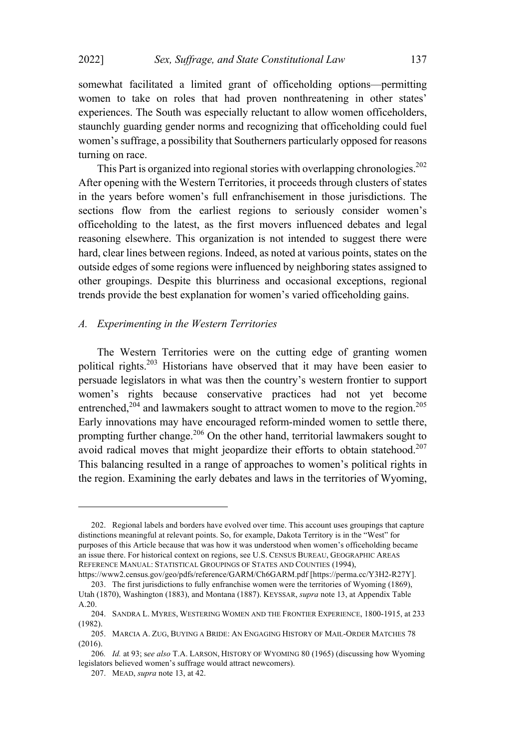somewhat facilitated a limited grant of officeholding options—permitting women to take on roles that had proven nonthreatening in other states' experiences. The South was especially reluctant to allow women officeholders, staunchly guarding gender norms and recognizing that officeholding could fuel women's suffrage, a possibility that Southerners particularly opposed for reasons turning on race.

This Part is organized into regional stories with overlapping chronologies.<sup>202</sup> After opening with the Western Territories, it proceeds through clusters of states in the years before women's full enfranchisement in those jurisdictions. The sections flow from the earliest regions to seriously consider women's officeholding to the latest, as the first movers influenced debates and legal reasoning elsewhere. This organization is not intended to suggest there were hard, clear lines between regions. Indeed, as noted at various points, states on the outside edges of some regions were influenced by neighboring states assigned to other groupings. Despite this blurriness and occasional exceptions, regional trends provide the best explanation for women's varied officeholding gains.

#### *A. Experimenting in the Western Territories*

The Western Territories were on the cutting edge of granting women political rights.<sup>203</sup> Historians have observed that it may have been easier to persuade legislators in what was then the country's western frontier to support women's rights because conservative practices had not yet become entrenched.<sup>204</sup> and lawmakers sought to attract women to move to the region.<sup>205</sup> Early innovations may have encouraged reform-minded women to settle there, prompting further change.<sup>206</sup> On the other hand, territorial lawmakers sought to avoid radical moves that might jeopardize their efforts to obtain statehood.<sup>207</sup> This balancing resulted in a range of approaches to women's political rights in the region. Examining the early debates and laws in the territories of Wyoming,

<sup>202.</sup> Regional labels and borders have evolved over time. This account uses groupings that capture distinctions meaningful at relevant points. So, for example, Dakota Territory is in the "West" for purposes of this Article because that was how it was understood when women's officeholding became an issue there. For historical context on regions, see U.S. CENSUS BUREAU, GEOGRAPHIC AREAS REFERENCE MANUAL: STATISTICAL GROUPINGS OF STATES AND COUNTIES (1994),

https://www2.census.gov/geo/pdfs/reference/GARM/Ch6GARM.pdf [https://perma.cc/Y3H2-R27Y]. 203. The first jurisdictions to fully enfranchise women were the territories of Wyoming (1869), Utah (1870), Washington (1883), and Montana (1887). KEYSSAR, *supra* note 13, at Appendix Table A.20.

<sup>204.</sup> SANDRA L. MYRES, WESTERING WOMEN AND THE FRONTIER EXPERIENCE, 1800-1915, at 233 (1982).

<sup>205.</sup> MARCIA A. ZUG, BUYING A BRIDE: AN ENGAGING HISTORY OF MAIL-ORDER MATCHES 78 (2016).

<sup>206</sup>*. Id.* at 93; s*ee also* T.A. LARSON, HISTORY OF WYOMING 80 (1965) (discussing how Wyoming legislators believed women's suffrage would attract newcomers).

<sup>207.</sup> MEAD, *supra* note 13, at 42.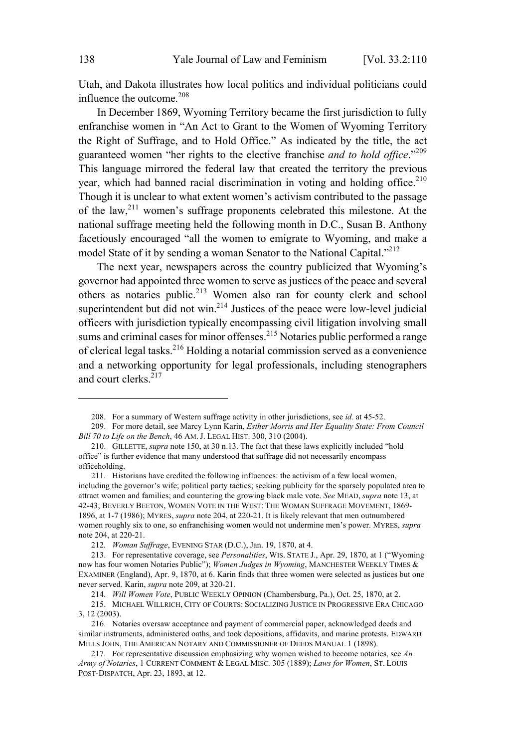Utah, and Dakota illustrates how local politics and individual politicians could influence the outcome. 208

In December 1869, Wyoming Territory became the first jurisdiction to fully enfranchise women in "An Act to Grant to the Women of Wyoming Territory the Right of Suffrage, and to Hold Office." As indicated by the title, the act guaranteed women "her rights to the elective franchise *and to hold office*."<sup>209</sup> This language mirrored the federal law that created the territory the previous year, which had banned racial discrimination in voting and holding office.<sup>210</sup> Though it is unclear to what extent women's activism contributed to the passage of the law,<sup>211</sup> women's suffrage proponents celebrated this milestone. At the national suffrage meeting held the following month in D.C., Susan B. Anthony facetiously encouraged "all the women to emigrate to Wyoming, and make a model State of it by sending a woman Senator to the National Capital."<sup>212</sup>

The next year, newspapers across the country publicized that Wyoming's governor had appointed three women to serve as justices of the peace and several others as notaries public.<sup>213</sup> Women also ran for county clerk and school superintendent but did not win.<sup>214</sup> Justices of the peace were low-level judicial officers with jurisdiction typically encompassing civil litigation involving small sums and criminal cases for minor offenses.<sup>215</sup> Notaries public performed a range of clerical legal tasks.<sup>216</sup> Holding <sup>a</sup> notarial commission served as <sup>a</sup> convenience and a networking opportunity for legal professionals, including stenographers and court clerks.<sup>217</sup>

<sup>208.</sup> For a summary of Western suffrage activity in other jurisdictions, see *id.* at 45-52.

<sup>209.</sup> For more detail, see Marcy Lynn Karin, *Esther Morris and Her Equality State: From Council Bill 70 to Life on the Bench*, 46 AM. J. LEGAL HIST. 300, 310 (2004).

<sup>210.</sup> GILLETTE, *supra* note 150, at 30 n.13. The fact that these laws explicitly included "hold office" is further evidence that many understood that suffrage did not necessarily encompass officeholding.

<sup>211.</sup> Historians have credited the following influences: the activism of a few local women, including the governor's wife; political party tactics; seeking publicity for the sparsely populated area to attract women and families; and countering the growing black male vote. *See* MEAD, *supra* note 13, at 42-43; BEVERLY BEETON, WOMEN VOTE IN THE WEST: THE WOMAN SUFFRAGE MOVEMENT, 1869- 1896, at 1-7 (1986); MYRES, *supra* note 204, at 220-21. It is likely relevant that men outnumbered women roughly six to one, so enfranchising women would not undermine men's power. MYRES, *supra* note 204, at 220-21.

<sup>212</sup>*. Woman Suffrage*, EVENING STAR (D.C.), Jan. 19, 1870, at 4.

<sup>213.</sup> For representative coverage, see *Personalities*, WIS. STATE J., Apr. 29, 1870, at 1 ("Wyoming now has four women Notaries Public"); *Women Judges in Wyoming*, MANCHESTER WEEKLY TIMES & EXAMINER (England), Apr. 9, 1870, at 6. Karin finds that three women were selected as justices but one never served. Karin, *supra* note 209, at 320-21.

<sup>214</sup>*. Will Women Vote*, PUBLIC WEEKLY OPINION (Chambersburg, Pa.), Oct. 25, 1870, at 2.

<sup>215.</sup> MICHAEL WILLRICH, CITY OF COURTS: SOCIALIZING JUSTICE IN PROGRESSIVE ERA CHICAGO 3, 12 (2003).

<sup>216.</sup> Notaries oversaw acceptance and payment of commercial paper, acknowledged deeds and similar instruments, administered oaths, and took depositions, affidavits, and marine protests. EDWARD MILLS JOHN, THE AMERICAN NOTARY AND COMMISSIONER OF DEEDS MANUAL 1 (1898).

<sup>217.</sup> For representative discussion emphasizing why women wished to become notaries, see *An Army of Notaries*, 1 CURRENT COMMENT & LEGAL MISC*.* 305 (1889); *Laws for Women*, ST. LOUIS POST-DISPATCH, Apr. 23, 1893, at 12.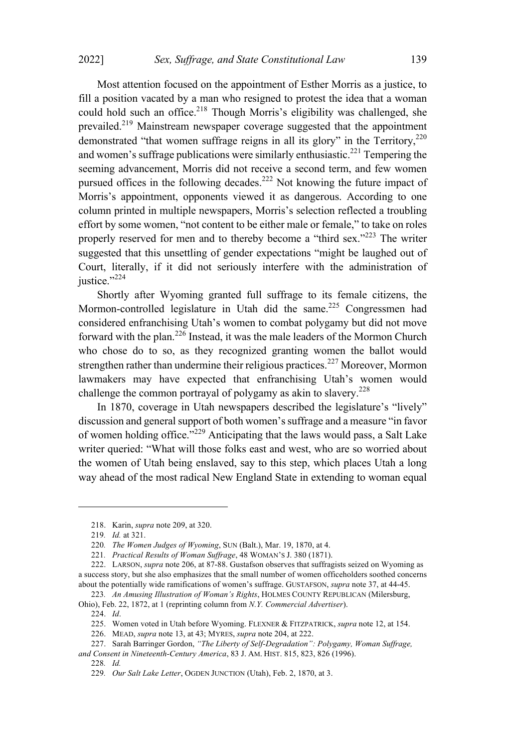Most attention focused on the appointment of Esther Morris as a justice, to fill a position vacated by a man who resigned to protest the idea that a woman could hold such an office.<sup>218</sup> Though Morris's eligibility was challenged, she prevailed.<sup>219</sup> Mainstream newspaper coverage suggested that the appointment demonstrated "that women suffrage reigns in all its glory" in the Territory,  $220$ and women's suffrage publications were similarly enthusiastic.<sup>221</sup> Tempering the seeming advancement, Morris did not receive a second term, and few women pursued offices in the following decades.<sup>222</sup> Not knowing the future impact of Morris's appointment, opponents viewed it as dangerous. According to one column printed in multiple newspapers, Morris's selection reflected a troubling effort by some women, "not content to be either male or female," to take on roles properly reserved for men and to thereby become a "third sex."<sup>223</sup> The writer suggested that this unsettling of gender expectations "might be laughed out of Court, literally, if it did not seriously interfere with the administration of justice."<sup>224</sup>

Shortly after Wyoming granted full suffrage to its female citizens, the Mormon-controlled legislature in Utah did the same.<sup>225</sup> Congressmen had considered enfranchising Utah's women to combat polygamy but did not move forward with the plan.<sup>226</sup> Instead, it was the male leaders of the Mormon Church who chose do to so, as they recognized granting women the ballot would strengthen rather than undermine their religious practices.<sup>227</sup> Moreover, Mormon lawmakers may have expected that enfranchising Utah's women would challenge the common portrayal of polygamy as akin to slavery. 228

In 1870, coverage in Utah newspapers described the legislature's "lively" discussion and general support of both women's suffrage and a measure "in favor of women holding office."<sup>229</sup> Anticipating that the laws would pass, <sup>a</sup> Salt Lake writer queried: "What will those folks east and west, who are so worried about the women of Utah being enslaved, say to this step, which places Utah a long way ahead of the most radical New England State in extending to woman equal

<sup>218.</sup> Karin, *supra* note 209, at 320.

<sup>219</sup>*. Id.* at 321.

<sup>220</sup>*. The Women Judges of Wyoming*, SUN (Balt.), Mar. 19, 1870, at 4.

<sup>221</sup>*. Practical Results of Woman Suffrage*, 48 WOMAN'<sup>S</sup> J. 380 (1871).

<sup>222.</sup> LARSON, *supra* note 206, at 87-88. Gustafson observes that suffragists seized on Wyoming as a success story, but she also emphasizes that the small number of women officeholders soothed concerns about the potentially wide ramifications of women's suffrage. GUSTAFSON, *supra* note 37, at 44-45.

<sup>223</sup>*. An Amusing Illustration of Woman's Rights*, HOLMES COUNTY REPUBLICAN (Milersburg, Ohio), Feb. 22, 1872, at 1 (reprinting column from *N.Y. Commercial Advertiser*).

<sup>224.</sup> *Id*.

<sup>225.</sup> Women voted in Utah before Wyoming. FLEXNER & FITZPATRICK, *supra* note 12, at 154.

<sup>226.</sup> MEAD, *supra* note 13, at 43; MYRES, *supra* note 204, at 222.

<sup>227.</sup> Sarah Barringer Gordon, *"The Liberty of Self-Degradation": Polygamy, Woman Suffrage, and Consent in Nineteenth-Century America*, 83 J. AM. HIST. 815, 823, 826 (1996).

<sup>228</sup>*. Id.*

<sup>229</sup>*. Our Salt Lake Letter*, OGDEN JUNCTION (Utah), Feb. 2, 1870, at 3.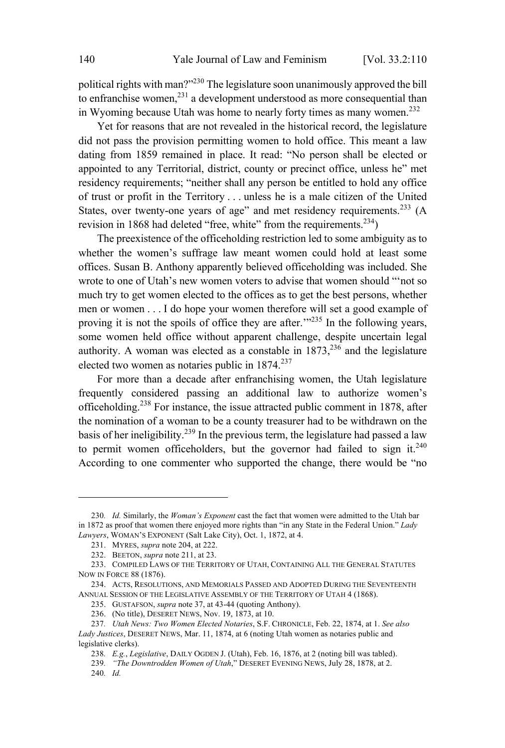political rights with man?"<sup>230</sup> The legislature soon unanimously approved the bill to enfranchise women, <sup>231</sup> <sup>a</sup> development understood as more consequential than in Wyoming because Utah was home to nearly forty times as many women.<sup>232</sup>

Yet for reasons that are not revealed in the historical record, the legislature did not pass the provision permitting women to hold office. This meant a law dating from 1859 remained in place. It read: "No person shall be elected or appointed to any Territorial, district, county or precinct office, unless he" met residency requirements; "neither shall any person be entitled to hold any office of trust or profit in the Territory . . . unless he is a male citizen of the United States, over twenty-one years of age" and met residency requirements.<sup>233</sup> (A revision in 1868 had deleted "free, white" from the requirements.<sup>234</sup>)

The preexistence of the officeholding restriction led to some ambiguity as to whether the women's suffrage law meant women could hold at least some offices. Susan B. Anthony apparently believed officeholding was included. She wrote to one of Utah's new women voters to advise that women should "'not so much try to get women elected to the offices as to get the best persons, whether men or women . . . I do hope your women therefore will set a good example of proving it is not the spoils of office they are after.<sup>'"235</sup> In the following years, some women held office without apparent challenge, despite uncertain legal authority. A woman was elected as a constable in  $1873$ ,  $236$  and the legislature elected two women as notaries public in  $1874.<sup>237</sup>$ 

For more than a decade after enfranchising women, the Utah legislature frequently considered passing an additional law to authorize women's officeholding.<sup>238</sup> For instance, the issue attracted public comment in 1878, after the nomination of a woman to be a county treasurer had to be withdrawn on the basis of her ineligibility.<sup>239</sup> In the previous term, the legislature had passed a law to permit women officeholders, but the governor had failed to sign it.<sup>240</sup> According to one commenter who supported the change, there would be "no

<sup>230</sup>*. Id.* Similarly, the *Woman's Exponent* cast the fact that women were admitted to the Utah bar in 1872 as proof that women there enjoyed more rights than "in any State in the Federal Union." *Lady Lawyers*, WOMAN'<sup>S</sup> EXPONENT (Salt Lake City), Oct. 1, 1872, at 4.

<sup>231.</sup> MYRES, *supra* note 204, at 222.

<sup>232.</sup> BEETON, *supra* note 211, at 23.

<sup>233.</sup> COMPILED LAWS OF THE TERRITORY OF UTAH, CONTAINING ALL THE GENERAL STATUTES NOW IN FORCE 88 (1876).

<sup>234.</sup> ACTS, RESOLUTIONS, AND MEMORIALS PASSED AND ADOPTED DURING THE SEVENTEENTH ANNUAL SESSION OF THE LEGISLATIVE ASSEMBLY OF THE TERRITORY OF UTAH 4 (1868).

<sup>235.</sup> GUSTAFSON, *supra* note 37, at 43-44 (quoting Anthony). 236. (No title), DESERET NEWS, Nov. 19, 1873, at 10.

<sup>237</sup>*. Utah News: Two Women Elected Notaries*, S.F. CHRONICLE, Feb. 22, 1874, at 1. *See also*

*Lady Justices*, DESERET NEWS, Mar. 11, 1874, at 6 (noting Utah women as notaries public and legislative clerks).

<sup>238</sup>*. E.g.*, *Legislative*, DAILY OGDEN J. (Utah), Feb. 16, 1876, at 2 (noting bill was tabled).

<sup>239</sup>*. "The Downtrodden Women of Utah*," DESERET EVENING NEWS, July 28, 1878, at 2. 240*. Id.*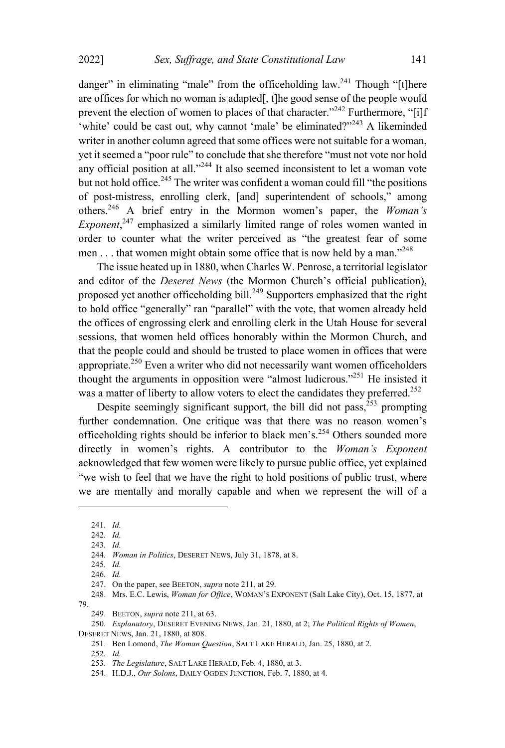danger" in eliminating "male" from the officeholding law.<sup>241</sup> Though "[t]here are offices for which no woman is adapted[, t]he good sense of the people would prevent the election of women to places of that character."<sup>242</sup> Furthermore, "[i]f 'white' could be cast out, why cannot 'male' be eliminated?"<sup>243</sup> A likeminded writer in another column agreed that some offices were not suitable for a woman, yet it seemed a "poor rule" to conclude that she therefore "must not vote nor hold any official position at all."<sup>244</sup> It also seemed inconsistent to let a woman vote but not hold office.<sup>245</sup> The writer was confident a woman could fill "the positions of post-mistress, enrolling clerk, [and] superintendent of schools," among others. <sup>246</sup> <sup>A</sup> brief entry in the Mormon women's paper, the *Woman's Exponent*, <sup>247</sup> emphasized <sup>a</sup> similarly limited range of roles women wanted in order to counter what the writer perceived as "the greatest fear of some men . . . that women might obtain some office that is now held by a man."<sup>248</sup>

The issue heated up in 1880, when Charles W. Penrose, a territorial legislator and editor of the *Deseret News* (the Mormon Church's official publication), proposed yet another officeholding bill.<sup>249</sup> Supporters emphasized that the right to hold office "generally" ran "parallel" with the vote, that women already held the offices of engrossing clerk and enrolling clerk in the Utah House for several sessions, that women held offices honorably within the Mormon Church, and that the people could and should be trusted to place women in offices that were appropriate.<sup>250</sup> Even a writer who did not necessarily want women officeholders thought the arguments in opposition were "almost ludicrous."<sup>251</sup> He insisted it was a matter of liberty to allow voters to elect the candidates they preferred.<sup>252</sup>

Despite seemingly significant support, the bill did not pass, $^{253}$  prompting further condemnation. One critique was that there was no reason women's officeholding rights should be inferior to black men's.<sup>254</sup> Others sounded more directly in women's rights. A contributor to the *Woman's Exponent* acknowledged that few women were likely to pursue public office, yet explained "we wish to feel that we have the right to hold positions of public trust, where we are mentally and morally capable and when we represent the will of a

<sup>241</sup>*. Id.*

<sup>242</sup>*. Id.*

<sup>243</sup>*. Id.*

<sup>244</sup>*. Woman in Politics*, DESERET NEWS, July 31, 1878, at 8.

<sup>245</sup>*. Id.*

<sup>246</sup>*. Id.*

<sup>247.</sup> On the paper, see BEETON, *supra* note 211, at 29.

<sup>248.</sup> Mrs. E.C. Lewis, *Woman for Office*, WOMAN'<sup>S</sup> EXPONENT (Salt Lake City), Oct. 15, 1877, at 79.

<sup>249.</sup> BEETON, *supra* note 211, at 63.

<sup>250</sup>*. Explanatory*, DESERET EVENING NEWS, Jan. 21, 1880, at 2; *The Political Rights of Women*, DESERET NEWS, Jan. 21, 1880, at 808.

<sup>251.</sup> Ben Lomond, *The Woman Question*, SALT LAKE HERALD, Jan. 25, 1880, at 2.

<sup>252</sup>*. Id.*

<sup>253</sup>*. The Legislature*, SALT LAKE HERALD, Feb. 4, 1880, at 3.

<sup>254.</sup> H.D.J., *Our Solons*, DAILY OGDEN JUNCTION, Feb. 7, 1880, at 4.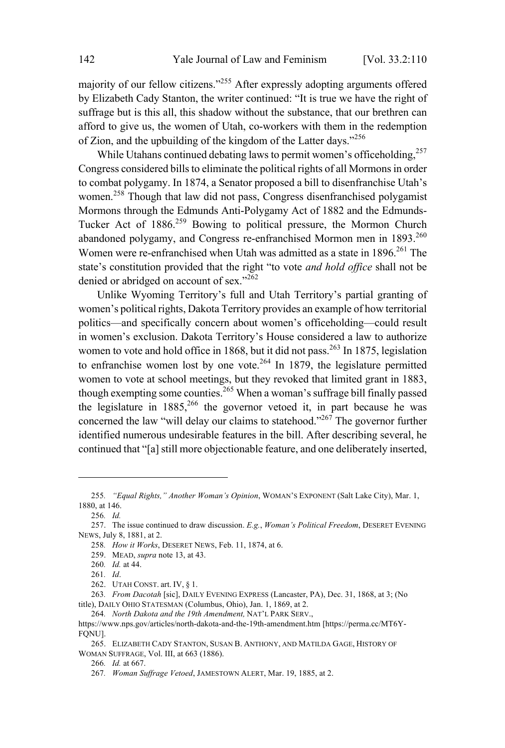majority of our fellow citizens."<sup>255</sup> After expressly adopting arguments offered by Elizabeth Cady Stanton, the writer continued: "It is true we have the right of suffrage but is this all, this shadow without the substance, that our brethren can afford to give us, the women of Utah, co-workers with them in the redemption of Zion, and the upbuilding of the kingdom of the Latter days."<sup>256</sup>

While Utahans continued debating laws to permit women's officeholding, 257 Congress considered bills to eliminate the political rights of all Mormons in order to combat polygamy. In 1874, a Senator proposed a bill to disenfranchise Utah's women.<sup>258</sup> Though that law did not pass, Congress disenfranchised polygamist Mormons through the Edmunds Anti-Polygamy Act of 1882 and the Edmunds-Tucker Act of 1886.<sup>259</sup> Bowing to political pressure, the Mormon Church abandoned polygamy, and Congress re-enfranchised Mormon men in 1893.<sup>260</sup> Women were re-enfranchised when Utah was admitted as a state in 1896.<sup>261</sup> The state's constitution provided that the right "to vote *and hold office* shall not be denied or abridged on account of sex."<sup>262</sup>

Unlike Wyoming Territory's full and Utah Territory's partial granting of women's political rights, Dakota Territory provides an example of how territorial politics—and specifically concern about women's officeholding—could result in women's exclusion. Dakota Territory's House considered a law to authorize women to vote and hold office in 1868, but it did not pass.<sup>263</sup> In 1875, legislation to enfranchise women lost by one vote.<sup>264</sup> In 1879, the legislature permitted women to vote at school meetings, but they revoked that limited grant in 1883, though exempting some counties.<sup>265</sup> When a woman's suffrage bill finally passed the legislature in  $1885$ <sup>266</sup>, the governor vetoed it, in part because he was concerned the law "will delay our claims to statehood."<sup>267</sup> The governor further identified numerous undesirable features in the bill. After describing several, he continued that "[a] still more objectionable feature, and one deliberately inserted,

264*. North Dakota and the 19th Amendment,* NAT'<sup>L</sup> PARK SERV.,

<sup>255</sup>*. "Equal Rights," Another Woman's Opinion*, WOMAN'<sup>S</sup> EXPONENT (Salt Lake City), Mar. 1, 1880, at 146.

<sup>256</sup>*. Id.*

<sup>257.</sup> The issue continued to draw discussion. *E.g.*, *Woman's Political Freedom*, DESERET EVENING NEWS, July 8, 1881, at 2.

<sup>258</sup>*. How it Works*, DESERET NEWS, Feb. 11, 1874, at 6.

<sup>259.</sup> MEAD, *supra* note 13, at 43.

<sup>260</sup>*. Id.* at 44.

<sup>261</sup>*. Id*.

<sup>262.</sup> UTAH CONST. art. IV, § 1.

<sup>263</sup>*. From Dacotah* [sic], DAILY EVENING EXPRESS (Lancaster, PA), Dec. 31, 1868, at 3; (No title), DAILY OHIO STATESMAN (Columbus, Ohio), Jan. 1, 1869, at 2.

https://www.nps.gov/articles/north-dakota-and-the-19th-amendment.htm [https://perma.cc/MT6Y-FQNU].

<sup>265.</sup> ELIZABETH CADY STANTON, SUSAN B. ANTHONY, AND MATILDA GAGE, HISTORY OF WOMAN SUFFRAGE, Vol. III, at 663 (1886).

<sup>266</sup>*. Id.* at 667.

<sup>267</sup>*. Woman Suffrage Vetoed*, JAMESTOWN ALERT, Mar. 19, 1885, at 2.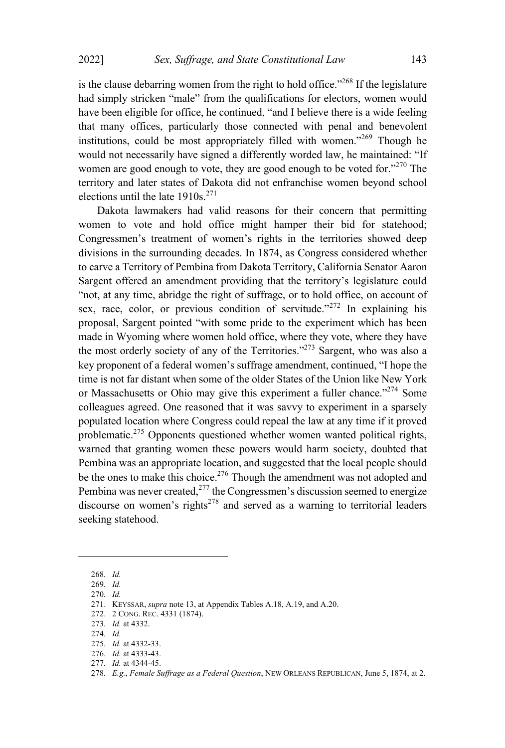is the clause debarring women from the right to hold office.<sup> $268$ </sup> If the legislature had simply stricken "male" from the qualifications for electors, women would have been eligible for office, he continued, "and I believe there is a wide feeling that many offices, particularly those connected with penal and benevolent institutions, could be most appropriately filled with women."<sup>269</sup> Though he would not necessarily have signed a differently worded law, he maintained: "If women are good enough to vote, they are good enough to be voted for. $270$  The territory and later states of Dakota did not enfranchise women beyond school elections until the late  $1910s^{271}$ 

Dakota lawmakers had valid reasons for their concern that permitting women to vote and hold office might hamper their bid for statehood; Congressmen's treatment of women's rights in the territories showed deep divisions in the surrounding decades. In 1874, as Congress considered whether to carve a Territory of Pembina from Dakota Territory, California Senator Aaron Sargent offered an amendment providing that the territory's legislature could "not, at any time, abridge the right of suffrage, or to hold office, on account of sex, race, color, or previous condition of servitude."<sup>272</sup> In explaining his proposal, Sargent pointed "with some pride to the experiment which has been made in Wyoming where women hold office, where they vote, where they have the most orderly society of any of the Territories."<sup> $273$ </sup> Sargent, who was also a key proponent of a federal women's suffrage amendment, continued, "I hope the time is not far distant when some of the older States of the Union like New York or Massachusetts or Ohio may give this experiment a fuller chance."<sup>274</sup> Some colleagues agreed. One reasoned that it was savvy to experiment in a sparsely populated location where Congress could repeal the law at any time if it proved problematic.<sup>275</sup> Opponents questioned whether women wanted political rights, warned that granting women these powers would harm society, doubted that Pembina was an appropriate location, and suggested that the local people should be the ones to make this choice.<sup>276</sup> Though the amendment was not adopted and Pembina was never created,<sup>277</sup> the Congressmen's discussion seemed to energize discourse on women's rights<sup>278</sup> and served as a warning to territorial leaders seeking statehood.

<sup>268</sup>*. Id.*

<sup>269</sup>*. Id.*

<sup>270</sup>*. Id.*

<sup>271.</sup> KEYSSAR, *supra* note 13, at Appendix Tables A.18, A.19, and A.20.

<sup>272.</sup> 2 CONG. REC. 4331 (1874).

<sup>273</sup>*. Id.* at 4332.

<sup>274</sup>*. Id.*

<sup>275</sup>*. Id.* at 4332-33.

<sup>276</sup>*. Id.* at 4333-43.

<sup>277</sup>*. Id.* at 4344-45.

<sup>278</sup>*. E.g.*, *Female Suffrage as a Federal Question*, NEW ORLEANS REPUBLICAN, June 5, 1874, at 2.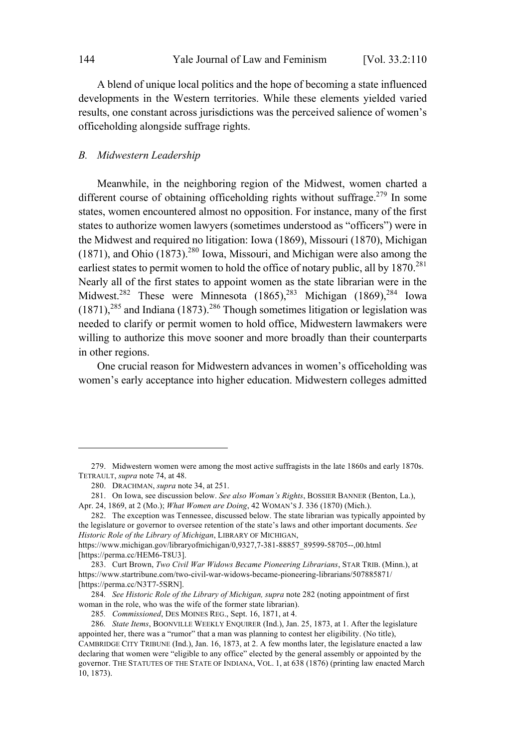A blend of unique local politics and the hope of becoming a state influenced developments in the Western territories. While these elements yielded varied results, one constant across jurisdictions was the perceived salience of women's officeholding alongside suffrage rights.

### *B. Midwestern Leadership*

Meanwhile, in the neighboring region of the Midwest, women charted a different course of obtaining officeholding rights without suffrage.<sup>279</sup> In some states, women encountered almost no opposition. For instance, many of the first states to authorize women lawyers (sometimes understood as "officers") were in the Midwest and required no litigation: Iowa (1869), Missouri (1870), Michigan (1871), and Ohio  $(1873)$ <sup>280</sup> Iowa, Missouri, and Michigan were also among the earliest states to permit women to hold the office of notary public, all by  $1870^{281}$ Nearly all of the first states to appoint women as the state librarian were in the Midwest.<sup>282</sup> These were Minnesota  $(1865)$ ,<sup>283</sup> Michigan  $(1869)$ ,<sup>284</sup> Iowa  $(1871),^{285}$  and Indiana  $(1873).^{286}$  Though sometimes litigation or legislation was needed to clarify or permit women to hold office, Midwestern lawmakers were willing to authorize this move sooner and more broadly than their counterparts in other regions.

One crucial reason for Midwestern advances in women's officeholding was women's early acceptance into higher education. Midwestern colleges admitted

284*. See Historic Role of the Library of Michigan, supra* note 282 (noting appointment of first woman in the role, who was the wife of the former state librarian).

<sup>279.</sup> Midwestern women were among the most active suffragists in the late 1860s and early 1870s. TETRAULT, *supra* note 74, at 48.

<sup>280.</sup> DRACHMAN, *supra* note 34, at 251.

<sup>281.</sup> On Iowa, see discussion below. *See also Woman's Rights*, BOSSIER BANNER (Benton, La.), Apr. 24, 1869, at 2 (Mo.); *What Women are Doing*, 42 WOMAN'<sup>S</sup> J. 336 (1870) (Mich.).

<sup>282.</sup> The exception was Tennessee, discussed below. The state librarian was typically appointed by the legislature or governor to oversee retention of the state's laws and other important documents. *See Historic Role of the Library of Michigan*, LIBRARY OF MICHIGAN,

https://www.michigan.gov/libraryofmichigan/0,9327,7-381-88857\_89599-58705--,00.html [https://perma.cc/HEM6-T8U3].

<sup>283.</sup> Curt Brown, *Two Civil War Widows Became Pioneering Librarians*, STAR TRIB. (Minn.), at https://www.startribune.com/two-civil-war-widows-became-pioneering-librarians/507885871/ [https://perma.cc/N3T7-5SRN].

<sup>285</sup>*. Commissioned*, DES MOINES REG., Sept. 16, 1871, at 4.

<sup>286</sup>*. State Items*, BOONVILLE WEEKLY ENQUIRER (Ind.), Jan. 25, 1873, at 1. After the legislature appointed her, there was a "rumor" that a man was planning to contest her eligibility. (No title), CAMBRIDGE CITY TRIBUNE (Ind.), Jan. 16, 1873, at 2. A few months later, the legislature enacted a law declaring that women were "eligible to any office" elected by the general assembly or appointed by the governor. THE STATUTES OF THE STATE OF INDIANA, VOL. 1, at 638 (1876) (printing law enacted March 10, 1873).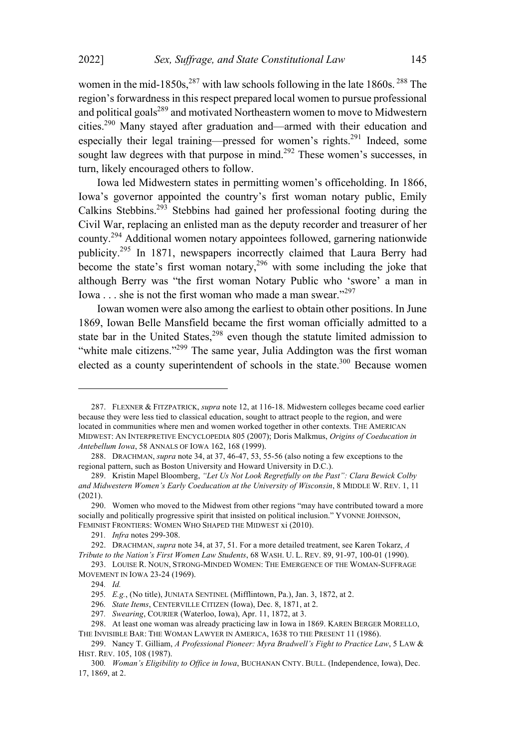women in the mid-1850s,  $287$  with law schools following in the late 1860s.  $288$  The region's forwardness in this respect prepared local women to pursue professional and political goals<sup>289</sup> and motivated Northeastern women to move to Midwestern cities.<sup>290</sup> Many stayed after graduation and—armed with their education and especially their legal training—pressed for women's rights.<sup>291</sup> Indeed, some sought law degrees with that purpose in mind.<sup>292</sup> These women's successes, in turn, likely encouraged others to follow.

Iowa led Midwestern states in permitting women's officeholding. In 1866, Iowa's governor appointed the country's first woman notary public, Emily Calkins Stebbins. <sup>293</sup> Stebbins had gained her professional footing during the Civil War, replacing an enlisted man as the deputy recorder and treasurer of her county.<sup>294</sup> Additional women notary appointees followed, garnering nationwide publicity.<sup>295</sup> In 1871, newspapers incorrectly claimed that Laura Berry had become the state's first woman notary,  $296$  with some including the joke that although Berry was "the first woman Notary Public who 'swore' a man in Iowa . . . she is not the first woman who made a man swear."<sup>297</sup>

Iowan women were also among the earliest to obtain other positions. In June 1869, Iowan Belle Mansfield became the first woman officially admitted to a state bar in the United States, $298$  even though the statute limited admission to "white male citizens."<sup>299</sup> The same year, Julia Addington was the first woman elected as a county superintendent of schools in the state.<sup>300</sup> Because women

<sup>287.</sup> FLEXNER & FITZPATRICK, *supra* note 12, at 116-18. Midwestern colleges became coed earlier because they were less tied to classical education, sought to attract people to the region, and were located in communities where men and women worked together in other contexts. THE AMERICAN MIDWEST: A<sup>N</sup> INTERPRETIVE ENCYCLOPEDIA 805 (2007); Doris Malkmus, *Origins of Coeducation in Antebellum Iowa*, 58 ANNALS OF IOWA 162, 168 (1999).

<sup>288.</sup> DRACHMAN, *supra* note 34, at 37, 46-47, 53, 55-56 (also noting a few exceptions to the regional pattern, such as Boston University and Howard University in D.C.).

<sup>289.</sup> Kristin Mapel Bloomberg, *"Let Us Not Look Regretfully on the Past": Clara Bewick Colby and Midwestern Women's Early Coeducation at the University of Wisconsin*, 8 MIDDLE W. REV. 1, 11 (2021).

<sup>290.</sup> Women who moved to the Midwest from other regions "may have contributed toward a more socially and politically progressive spirit that insisted on political inclusion." YVONNE JOHNSON, FEMINIST FRONTIERS: WOMEN WHO SHAPED THE MIDWEST xi (2010).

<sup>291</sup>*. Infra* notes 299-308.

<sup>292.</sup> DRACHMAN, *supra* note 34, at 37, 51. For a more detailed treatment, see Karen Tokarz, *A Tribute to the Nation's First Women Law Students*, 68 WASH. U. L. REV. 89, 91-97, 100-01 (1990).

<sup>293.</sup> LOUISE R. NOUN, STRONG-MINDED WOMEN: THE EMERGENCE OF THE WOMAN-SUFFRAGE MOVEMENT IN IOWA 23-24 (1969).

<sup>294</sup>*. Id.*

<sup>295</sup>*. E.g.*, (No title), JUNIATA SENTINEL (Mifflintown, Pa.), Jan. 3, 1872, at 2.

<sup>296</sup>*. State Items*, CENTERVILLE CITIZEN (Iowa), Dec. 8, 1871, at 2.

<sup>297</sup>*. Swearing*, COURIER (Waterloo, Iowa), Apr. 11, 1872, at 3.

<sup>298.</sup> At least one woman was already practicing law in Iowa in 1869. KAREN BERGER MORELLO, THE INVISIBLE BAR: THE WOMAN LAWYER IN AMERICA, 1638 TO THE PRESENT 11 (1986).

<sup>299.</sup> Nancy T. Gilliam, *A Professional Pioneer: Myra Bradwell's Fight to Practice Law*, 5 LAW & HIST. REV. 105, 108 (1987).

<sup>300</sup>*. Woman's Eligibility to Office in Iowa*, BUCHANAN CNTY. BULL. (Independence, Iowa), Dec. 17, 1869, at 2.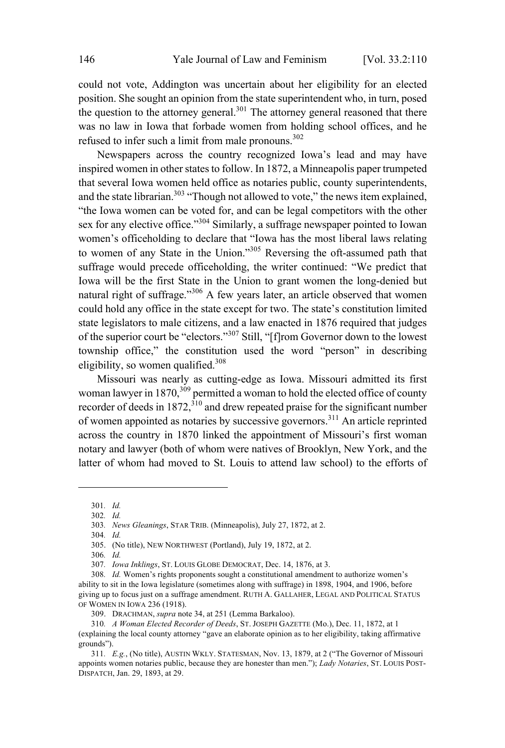could not vote, Addington was uncertain about her eligibility for an elected position. She sought an opinion from the state superintendent who, in turn, posed the question to the attorney general.<sup>301</sup> The attorney general reasoned that there was no law in Iowa that forbade women from holding school offices, and he refused to infer such a limit from male pronouns. $302$ 

Newspapers across the country recognized Iowa's lead and may have inspired women in other states to follow. In 1872, a Minneapolis paper trumpeted that several Iowa women held office as notaries public, county superintendents, and the state librarian.<sup>303</sup> "Though not allowed to vote," the news item explained, "the Iowa women can be voted for, and can be legal competitors with the other sex for any elective office."<sup>304</sup> Similarly, a suffrage newspaper pointed to Iowan women's officeholding to declare that "Iowa has the most liberal laws relating to women of any State in the Union."<sup>305</sup> Reversing the oft-assumed path that suffrage would precede officeholding, the writer continued: "We predict that Iowa will be the first State in the Union to grant women the long-denied but natural right of suffrage."<sup>306</sup> A few years later, an article observed that women could hold any office in the state except for two. The state's constitution limited state legislators to male citizens, and a law enacted in 1876 required that judges of the superior court be "electors." <sup>307</sup> Still, "[f]rom Governor down to the lowest township office," the constitution used the word "person" in describing eligibility, so women qualified.<sup>308</sup>

Missouri was nearly as cutting-edge as Iowa. Missouri admitted its first woman lawyer in  $1870$ ,  $309$  permitted a woman to hold the elected office of county recorder of deeds in 1872,  $3^{10}$  and drew repeated praise for the significant number of women appointed as notaries by successive governors. <sup>311</sup> An article reprinted across the country in 1870 linked the appointment of Missouri's first woman notary and lawyer (both of whom were natives of Brooklyn, New York, and the latter of whom had moved to St. Louis to attend law school) to the efforts of

<sup>301</sup>*. Id.*

<sup>302</sup>*. Id.*

<sup>303</sup>*. News Gleanings*, STAR TRIB. (Minneapolis), July 27, 1872, at 2.

<sup>304</sup>*. Id.*

<sup>305.</sup> (No title), NEW NORTHWEST (Portland), July 19, 1872, at 2.

<sup>306</sup>*. Id.*

<sup>307</sup>*. Iowa Inklings*, ST. LOUIS GLOBE DEMOCRAT, Dec. 14, 1876, at 3.

<sup>308</sup>*. Id.* Women's rights proponents sought a constitutional amendment to authorize women's ability to sit in the Iowa legislature (sometimes along with suffrage) in 1898, 1904, and 1906, before giving up to focus just on a suffrage amendment. RUTH A. GALLAHER, LEGAL AND POLITICAL STATUS OF WOMEN IN IOWA 236 (1918).

<sup>309.</sup> DRACHMAN, *supra* note 34, at 251 (Lemma Barkaloo).

<sup>310</sup>*. A Woman Elected Recorder of Deeds*, ST. JOSEPH GAZETTE (Mo.), Dec. 11, 1872, at 1 (explaining the local county attorney "gave an elaborate opinion as to her eligibility, taking affirmative grounds").

<sup>311</sup>*. E.g.*, (No title), AUSTIN WKLY. STATESMAN, Nov. 13, 1879, at 2 ("The Governor of Missouri appoints women notaries public, because they are honester than men."); *Lady Notaries*, ST. LOUIS POST-DISPATCH, Jan. 29, 1893, at 29.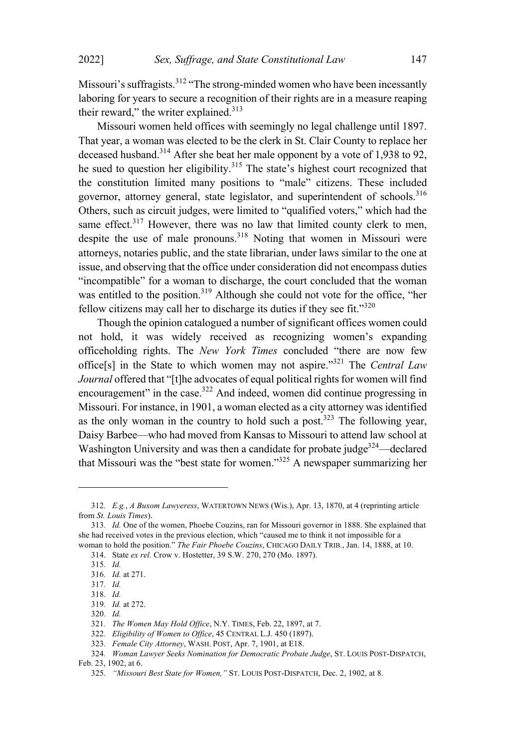Missouri's suffragists.<sup>312</sup> "The strong-minded women who have been incessantly laboring for years to secure a recognition of their rights are in a measure reaping their reward," the writer explained.<sup>313</sup>

Missouri women held offices with seemingly no legal challenge until 1897. That year, a woman was elected to be the clerk in St. Clair County to replace her deceased husband.<sup>314</sup> After she beat her male opponent by <sup>a</sup> vote of 1,938 to 92, he sued to question her eligibility.<sup>315</sup> The state's highest court recognized that the constitution limited many positions to "male" citizens. These included governor, attorney general, state legislator, and superintendent of schools.<sup>316</sup> Others, such as circuit judges, were limited to "qualified voters," which had the same effect.<sup>317</sup> However, there was no law that limited county clerk to men, despite the use of male pronouns.<sup>318</sup> Noting that women in Missouri were attorneys, notaries public, and the state librarian, under laws similar to the one at issue, and observing that the office under consideration did not encompass duties "incompatible" for a woman to discharge, the court concluded that the woman was entitled to the position.<sup>319</sup> Although she could not vote for the office, "her fellow citizens may call her to discharge its duties if they see fit."320

Though the opinion catalogued a number of significant offices women could not hold, it was widely received as recognizing women's expanding officeholding rights. The *New York Times* concluded "there are now few office[s] in the State to which women may not aspire."<sup>321</sup> The *Central Law Journal* offered that "[t]he advocates of equal political rights for women will find encouragement" in the case.<sup>322</sup> And indeed, women did continue progressing in Missouri. For instance, in 1901, a woman elected as a city attorney was identified as the only woman in the country to hold such a post.<sup>323</sup> The following year, Daisy Barbee—who had moved from Kansas to Missouri to attend law school at Washington University and was then a candidate for probate judge<sup>324</sup>—declared that Missouri was the "best state for women."<sup>325</sup> <sup>A</sup> newspaper summarizing her

<sup>312</sup>*. E.g.*, *A Buxom Lawyeress*, WATERTOWN NEWS (Wis.), Apr. 13, 1870, at 4 (reprinting article from *St. Louis Times*).

<sup>313</sup>*. Id.* One of the women, Phoebe Couzins, ran for Missouri governor in 1888. She explained that she had received votes in the previous election, which "caused me to think it not impossible for a woman to hold the position." *The Fair Phoebe Couzins*, CHICAGO DAILY TRIB., Jan. 14, 1888, at 10.

<sup>314.</sup> State *ex rel.* Crow v. Hostetter, 39 S.W. 270, 270 (Mo. 1897).

<sup>315</sup>*. Id.*

<sup>316</sup>*. Id.* at 271.

<sup>317</sup>*. Id.*

<sup>318</sup>*. Id.*

<sup>319</sup>*. Id.* at 272.

<sup>320</sup>*. Id.*

<sup>321</sup>*. The Women May Hold Office*, N.Y. TIMES, Feb. 22, 1897, at 7.

<sup>322</sup>*. Eligibility of Women to Office*, 45 CENTRAL L.J. 450 (1897).

<sup>323</sup>*. Female City Attorney*, WASH. POST, Apr. 7, 1901, at E18.

<sup>324</sup>*. Woman Lawyer Seeks Nomination for Democratic Probate Judge*, ST. LOUIS POST-DISPATCH,

Feb. 23, 1902, at 6.

<sup>325</sup>*. "Missouri Best State for Women,"* ST. LOUIS POST-DISPATCH, Dec. 2, 1902, at 8.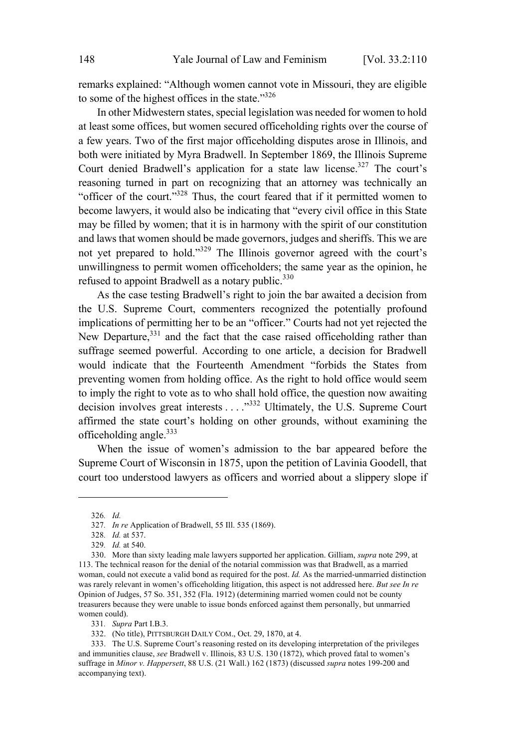remarks explained: "Although women cannot vote in Missouri, they are eligible to some of the highest offices in the state."<sup>326</sup>

In other Midwestern states, special legislation was needed for women to hold at least some offices, but women secured officeholding rights over the course of a few years. Two of the first major officeholding disputes arose in Illinois, and both were initiated by Myra Bradwell. In September 1869, the Illinois Supreme Court denied Bradwell's application for a state law license.<sup>327</sup> The court's reasoning turned in part on recognizing that an attorney was technically an "officer of the court."<sup>328</sup> Thus, the court feared that if it permitted women to become lawyers, it would also be indicating that "every civil office in this State may be filled by women; that it is in harmony with the spirit of our constitution and laws that women should be made governors, judges and sheriffs. This we are not yet prepared to hold."<sup>329</sup> The Illinois governor agreed with the court's unwillingness to permit women officeholders; the same year as the opinion, he refused to appoint Bradwell as a notary public. $330$ 

As the case testing Bradwell's right to join the bar awaited a decision from the U.S. Supreme Court, commenters recognized the potentially profound implications of permitting her to be an "officer." Courts had not yet rejected the New Departure,<sup>331</sup> and the fact that the case raised officeholding rather than suffrage seemed powerful. According to one article, a decision for Bradwell would indicate that the Fourteenth Amendment "forbids the States from preventing women from holding office. As the right to hold office would seem to imply the right to vote as to who shall hold office, the question now awaiting decision involves great interests . . . ."<sup>332</sup> Ultimately, the U.S. Supreme Court affirmed the state court's holding on other grounds, without examining the officeholding angle. $333$ 

When the issue of women's admission to the bar appeared before the Supreme Court of Wisconsin in 1875, upon the petition of Lavinia Goodell, that court too understood lawyers as officers and worried about a slippery slope if

<sup>326</sup>*. Id.*

<sup>327</sup>*. In re* Application of Bradwell, 55 Ill. 535 (1869).

<sup>328</sup>*. Id.* at 537.

<sup>329</sup>*. Id.* at 540.

<sup>330.</sup> More than sixty leading male lawyers supported her application. Gilliam, *supra* note 299, at 113. The technical reason for the denial of the notarial commission was that Bradwell, as a married woman, could not execute a valid bond as required for the post. *Id.* As the married-unmarried distinction was rarely relevant in women's officeholding litigation, this aspect is not addressed here. *But see In re* Opinion of Judges, 57 So. 351, 352 (Fla. 1912) (determining married women could not be county treasurers because they were unable to issue bonds enforced against them personally, but unmarried women could).

<sup>331</sup>*. Supra* Part I.B.3.

<sup>332.</sup> (No title), PITTSBURGH DAILY COM., Oct. 29, 1870, at 4.

<sup>333.</sup> The U.S. Supreme Court's reasoning rested on its developing interpretation of the privileges and immunities clause, *see* Bradwell v. Illinois, 83 U.S. 130 (1872), which proved fatal to women's suffrage in *Minor v. Happersett*, 88 U.S. (21 Wall.) 162 (1873) (discussed *supra* notes 199-200 and accompanying text).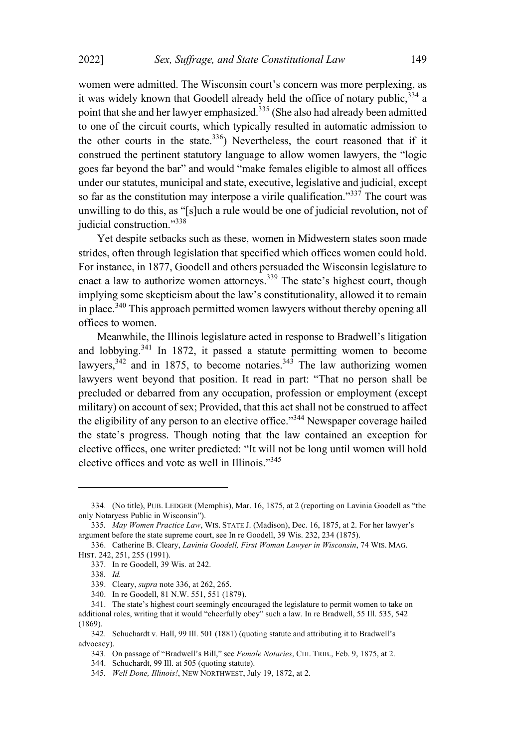women were admitted. The Wisconsin court's concern was more perplexing, as it was widely known that Goodell already held the office of notary public,  $334$  a point that she and her lawyer emphasized.<sup>335</sup> (She also had already been admitted to one of the circuit courts, which typically resulted in automatic admission to the other courts in the state. $336$ ) Nevertheless, the court reasoned that if it construed the pertinent statutory language to allow women lawyers, the "logic goes far beyond the bar" and would "make females eligible to almost all offices under our statutes, municipal and state, executive, legislative and judicial, except so far as the constitution may interpose a virile qualification."<sup>337</sup> The court was unwilling to do this, as "[s]uch a rule would be one of judicial revolution, not of judicial construction."338

Yet despite setbacks such as these, women in Midwestern states soon made strides, often through legislation that specified which offices women could hold. For instance, in 1877, Goodell and others persuaded the Wisconsin legislature to enact a law to authorize women attorneys.<sup>339</sup> The state's highest court, though implying some skepticism about the law's constitutionality, allowed it to remain in place.<sup>340</sup> This approach permitted women lawyers without thereby opening all offices to women.

Meanwhile, the Illinois legislature acted in response to Bradwell's litigation and lobbying.<sup>341</sup> In 1872, it passed <sup>a</sup> statute permitting women to become lawyers,  $342$  and in 1875, to become notaries.  $343$  The law authorizing women lawyers went beyond that position. It read in part: "That no person shall be precluded or debarred from any occupation, profession or employment (except military) on account of sex; Provided, that this act shall not be construed to affect the eligibility of any person to an elective office."<sup>344</sup> Newspaper coverage hailed the state's progress. Though noting that the law contained an exception for elective offices, one writer predicted: "It will not be long until women will hold elective offices and vote as well in Illinois."<sup>345</sup>

340. In re Goodell, 81 N.W. 551, 551 (1879).

<sup>334.</sup> (No title), PUB. LEDGER (Memphis), Mar. 16, 1875, at 2 (reporting on Lavinia Goodell as "the only Notaryess Public in Wisconsin").

<sup>335</sup>*. May Women Practice Law*, WIS. STATE J. (Madison), Dec. 16, 1875, at 2. For her lawyer's argument before the state supreme court, see In re Goodell, 39 Wis. 232, 234 (1875).

<sup>336.</sup> Catherine B. Cleary, *Lavinia Goodell, First Woman Lawyer in Wisconsin*, 74 WIS. MAG. HIST. 242, 251, 255 (1991).

<sup>337.</sup> In re Goodell, 39 Wis. at 242.

<sup>338</sup>*. Id.*

<sup>339.</sup> Cleary, *supra* note 336, at 262, 265.

<sup>341.</sup> The state's highest court seemingly encouraged the legislature to permit women to take on additional roles, writing that it would "cheerfully obey" such a law. In re Bradwell, 55 Ill. 535, 542 (1869).

<sup>342.</sup> Schuchardt v. Hall, 99 Ill. 501 (1881) (quoting statute and attributing it to Bradwell's advocacy).

<sup>343.</sup> On passage of "Bradwell's Bill," see *Female Notaries*, CHI. TRIB., Feb. 9, 1875, at 2.

<sup>344.</sup> Schuchardt, 99 Ill. at 505 (quoting statute).

<sup>345</sup>*. Well Done, Illinois!*, NEW NORTHWEST, July 19, 1872, at 2.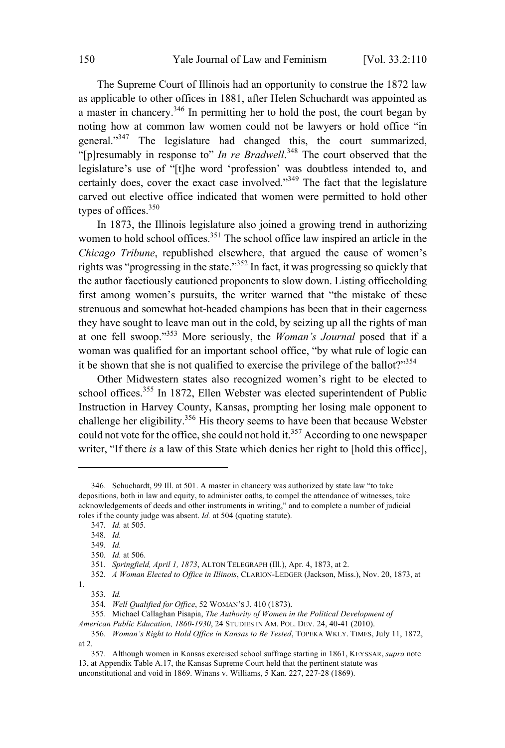The Supreme Court of Illinois had an opportunity to construe the 1872 law as applicable to other offices in 1881, after Helen Schuchardt was appointed as a master in chancery.<sup>346</sup> In permitting her to hold the post, the court began by noting how at common law women could not be lawyers or hold office "in general."<sup>347</sup> The legislature had changed this, the court summarized, "[p]resumably in response to" *In re Bradwell*. <sup>348</sup> The court observed that the legislature's use of "[t]he word 'profession' was doubtless intended to, and certainly does, cover the exact case involved."<sup>349</sup> The fact that the legislature carved out elective office indicated that women were permitted to hold other types of offices.<sup>350</sup>

In 1873, the Illinois legislature also joined a growing trend in authorizing women to hold school offices.<sup>351</sup> The school office law inspired an article in the *Chicago Tribune*, republished elsewhere, that argued the cause of women's rights was "progressing in the state."<sup>352</sup> In fact, it was progressing so quickly that the author facetiously cautioned proponents to slow down. Listing officeholding first among women's pursuits, the writer warned that "the mistake of these strenuous and somewhat hot-headed champions has been that in their eagerness they have sought to leave man out in the cold, by seizing up all the rights of man at one fell swoop." <sup>353</sup> More seriously, the *Woman's Journal* posed that if <sup>a</sup> woman was qualified for an important school office, "by what rule of logic can it be shown that she is not qualified to exercise the privilege of the ballot?"<sup>354</sup>

Other Midwestern states also recognized women's right to be elected to school offices.<sup>355</sup> In 1872, Ellen Webster was elected superintendent of Public Instruction in Harvey County, Kansas, prompting her losing male opponent to challenge her eligibility.<sup>356</sup> His theory seems to have been that because Webster could not vote for the office, she could not hold it.<sup>357</sup> According to one newspaper writer, "If there *is* a law of this State which denies her right to [hold this office],

<sup>346.</sup> Schuchardt, 99 Ill. at 501. A master in chancery was authorized by state law "to take depositions, both in law and equity, to administer oaths, to compel the attendance of witnesses, take acknowledgements of deeds and other instruments in writing," and to complete a number of judicial roles if the county judge was absent. *Id.* at 504 (quoting statute).

<sup>347</sup>*. Id.* at 505.

<sup>348</sup>*. Id.*

<sup>349</sup>*. Id.*

<sup>350</sup>*. Id.* at 506.

<sup>351</sup>*. Springfield, April 1, 1873*, ALTON TELEGRAPH (Ill.), Apr. 4, 1873, at 2.

<sup>352</sup>*. A Woman Elected to Office in Illinois*, CLARION-LEDGER (Jackson, Miss.), Nov. 20, 1873, at

<sup>1.</sup>

<sup>353</sup>*. Id.*

<sup>354</sup>*. Well Qualified for Office*, 52 WOMAN'<sup>S</sup> J. 410 (1873).

<sup>355.</sup> Michael Callaghan Pisapia, *The Authority of Women in the Political Development of*

*American Public Education, 1860-1930*, 24 STUDIES IN AM. POL. DEV. 24, 40-41 (2010).

<sup>356</sup>*. Woman's Right to Hold Office in Kansas to Be Tested*, TOPEKA WKLY. TIMES, July 11, 1872, at 2.

<sup>357.</sup> Although women in Kansas exercised school suffrage starting in 1861, KEYSSAR, *supra* note 13, at Appendix Table A.17, the Kansas Supreme Court held that the pertinent statute was unconstitutional and void in 1869. Winans v. Williams, 5 Kan. 227, 227-28 (1869).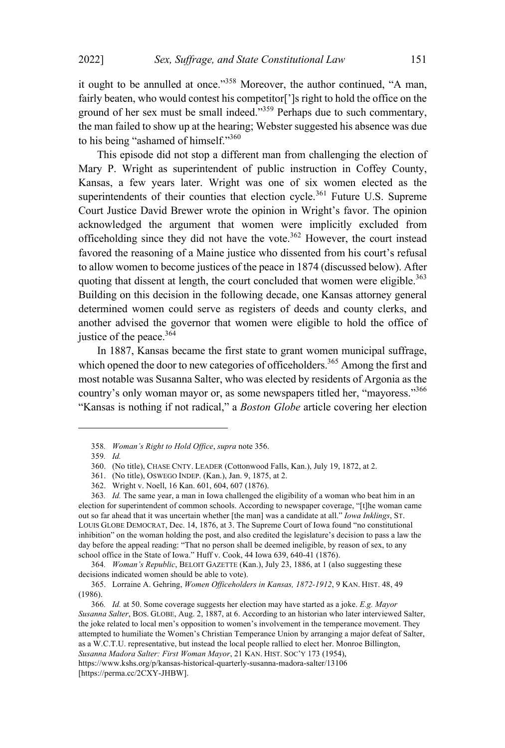it ought to be annulled at once."<sup>358</sup> Moreover, the author continued, "A man, fairly beaten, who would contest his competitor[']s right to hold the office on the ground of her sex must be small indeed."<sup>359</sup> Perhaps due to such commentary, the man failed to show up at the hearing; Webster suggested his absence was due to his being "ashamed of himself."360

This episode did not stop a different man from challenging the election of Mary P. Wright as superintendent of public instruction in Coffey County, Kansas, a few years later. Wright was one of six women elected as the superintendents of their counties that election cycle.<sup>361</sup> Future U.S. Supreme Court Justice David Brewer wrote the opinion in Wright's favor. The opinion acknowledged the argument that women were implicitly excluded from officeholding since they did not have the vote.<sup>362</sup> However, the court instead favored the reasoning of a Maine justice who dissented from his court's refusal to allow women to become justices of the peace in 1874 (discussed below). After quoting that dissent at length, the court concluded that women were eligible.<sup>363</sup> Building on this decision in the following decade, one Kansas attorney general determined women could serve as registers of deeds and county clerks, and another advised the governor that women were eligible to hold the office of justice of the peace.<sup>364</sup>

In 1887, Kansas became the first state to grant women municipal suffrage, which opened the door to new categories of officeholders.<sup>365</sup> Among the first and most notable was Susanna Salter, who was elected by residents of Argonia as the country's only woman mayor or, as some newspapers titled her, "mayoress."<sup>366</sup> "Kansas is nothing if not radical," a *Boston Globe* article covering her election

364*. Woman's Republic*, BELOIT GAZETTE (Kan.), July 23, 1886, at 1 (also suggesting these decisions indicated women should be able to vote).

<sup>358</sup>*. Woman's Right to Hold Office*, *supra* note 356.

<sup>359</sup>*. Id.*

<sup>360.</sup> (No title), CHASE CNTY. LEADER (Cottonwood Falls, Kan.), July 19, 1872, at 2.

<sup>361.</sup> (No title), OSWEGO INDEP. (Kan.), Jan. 9, 1875, at 2.

<sup>362.</sup> Wright v. Noell, 16 Kan. 601, 604, 607 (1876).

<sup>363</sup>*. Id.* The same year, a man in Iowa challenged the eligibility of a woman who beat him in an election for superintendent of common schools. According to newspaper coverage, "[t]he woman came out so far ahead that it was uncertain whether [the man] was a candidate at all." *Iowa Inklings*, ST. LOUIS GLOBE DEMOCRAT, Dec. 14, 1876, at 3. The Supreme Court of Iowa found "no constitutional inhibition" on the woman holding the post, and also credited the legislature's decision to pass a law the day before the appeal reading: "That no person shall be deemed ineligible, by reason of sex, to any school office in the State of Iowa." Huff v. Cook, 44 Iowa 639, 640-41 (1876).

<sup>365.</sup> Lorraine A. Gehring, *Women Officeholders in Kansas, 1872-1912*, 9 KAN. HIST. 48, 49 (1986).

<sup>366</sup>*. Id.* at 50. Some coverage suggests her election may have started as a joke. *E.g. Mayor Susanna Salter*, BOS. GLOBE, Aug. 2, 1887, at 6. According to an historian who later interviewed Salter, the joke related to local men's opposition to women's involvement in the temperance movement. They attempted to humiliate the Women's Christian Temperance Union by arranging a major defeat of Salter, as a W.C.T.U. representative, but instead the local people rallied to elect her. Monroe Billington, *Susanna Madora Salter: First Woman Mayor*, 21 KAN. HIST. SOC'<sup>Y</sup> 173 (1954), https://www.kshs.org/p/kansas-historical-quarterly-susanna-madora-salter/13106 [https://perma.cc/2CXY-JHBW].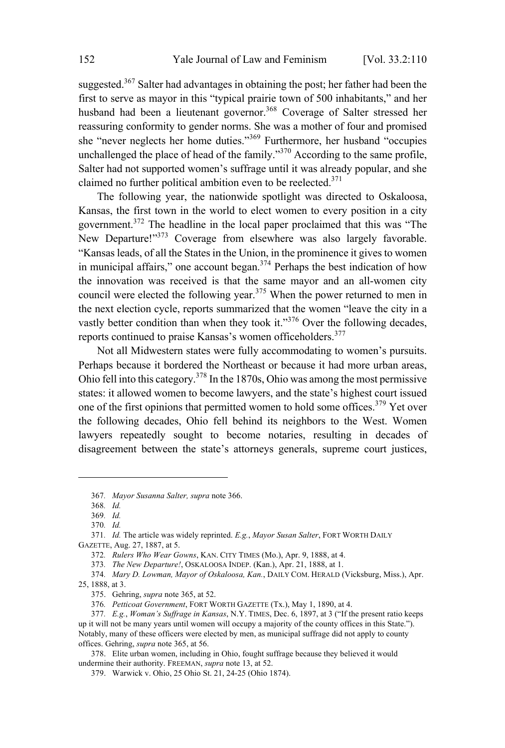suggested.<sup>367</sup> Salter had advantages in obtaining the post; her father had been the first to serve as mayor in this "typical prairie town of 500 inhabitants," and her husband had been a lieutenant governor.<sup>368</sup> Coverage of Salter stressed her reassuring conformity to gender norms. She was a mother of four and promised she "never neglects her home duties." <sup>369</sup> Furthermore, her husband "occupies unchallenged the place of head of the family."<sup>370</sup> According to the same profile, Salter had not supported women's suffrage until it was already popular, and she claimed no further political ambition even to be reelected. $371$ 

The following year, the nationwide spotlight was directed to Oskaloosa, Kansas, the first town in the world to elect women to every position in a city government. <sup>372</sup> The headline in the local paper proclaimed that this was "The New Departure!"<sup>373</sup> Coverage from elsewhere was also largely favorable. "Kansas leads, of all the States in the Union, in the prominence it gives to women in municipal affairs," one account began.<sup>374</sup> Perhaps the best indication of how the innovation was received is that the same mayor and an all-women city council were elected the following year. <sup>375</sup> When the power returned to men in the next election cycle, reports summarized that the women "leave the city in a vastly better condition than when they took it." $376$  Over the following decades, reports continued to praise Kansas's women officeholders. 377

Not all Midwestern states were fully accommodating to women's pursuits. Perhaps because it bordered the Northeast or because it had more urban areas, Ohio fell into this category.<sup>378</sup> In the 1870s, Ohio was among the most permissive states: it allowed women to become lawyers, and the state's highest court issued one of the first opinions that permitted women to hold some offices.<sup>379</sup> Yet over the following decades, Ohio fell behind its neighbors to the West. Women lawyers repeatedly sought to become notaries, resulting in decades of disagreement between the state's attorneys generals, supreme court justices,

<sup>367</sup>*. Mayor Susanna Salter, supra* note 366.

<sup>368</sup>*. Id.*

<sup>369</sup>*. Id.*

<sup>370</sup>*. Id.*

<sup>371</sup>*. Id.* The article was widely reprinted. *E.g.*, *Mayor Susan Salter*, FORT WORTH DAILY GAZETTE, Aug. 27, 1887, at 5.

<sup>372</sup>*. Rulers Who Wear Gowns*, KAN. CITY TIMES (Mo.), Apr. 9, 1888, at 4.

<sup>373</sup>*. The New Departure!*, OSKALOOSA INDEP. (Kan.), Apr. 21, 1888, at 1.

<sup>374</sup>*. Mary D. Lowman, Mayor of Oskaloosa, Kan.*, DAILY COM. HERALD (Vicksburg, Miss.), Apr. 25, 1888, at 3.

<sup>375.</sup> Gehring, *supra* note 365, at 52.

<sup>376</sup>*. Petticoat Government*, FORT WORTH GAZETTE (Tx.), May 1, 1890, at 4.

<sup>377</sup>*. E.g.*, *Woman's Suffrage in Kansas*, N.Y. TIMES, Dec. 6, 1897, at 3 ("If the present ratio keeps up it will not be many years until women will occupy a majority of the county offices in this State."). Notably, many of these officers were elected by men, as municipal suffrage did not apply to county offices. Gehring, *supra* note 365, at 56.

<sup>378.</sup> Elite urban women, including in Ohio, fought suffrage because they believed it would undermine their authority. FREEMAN, *supra* note 13, at 52.

<sup>379.</sup> Warwick v. Ohio, 25 Ohio St. 21, 24-25 (Ohio 1874).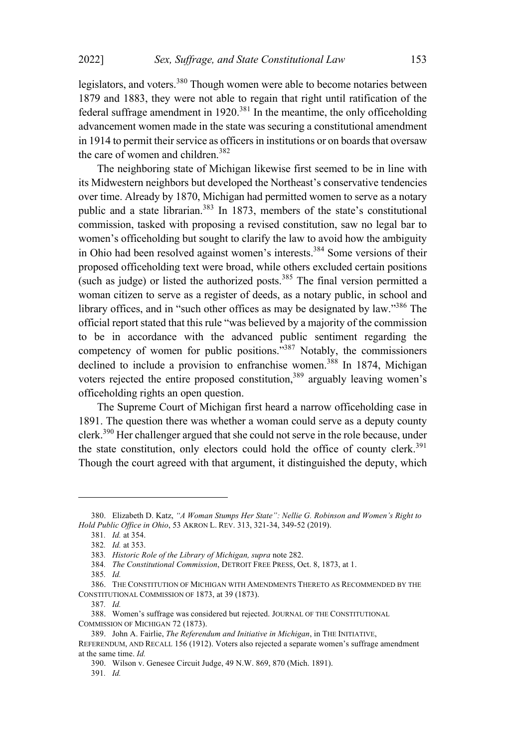legislators, and voters.<sup>380</sup> Though women were able to become notaries between 1879 and 1883, they were not able to regain that right until ratification of the federal suffrage amendment in 1920.<sup>381</sup> In the meantime, the only officeholding advancement women made in the state was securing a constitutional amendment in 1914 to permit their service as officers in institutions or on boards that oversaw the care of women and children. 382

The neighboring state of Michigan likewise first seemed to be in line with its Midwestern neighbors but developed the Northeast's conservative tendencies over time. Already by 1870, Michigan had permitted women to serve as a notary public and a state librarian.<sup>383</sup> In 1873, members of the state's constitutional commission, tasked with proposing a revised constitution, saw no legal bar to women's officeholding but sought to clarify the law to avoid how the ambiguity in Ohio had been resolved against women's interests.<sup>384</sup> Some versions of their proposed officeholding text were broad, while others excluded certain positions (such as judge) or listed the authorized posts.<sup>385</sup> The final version permitted a woman citizen to serve as a register of deeds, as a notary public, in school and library offices, and in "such other offices as may be designated by law."<sup>386</sup> The official report stated that this rule "was believed by a majority of the commission to be in accordance with the advanced public sentiment regarding the competency of women for public positions. $\frac{1}{2}$ <sup>387</sup> Notably, the commissioners declined to include a provision to enfranchise women.<sup>388</sup> In 1874, Michigan voters rejected the entire proposed constitution, <sup>389</sup> arguably leaving women's officeholding rights an open question.

The Supreme Court of Michigan first heard a narrow officeholding case in 1891. The question there was whether a woman could serve as a deputy county clerk.<sup>390</sup> Her challenger argued that she could not serve in the role because, under the state constitution, only electors could hold the office of county clerk. 391 Though the court agreed with that argument, it distinguished the deputy, which

387*. Id.*

<sup>380.</sup> Elizabeth D. Katz, *"A Woman Stumps Her State": Nellie G. Robinson and Women's Right to Hold Public Office in Ohio*, 53 AKRON L. REV. 313, 321-34, 349-52 (2019).

<sup>381</sup>*. Id.* at 354.

<sup>382</sup>*. Id.* at 353.

<sup>383</sup>*. Historic Role of the Library of Michigan, supra* note 282.

<sup>384</sup>*. The Constitutional Commission*, DETROIT FREE PRESS, Oct. 8, 1873, at 1.

<sup>385</sup>*. Id.*

<sup>386.</sup> THE CONSTITUTION OF MICHIGAN WITH AMENDMENTS THERETO AS RECOMMENDED BY THE CONSTITUTIONAL COMMISSION OF 1873, at 39 (1873).

<sup>388.</sup> Women's suffrage was considered but rejected. JOURNAL OF THE CONSTITUTIONAL COMMISSION OF MICHIGAN 72 (1873).

<sup>389.</sup> John A. Fairlie, *The Referendum and Initiative in Michigan*, in THE INITIATIVE,

REFERENDUM, AND RECALL 156 (1912). Voters also rejected a separate women's suffrage amendment at the same time. *Id.*

<sup>390.</sup> Wilson v. Genesee Circuit Judge, 49 N.W. 869, 870 (Mich. 1891).

<sup>391</sup>*. Id.*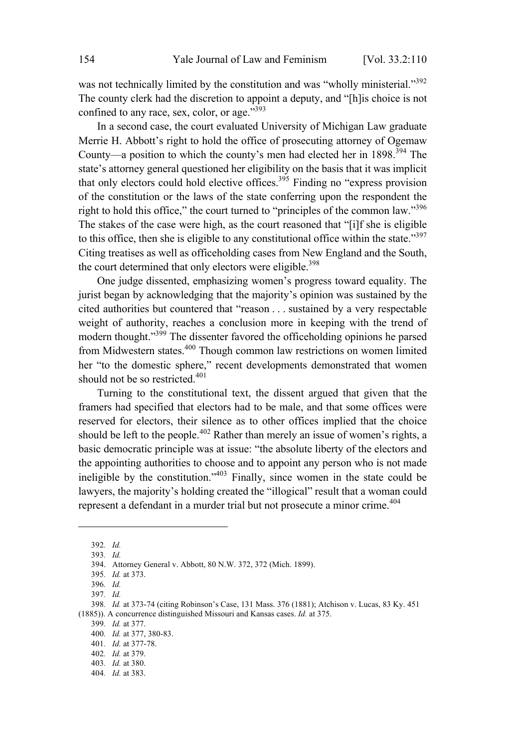was not technically limited by the constitution and was "wholly ministerial."<sup>392</sup> The county clerk had the discretion to appoint a deputy, and "[h]is choice is not confined to any race, sex, color, or age."<sup>393</sup>

In a second case, the court evaluated University of Michigan Law graduate Merrie H. Abbott's right to hold the office of prosecuting attorney of Ogemaw County—a position to which the county's men had elected her in 1898.<sup>394</sup> The state's attorney general questioned her eligibility on the basis that it was implicit that only electors could hold elective offices.<sup>395</sup> Finding no "express provision" of the constitution or the laws of the state conferring upon the respondent the right to hold this office," the court turned to "principles of the common law."<sup>396</sup> The stakes of the case were high, as the court reasoned that "[i]f she is eligible to this office, then she is eligible to any constitutional office within the state." $397$ Citing treatises as well as officeholding cases from New England and the South, the court determined that only electors were eligible.<sup>398</sup>

One judge dissented, emphasizing women's progress toward equality. The jurist began by acknowledging that the majority's opinion was sustained by the cited authorities but countered that "reason . . . sustained by a very respectable weight of authority, reaches a conclusion more in keeping with the trend of modern thought."<sup>399</sup> The dissenter favored the officeholding opinions he parsed from Midwestern states.<sup>400</sup> Though common law restrictions on women limited her "to the domestic sphere," recent developments demonstrated that women should not be so restricted. 401

Turning to the constitutional text, the dissent argued that given that the framers had specified that electors had to be male, and that some offices were reserved for electors, their silence as to other offices implied that the choice should be left to the people.<sup>402</sup> Rather than merely an issue of women's rights, a basic democratic principle was at issue: "the absolute liberty of the electors and the appointing authorities to choose and to appoint any person who is not made ineligible by the constitution."<sup>403</sup> Finally, since women in the state could be lawyers, the majority's holding created the "illogical" result that a woman could represent a defendant in a murder trial but not prosecute a minor crime. 404

<sup>392</sup>*. Id.*

<sup>393</sup>*. Id.*

<sup>394.</sup> Attorney General v. Abbott, 80 N.W. 372, 372 (Mich. 1899).

<sup>395</sup>*. Id.* at 373.

<sup>396</sup>*. Id.*

<sup>397</sup>*. Id.*

<sup>398</sup>*. Id.* at 373-74 (citing Robinson's Case, 131 Mass. 376 (1881); Atchison v. Lucas, 83 Ky. 451 (1885)). A concurrence distinguished Missouri and Kansas cases. *Id.* at 375.

<sup>399</sup>*. Id.* at 377.

<sup>400</sup>*. Id.* at 377, 380-83.

<sup>401</sup>*. Id.* at 377-78.

<sup>402</sup>*. Id.* at 379.

<sup>403</sup>*. Id.* at 380.

<sup>404</sup>*. Id.* at 383.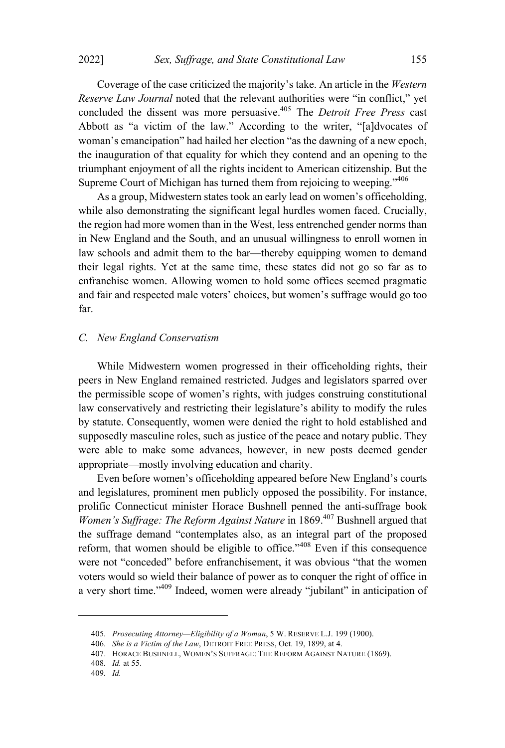Coverage of the case criticized the majority's take. An article in the *Western Reserve Law Journal* noted that the relevant authorities were "in conflict," yet concluded the dissent was more persuasive. <sup>405</sup> The *Detroit Free Press* cast Abbott as "a victim of the law." According to the writer, "[a]dvocates of woman's emancipation" had hailed her election "as the dawning of a new epoch, the inauguration of that equality for which they contend and an opening to the triumphant enjoyment of all the rights incident to American citizenship. But the Supreme Court of Michigan has turned them from rejoicing to weeping."406

As a group, Midwestern states took an early lead on women's officeholding, while also demonstrating the significant legal hurdles women faced. Crucially, the region had more women than in the West, less entrenched gender norms than in New England and the South, and an unusual willingness to enroll women in law schools and admit them to the bar—thereby equipping women to demand their legal rights. Yet at the same time, these states did not go so far as to enfranchise women. Allowing women to hold some offices seemed pragmatic and fair and respected male voters' choices, but women's suffrage would go too far.

## *C. New England Conservatism*

While Midwestern women progressed in their officeholding rights, their peers in New England remained restricted. Judges and legislators sparred over the permissible scope of women's rights, with judges construing constitutional law conservatively and restricting their legislature's ability to modify the rules by statute. Consequently, women were denied the right to hold established and supposedly masculine roles, such as justice of the peace and notary public. They were able to make some advances, however, in new posts deemed gender appropriate—mostly involving education and charity.

Even before women's officeholding appeared before New England's courts and legislatures, prominent men publicly opposed the possibility. For instance, prolific Connecticut minister Horace Bushnell penned the anti-suffrage book *Women's Suffrage: The Reform Against Nature* in 1869.<sup>407</sup> Bushnell argued that the suffrage demand "contemplates also, as an integral part of the proposed reform, that women should be eligible to office." $408$  Even if this consequence were not "conceded" before enfranchisement, it was obvious "that the women voters would so wield their balance of power as to conquer the right of office in a very short time." <sup>409</sup> Indeed, women were already "jubilant" in anticipation of

<sup>405</sup>*. Prosecuting Attorney—Eligibility of a Woman*, 5 W. RESERVE L.J. 199 (1900).

<sup>406</sup>*. She is a Victim of the Law*, DETROIT FREE PRESS, Oct. 19, 1899, at 4.

<sup>407.</sup> HORACE BUSHNELL, WOMEN'S SUFFRAGE: THE REFORM AGAINST NATURE (1869).

<sup>408</sup>*. Id.* at 55.

<sup>409</sup>*. Id.*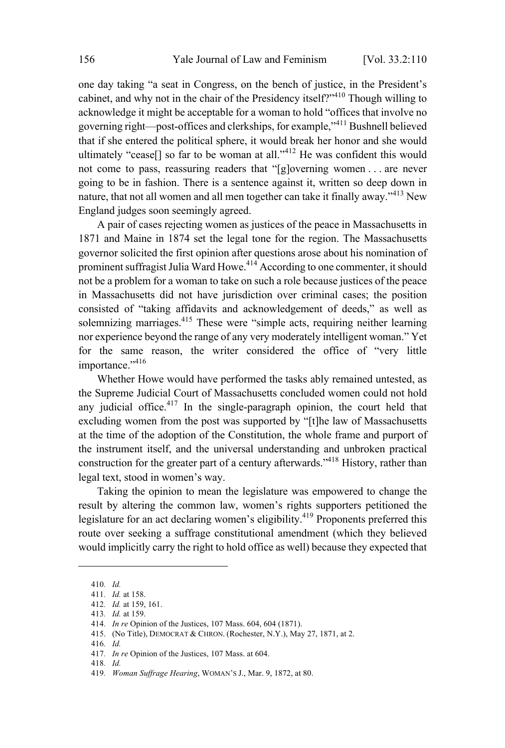one day taking "a seat in Congress, on the bench of justice, in the President's cabinet, and why not in the chair of the Presidency itself?"<sup>410</sup> Though willing to acknowledge it might be acceptable for a woman to hold "offices that involve no governing right—post-offices and clerkships, for example,"<sup>411</sup> Bushnell believed that if she entered the political sphere, it would break her honor and she would ultimately "cease<sup>[]</sup> so far to be woman at all."<sup>412</sup> He was confident this would not come to pass, reassuring readers that "[g]overning women . . . are never going to be in fashion. There is a sentence against it, written so deep down in nature, that not all women and all men together can take it finally away." <sup>413</sup> New England judges soon seemingly agreed.

A pair of cases rejecting women as justices of the peace in Massachusetts in 1871 and Maine in 1874 set the legal tone for the region. The Massachusetts governor solicited the first opinion after questions arose about his nomination of prominent suffragist Julia Ward Howe.<sup>414</sup> According to one commenter, it should not be a problem for a woman to take on such a role because justices of the peace in Massachusetts did not have jurisdiction over criminal cases; the position consisted of "taking affidavits and acknowledgement of deeds," as well as solemnizing marriages.<sup>415</sup> These were "simple acts, requiring neither learning nor experience beyond the range of any very moderately intelligent woman." Yet for the same reason, the writer considered the office of "very little importance."<sup>416</sup>

Whether Howe would have performed the tasks ably remained untested, as the Supreme Judicial Court of Massachusetts concluded women could not hold any judicial office.<sup>417</sup> In the single-paragraph opinion, the court held that excluding women from the post was supported by "[t]he law of Massachusetts at the time of the adoption of the Constitution, the whole frame and purport of the instrument itself, and the universal understanding and unbroken practical construction for the greater part of a century afterwards.<sup> $,418$ </sup> History, rather than legal text, stood in women's way.

Taking the opinion to mean the legislature was empowered to change the result by altering the common law, women's rights supporters petitioned the legislature for an act declaring women's eligibility.<sup>419</sup> Proponents preferred this route over seeking a suffrage constitutional amendment (which they believed would implicitly carry the right to hold office as well) because they expected that

418*. Id.*

<sup>410</sup>*. Id.*

<sup>411</sup>*. Id.* at 158.

<sup>412</sup>*. Id.* at 159, 161.

<sup>413</sup>*. Id.* at 159.

<sup>414</sup>*. In re* Opinion of the Justices, 107 Mass. 604, 604 (1871).

<sup>415.</sup> (No Title), DEMOCRAT & CHRON. (Rochester, N.Y.), May 27, 1871, at 2.

<sup>416</sup>*. Id.*

<sup>417</sup>*. In re* Opinion of the Justices, 107 Mass. at 604.

<sup>419</sup>*. Woman Suffrage Hearing*, WOMAN'<sup>S</sup> J., Mar. 9, 1872, at 80.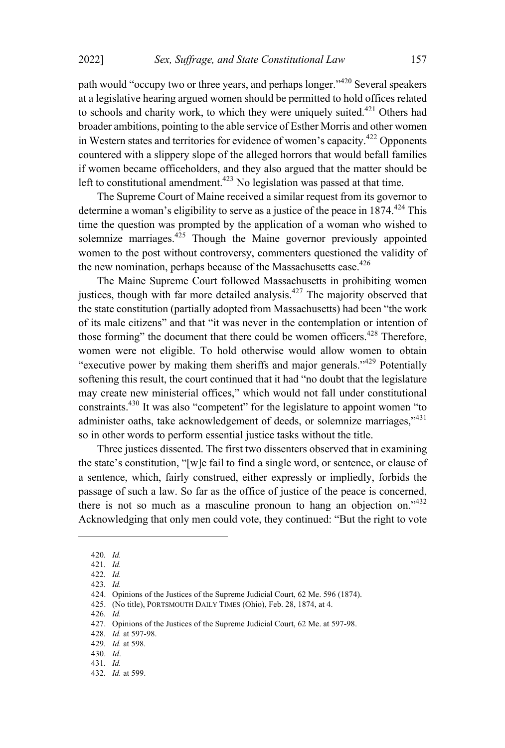path would "occupy two or three years, and perhaps longer."<sup>420</sup> Several speakers at a legislative hearing argued women should be permitted to hold offices related to schools and charity work, to which they were uniquely suited. <sup>421</sup> Others had broader ambitions, pointing to the able service of Esther Morris and other women in Western states and territories for evidence of women's capacity.<sup>422</sup> Opponents countered with a slippery slope of the alleged horrors that would befall families if women became officeholders, and they also argued that the matter should be left to constitutional amendment.<sup> $423$ </sup> No legislation was passed at that time.

The Supreme Court of Maine received a similar request from its governor to determine a woman's eligibility to serve as a justice of the peace in  $1874.<sup>424</sup>$  This time the question was prompted by the application of a woman who wished to solemnize marriages. $425$  Though the Maine governor previously appointed women to the post without controversy, commenters questioned the validity of the new nomination, perhaps because of the Massachusetts case. $426$ 

The Maine Supreme Court followed Massachusetts in prohibiting women justices, though with far more detailed analysis. $427$  The majority observed that the state constitution (partially adopted from Massachusetts) had been "the work of its male citizens" and that "it was never in the contemplation or intention of those forming" the document that there could be women officers.<sup>428</sup> Therefore, women were not eligible. To hold otherwise would allow women to obtain "executive power by making them sheriffs and major generals."<sup>429</sup> Potentially softening this result, the court continued that it had "no doubt that the legislature may create new ministerial offices," which would not fall under constitutional constraints.<sup>430</sup> It was also "competent" for the legislature to appoint women "to administer oaths, take acknowledgement of deeds, or solemnize marriages,"431 so in other words to perform essential justice tasks without the title.

Three justices dissented. The first two dissenters observed that in examining the state's constitution, "[w]e fail to find a single word, or sentence, or clause of a sentence, which, fairly construed, either expressly or impliedly, forbids the passage of such a law. So far as the office of justice of the peace is concerned, there is not so much as a masculine pronoun to hang an objection on."432 Acknowledging that only men could vote, they continued: "But the right to vote

426*. Id.*

<sup>420</sup>*. Id.*

<sup>421</sup>*. Id.*

<sup>422</sup>*. Id.*

<sup>423</sup>*. Id.*

<sup>424.</sup> Opinions of the Justices of the Supreme Judicial Court, 62 Me. 596 (1874).

<sup>425.</sup> (No title), PORTSMOUTH DAILY TIMES (Ohio), Feb. 28, 1874, at 4.

<sup>427.</sup> Opinions of the Justices of the Supreme Judicial Court, 62 Me. at 597-98.

<sup>428</sup>*. Id.* at 597-98.

<sup>429</sup>*. Id.* at 598.

<sup>430.</sup> *Id*.

<sup>431</sup>*. Id.*

<sup>432</sup>*. Id.* at 599.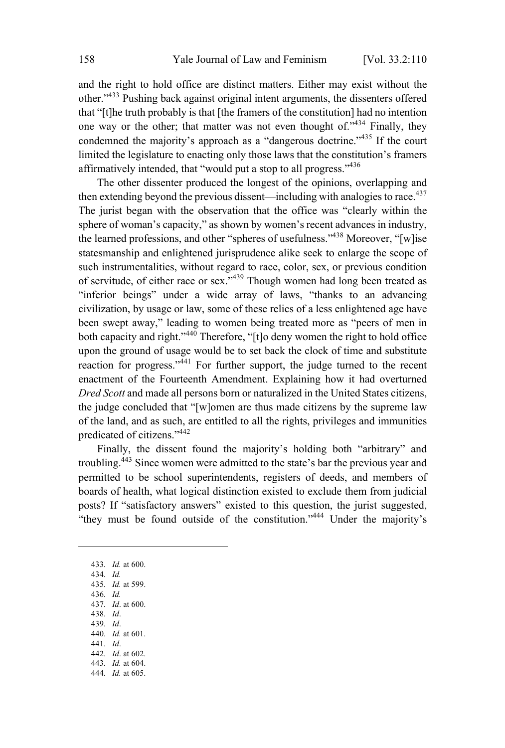and the right to hold office are distinct matters. Either may exist without the other."<sup>433</sup> Pushing back against original intent arguments, the dissenters offered that "[t]he truth probably is that [the framers of the constitution] had no intention one way or the other; that matter was not even thought of."<sup>434</sup> Finally, they condemned the majority's approach as a "dangerous doctrine."<sup>435</sup> If the court limited the legislature to enacting only those laws that the constitution's framers affirmatively intended, that "would put a stop to all progress."<sup>436</sup>

The other dissenter produced the longest of the opinions, overlapping and then extending beyond the previous dissent—including with analogies to race.<sup>437</sup> The jurist began with the observation that the office was "clearly within the sphere of woman's capacity," as shown by women's recent advances in industry, the learned professions, and other "spheres of usefulness."<sup>438</sup> Moreover, "[w]ise statesmanship and enlightened jurisprudence alike seek to enlarge the scope of such instrumentalities, without regard to race, color, sex, or previous condition of servitude, of either race or sex."<sup>439</sup> Though women had long been treated as "inferior beings" under a wide array of laws, "thanks to an advancing civilization, by usage or law, some of these relics of a less enlightened age have been swept away," leading to women being treated more as "peers of men in both capacity and right."<sup>440</sup> Therefore, "[t]o deny women the right to hold office upon the ground of usage would be to set back the clock of time and substitute reaction for progress."<sup>441</sup> For further support, the judge turned to the recent enactment of the Fourteenth Amendment. Explaining how it had overturned *Dred Scott* and made all persons born or naturalized in the United States citizens, the judge concluded that "[w]omen are thus made citizens by the supreme law of the land, and as such, are entitled to all the rights, privileges and immunities predicated of citizens."<sup>442</sup>

Finally, the dissent found the majority's holding both "arbitrary" and troubling.<sup>443</sup> Since women were admitted to the state's bar the previous year and permitted to be school superintendents, registers of deeds, and members of boards of health, what logical distinction existed to exclude them from judicial posts? If "satisfactory answers" existed to this question, the jurist suggested, "they must be found outside of the constitution."<sup>444</sup> Under the majority's

433*. Id.* at 600. 434*. Id.* 435*. Id.* at 599. 436*. Id.* 437*. Id*. at 600. 438*. Id*. 439*. Id*. 440*. Id.* at 601. 441*. Id*. 442*. Id*. at 602. 443*. Id.* at 604. 444*. Id.* at 605.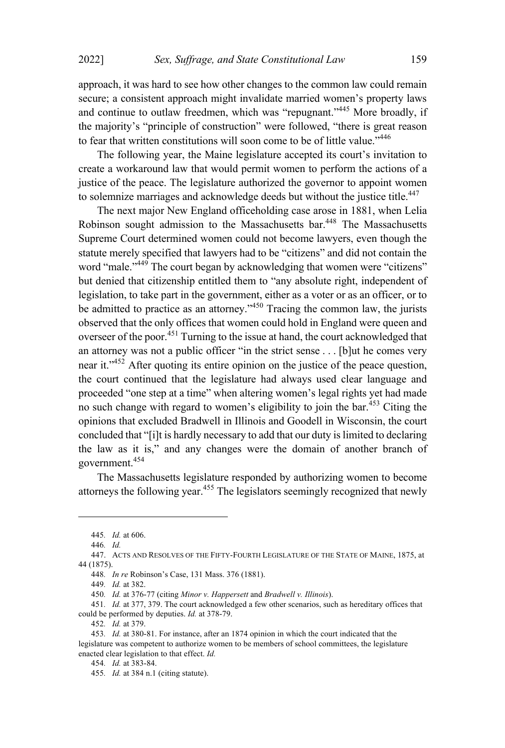approach, it was hard to see how other changes to the common law could remain secure; a consistent approach might invalidate married women's property laws and continue to outlaw freedmen, which was "repugnant."<sup>445</sup> More broadly, if the majority's "principle of construction" were followed, "there is great reason to fear that written constitutions will soon come to be of little value."<sup>446</sup>

The following year, the Maine legislature accepted its court's invitation to create a workaround law that would permit women to perform the actions of a justice of the peace. The legislature authorized the governor to appoint women to solemnize marriages and acknowledge deeds but without the justice title.<sup>447</sup>

The next major New England officeholding case arose in 1881, when Lelia Robinson sought admission to the Massachusetts bar.<sup>448</sup> The Massachusetts Supreme Court determined women could not become lawyers, even though the statute merely specified that lawyers had to be "citizens" and did not contain the word "male."<sup>449</sup> The court began by acknowledging that women were "citizens" but denied that citizenship entitled them to "any absolute right, independent of legislation, to take part in the government, either as a voter or as an officer, or to be admitted to practice as an attorney."<sup>450</sup> Tracing the common law, the jurists observed that the only offices that women could hold in England were queen and overseer of the poor.<sup>451</sup> Turning to the issue at hand, the court acknowledged that an attorney was not a public officer "in the strict sense . . . [b]ut he comes very near it."<sup>452</sup> After quoting its entire opinion on the justice of the peace question, the court continued that the legislature had always used clear language and proceeded "one step at a time" when altering women's legal rights yet had made no such change with regard to women's eligibility to join the bar.<sup>453</sup> Citing the opinions that excluded Bradwell in Illinois and Goodell in Wisconsin, the court concluded that "[i]t is hardly necessary to add that our duty is limited to declaring the law as it is," and any changes were the domain of another branch of government. 454

The Massachusetts legislature responded by authorizing women to become attorneys the following year. <sup>455</sup> The legislators seemingly recognized that newly

452*. Id.* at 379.

<sup>445</sup>*. Id.* at 606.

<sup>446</sup>*. Id.*

<sup>447.</sup> ACTS AND RESOLVES OF THE FIFTY-FOURTH LEGISLATURE OF THE STATE OF MAINE, 1875, at 44 (1875).

<sup>448</sup>*. In re* Robinson's Case, 131 Mass. 376 (1881).

<sup>449</sup>*. Id.* at 382.

<sup>450</sup>*. Id.* at 376-77 (citing *Minor v. Happersett* and *Bradwell v. Illinois*).

<sup>451</sup>*. Id.* at 377, 379. The court acknowledged a few other scenarios, such as hereditary offices that could be performed by deputies. *Id.* at 378-79.

<sup>453</sup>*. Id.* at 380-81. For instance, after an 1874 opinion in which the court indicated that the legislature was competent to authorize women to be members of school committees, the legislature enacted clear legislation to that effect. *Id.*

<sup>454</sup>*. Id.* at 383-84.

<sup>455</sup>*. Id.* at 384 n.1 (citing statute).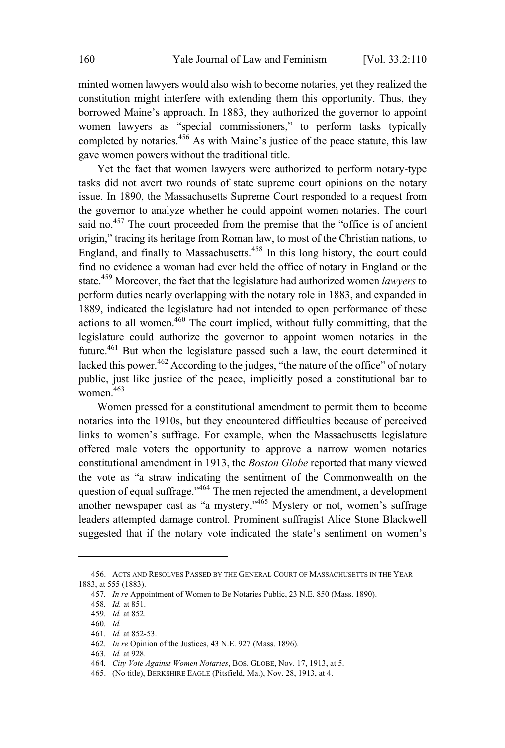minted women lawyers would also wish to become notaries, yet they realized the constitution might interfere with extending them this opportunity. Thus, they borrowed Maine's approach. In 1883, they authorized the governor to appoint women lawyers as "special commissioners," to perform tasks typically completed by notaries. $456$  As with Maine's justice of the peace statute, this law gave women powers without the traditional title.

Yet the fact that women lawyers were authorized to perform notary-type tasks did not avert two rounds of state supreme court opinions on the notary issue. In 1890, the Massachusetts Supreme Court responded to a request from the governor to analyze whether he could appoint women notaries. The court said no.<sup>457</sup> The court proceeded from the premise that the "office is of ancient origin," tracing its heritage from Roman law, to most of the Christian nations, to England, and finally to Massachusetts.<sup>458</sup> In this long history, the court could find no evidence a woman had ever held the office of notary in England or the state.<sup>459</sup> Moreover, the fact that the legislature had authorized women *lawyers* to perform duties nearly overlapping with the notary role in 1883, and expanded in 1889, indicated the legislature had not intended to open performance of these actions to all women. $460$  The court implied, without fully committing, that the legislature could authorize the governor to appoint women notaries in the future. <sup>461</sup> But when the legislature passed such <sup>a</sup> law, the court determined it lacked this power.<sup>462</sup> According to the judges, "the nature of the office" of notary public, just like justice of the peace, implicitly posed a constitutional bar to women. 463

Women pressed for a constitutional amendment to permit them to become notaries into the 1910s, but they encountered difficulties because of perceived links to women's suffrage. For example, when the Massachusetts legislature offered male voters the opportunity to approve a narrow women notaries constitutional amendment in 1913, the *Boston Globe* reported that many viewed the vote as "a straw indicating the sentiment of the Commonwealth on the question of equal suffrage."<sup>464</sup> The men rejected the amendment, a development another newspaper cast as "a mystery."<sup>465</sup> Mystery or not, women's suffrage leaders attempted damage control. Prominent suffragist Alice Stone Blackwell suggested that if the notary vote indicated the state's sentiment on women's

<sup>456.</sup> ACTS AND RESOLVES PASSED BY THE GENERAL COURT OF MASSACHUSETTS IN THE YEAR 1883, at 555 (1883).

<sup>457</sup>*. In re* Appointment of Women to Be Notaries Public, 23 N.E. 850 (Mass. 1890).

<sup>458</sup>*. Id.* at 851.

<sup>459</sup>*. Id.* at 852.

<sup>460</sup>*. Id.*

<sup>461</sup>*. Id.* at 852-53.

<sup>462</sup>*. In re* Opinion of the Justices, 43 N.E. 927 (Mass. 1896).

<sup>463</sup>*. Id.* at 928.

<sup>464</sup>*. City Vote Against Women Notaries*, BOS. GLOBE, Nov. 17, 1913, at 5.

<sup>465.</sup> (No title), BERKSHIRE EAGLE (Pitsfield, Ma.), Nov. 28, 1913, at 4.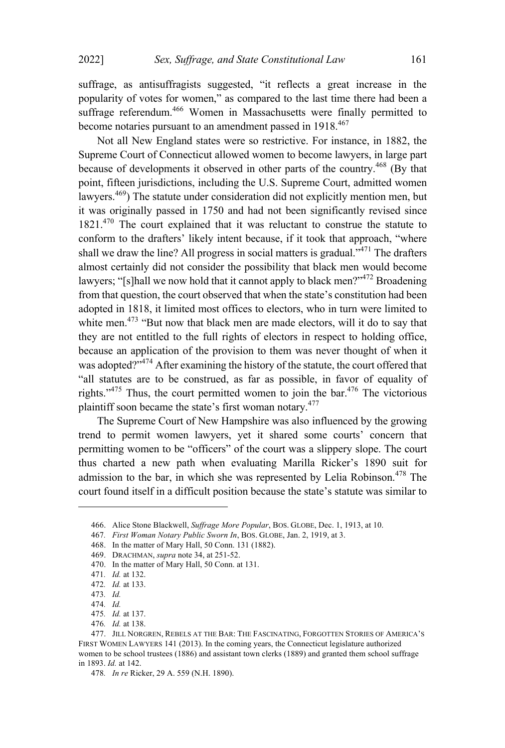suffrage, as antisuffragists suggested, "it reflects a great increase in the popularity of votes for women," as compared to the last time there had been a suffrage referendum.<sup>466</sup> Women in Massachusetts were finally permitted to become notaries pursuant to an amendment passed in 1918.<sup>467</sup>

Not all New England states were so restrictive. For instance, in 1882, the Supreme Court of Connecticut allowed women to become lawyers, in large part because of developments it observed in other parts of the country.<sup>468</sup> (By that point, fifteen jurisdictions, including the U.S. Supreme Court, admitted women lawyers.<sup>469</sup>) The statute under consideration did not explicitly mention men, but it was originally passed in 1750 and had not been significantly revised since  $1821<sup>470</sup>$  The court explained that it was reluctant to construe the statute to conform to the drafters' likely intent because, if it took that approach, "where shall we draw the line? All progress in social matters is gradual."<sup>471</sup> The drafters almost certainly did not consider the possibility that black men would become lawyers; "[s]hall we now hold that it cannot apply to black men?"<sup>472</sup> Broadening from that question, the court observed that when the state's constitution had been adopted in 1818, it limited most offices to electors, who in turn were limited to white men.<sup>473</sup> "But now that black men are made electors, will it do to say that they are not entitled to the full rights of electors in respect to holding office, because an application of the provision to them was never thought of when it was adopted?"<sup>474</sup> After examining the history of the statute, the court offered that "all statutes are to be construed, as far as possible, in favor of equality of rights."<sup>475</sup> Thus, the court permitted women to join the bar.<sup>476</sup> The victorious plaintiff soon became the state's first woman notary.<sup>477</sup>

The Supreme Court of New Hampshire was also influenced by the growing trend to permit women lawyers, yet it shared some courts' concern that permitting women to be "officers" of the court was a slippery slope. The court thus charted a new path when evaluating Marilla Ricker's 1890 suit for admission to the bar, in which she was represented by Lelia Robinson.<sup>478</sup> The court found itself in a difficult position because the state's statute was similar to

<sup>466.</sup> Alice Stone Blackwell, *Suffrage More Popular*, BOS. GLOBE, Dec. 1, 1913, at 10.

<sup>467</sup>*. First Woman Notary Public Sworn In*, BOS. GLOBE, Jan. 2, 1919, at 3.

<sup>468.</sup> In the matter of Mary Hall, 50 Conn. 131 (1882).

<sup>469.</sup> DRACHMAN, *supra* note 34, at 251-52.

<sup>470.</sup> In the matter of Mary Hall, 50 Conn. at 131.

<sup>471</sup>*. Id.* at 132.

<sup>472</sup>*. Id.* at 133.

<sup>473</sup>*. Id.*

<sup>474</sup>*. Id.*

<sup>475</sup>*. Id.* at 137.

<sup>476</sup>*. Id.* at 138.

<sup>477.</sup> JILL NORGREN, REBELS AT THE BAR: THE FASCINATING, FORGOTTEN STORIES OF AMERICA'S FIRST WOMEN LAWYERS 141 (2013). In the coming years, the Connecticut legislature authorized women to be school trustees (1886) and assistant town clerks (1889) and granted them school suffrage in 1893. *Id.* at 142.

<sup>478</sup>*. In re* Ricker, 29 A. 559 (N.H. 1890).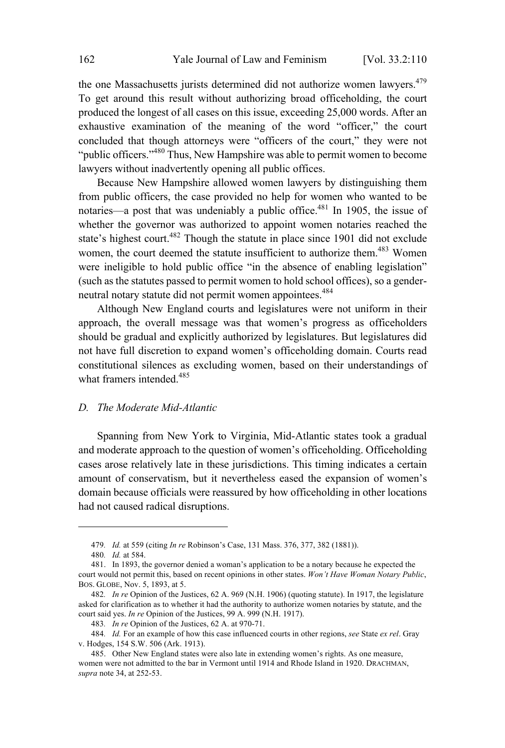the one Massachusetts jurists determined did not authorize women lawyers.<sup>479</sup> To get around this result without authorizing broad officeholding, the court produced the longest of all cases on this issue, exceeding 25,000 words. After an exhaustive examination of the meaning of the word "officer," the court concluded that though attorneys were "officers of the court," they were not "public officers."<sup>480</sup> Thus, New Hampshire was able to permit women to become lawyers without inadvertently opening all public offices.

Because New Hampshire allowed women lawyers by distinguishing them from public officers, the case provided no help for women who wanted to be notaries—a post that was undeniably a public office.<sup>481</sup> In 1905, the issue of whether the governor was authorized to appoint women notaries reached the state's highest court.<sup>482</sup> Though the statute in place since 1901 did not exclude women, the court deemed the statute insufficient to authorize them.<sup>483</sup> Women were ineligible to hold public office "in the absence of enabling legislation" (such as the statutes passed to permit women to hold school offices), so a genderneutral notary statute did not permit women appointees.<sup>484</sup>

Although New England courts and legislatures were not uniform in their approach, the overall message was that women's progress as officeholders should be gradual and explicitly authorized by legislatures. But legislatures did not have full discretion to expand women's officeholding domain. Courts read constitutional silences as excluding women, based on their understandings of what framers intended.<sup>485</sup>

### *D. The Moderate Mid-Atlantic*

Spanning from New York to Virginia, Mid-Atlantic states took a gradual and moderate approach to the question of women's officeholding. Officeholding cases arose relatively late in these jurisdictions. This timing indicates a certain amount of conservatism, but it nevertheless eased the expansion of women's domain because officials were reassured by how officeholding in other locations had not caused radical disruptions.

<sup>479</sup>*. Id.* at 559 (citing *In re* Robinson's Case, 131 Mass. 376, 377, 382 (1881)).

<sup>480</sup>*. Id.* at 584.

<sup>481.</sup> In 1893, the governor denied a woman's application to be a notary because he expected the court would not permit this, based on recent opinions in other states. *Won't Have Woman Notary Public*, BOS. GLOBE, Nov. 5, 1893, at 5.

<sup>482</sup>*. In re* Opinion of the Justices, 62 A. 969 (N.H. 1906) (quoting statute). In 1917, the legislature asked for clarification as to whether it had the authority to authorize women notaries by statute, and the court said yes. *In re* Opinion of the Justices, 99 A. 999 (N.H. 1917).

<sup>483</sup>*. In re* Opinion of the Justices, 62 A. at 970-71.

<sup>484</sup>*. Id.* For an example of how this case influenced courts in other regions, *see* State *ex rel*. Gray v. Hodges, 154 S.W. 506 (Ark. 1913).

<sup>485.</sup> Other New England states were also late in extending women's rights. As one measure, women were not admitted to the bar in Vermont until 1914 and Rhode Island in 1920. DRACHMAN, *supra* note 34, at 252-53.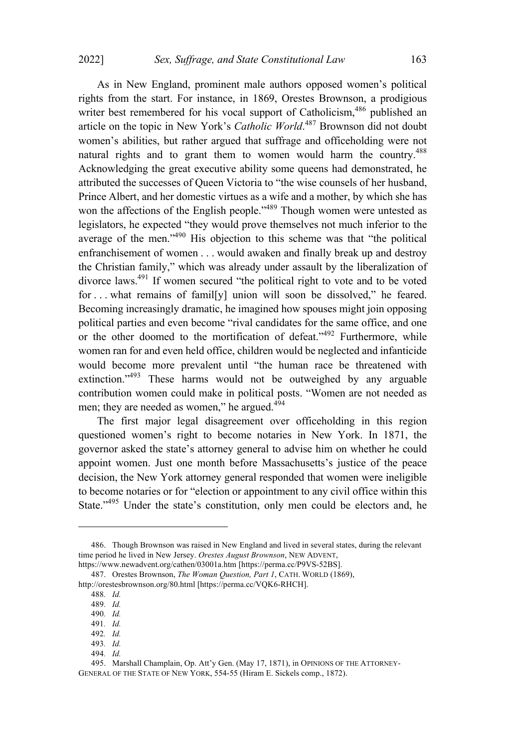As in New England, prominent male authors opposed women's political rights from the start. For instance, in 1869, Orestes Brownson, a prodigious writer best remembered for his vocal support of Catholicism,<sup>486</sup> published an article on the topic in New York's *Catholic World*. <sup>487</sup> Brownson did not doubt women's abilities, but rather argued that suffrage and officeholding were not natural rights and to grant them to women would harm the country.<sup>488</sup> Acknowledging the great executive ability some queens had demonstrated, he attributed the successes of Queen Victoria to "the wise counsels of her husband, Prince Albert, and her domestic virtues as a wife and a mother, by which she has won the affections of the English people."<sup>489</sup> Though women were untested as legislators, he expected "they would prove themselves not much inferior to the average of the men."<sup>490</sup> His objection to this scheme was that "the political enfranchisement of women . . . would awaken and finally break up and destroy the Christian family," which was already under assault by the liberalization of divorce laws.<sup>491</sup> If women secured "the political right to vote and to be voted for . . . what remains of famil[y] union will soon be dissolved," he feared. Becoming increasingly dramatic, he imagined how spouses might join opposing political parties and even become "rival candidates for the same office, and one or the other doomed to the mortification of defeat."<sup>492</sup> Furthermore, while women ran for and even held office, children would be neglected and infanticide would become more prevalent until "the human race be threatened with extinction."<sup>493</sup> These harms would not be outweighed by any arguable contribution women could make in political posts. "Women are not needed as men; they are needed as women," he argued.<sup>494</sup>

The first major legal disagreement over officeholding in this region questioned women's right to become notaries in New York. In 1871, the governor asked the state's attorney general to advise him on whether he could appoint women. Just one month before Massachusetts's justice of the peace decision, the New York attorney general responded that women were ineligible to become notaries or for "election or appointment to any civil office within this State."<sup>495</sup> Under the state's constitution, only men could be electors and, he

- 491*. Id.*
- 492*. Id.*

494*. Id.*

<sup>486.</sup> Though Brownson was raised in New England and lived in several states, during the relevant time period he lived in New Jersey. *Orestes August Brownson*, NEW ADVENT,

https://www.newadvent.org/cathen/03001a.htm [https://perma.cc/P9VS-52BS].

<sup>487.</sup> Orestes Brownson, *The Woman Question, Part 1*, CATH. WORLD (1869), http://orestesbrownson.org/80.html [https://perma.cc/VQK6-RHCH].

<sup>488</sup>*. Id.*

<sup>489</sup>*. Id.*

<sup>490</sup>*. Id.*

<sup>493</sup>*. Id.*

<sup>495.</sup> Marshall Champlain, Op. Att'y Gen. (May 17, 1871), in OPINIONS OF THE ATTORNEY-GENERAL OF THE STATE OF NEW YORK, 554-55 (Hiram E. Sickels comp., 1872).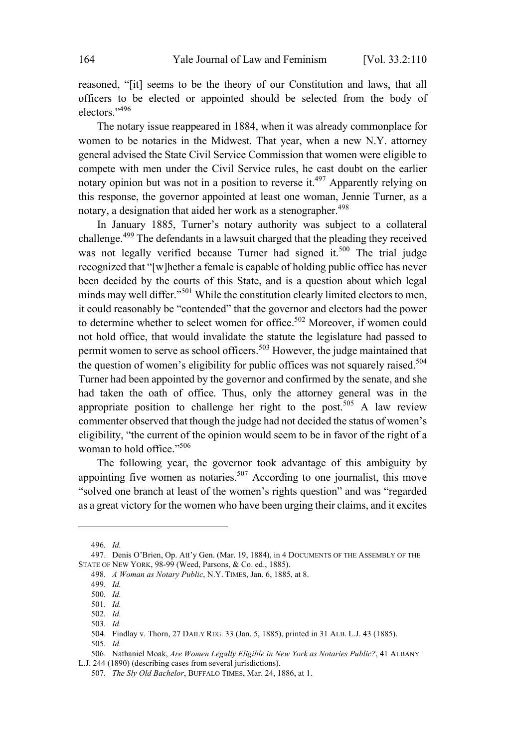reasoned, "[it] seems to be the theory of our Constitution and laws, that all officers to be elected or appointed should be selected from the body of electors."<sup>496</sup>

The notary issue reappeared in 1884, when it was already commonplace for women to be notaries in the Midwest. That year, when a new N.Y. attorney general advised the State Civil Service Commission that women were eligible to compete with men under the Civil Service rules, he cast doubt on the earlier notary opinion but was not in a position to reverse it.<sup>497</sup> Apparently relying on this response, the governor appointed at least one woman, Jennie Turner, as a notary, a designation that aided her work as a stenographer.<sup>498</sup>

In January 1885, Turner's notary authority was subject to a collateral challenge. <sup>499</sup> The defendants in <sup>a</sup> lawsuit charged that the pleading they received was not legally verified because Turner had signed it.<sup>500</sup> The trial judge recognized that "[w]hether a female is capable of holding public office has never been decided by the courts of this State, and is a question about which legal minds may well differ."<sup>501</sup> While the constitution clearly limited electors to men, it could reasonably be "contended" that the governor and electors had the power to determine whether to select women for office. <sup>502</sup> Moreover, if women could not hold office, that would invalidate the statute the legislature had passed to permit women to serve as school officers.<sup>503</sup> However, the judge maintained that the question of women's eligibility for public offices was not squarely raised.<sup>504</sup> Turner had been appointed by the governor and confirmed by the senate, and she had taken the oath of office. Thus, only the attorney general was in the appropriate position to challenge her right to the post.<sup>505</sup> A law review commenter observed that though the judge had not decided the status of women's eligibility, "the current of the opinion would seem to be in favor of the right of a woman to hold office." 506

The following year, the governor took advantage of this ambiguity by appointing five women as notaries.<sup>507</sup> According to one journalist, this move "solved one branch at least of the women's rights question" and was "regarded as a great victory for the women who have been urging their claims, and it excites

<sup>496</sup>*. Id.*

<sup>497.</sup> Denis O'Brien, Op. Att'y Gen. (Mar. 19, 1884), in 4 DOCUMENTS OF THE ASSEMBLY OF THE STATE OF NEW YORK, 98-99 (Weed, Parsons, & Co. ed., 1885).

<sup>498</sup>*. A Woman as Notary Public*, N.Y. TIMES, Jan. 6, 1885, at 8.

<sup>499</sup>*. Id.*

<sup>500</sup>*. Id.*

<sup>501</sup>*. Id.*

<sup>502</sup>*. Id.*

<sup>503</sup>*. Id.*

<sup>504.</sup> Findlay v. Thorn, 27 DAILY REG. 33 (Jan. 5, 1885), printed in 31 ALB. L.J. 43 (1885).

<sup>505</sup>*. Id.*

<sup>506.</sup> Nathaniel Moak, *Are Women Legally Eligible in New York as Notaries Public?*, 41 ALBANY L.J. 244 (1890) (describing cases from several jurisdictions).

<sup>507</sup>*. The Sly Old Bachelor*, BUFFALO TIMES, Mar. 24, 1886, at 1.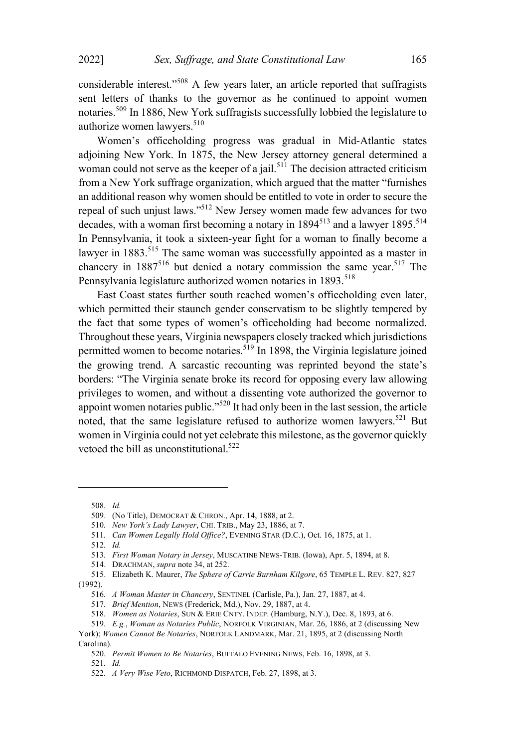considerable interest."<sup>508</sup> <sup>A</sup> few years later, an article reported that suffragists sent letters of thanks to the governor as he continued to appoint women notaries. <sup>509</sup> In 1886, New York suffragists successfully lobbied the legislature to authorize women lawyers. 510

Women's officeholding progress was gradual in Mid-Atlantic states adjoining New York. In 1875, the New Jersey attorney general determined a woman could not serve as the keeper of a jail.<sup>511</sup> The decision attracted criticism from a New York suffrage organization, which argued that the matter "furnishes an additional reason why women should be entitled to vote in order to secure the repeal of such unjust laws."<sup>512</sup> New Jersey women made few advances for two decades, with a woman first becoming a notary in  $1894<sup>513</sup>$  and a lawyer  $1895<sup>514</sup>$ In Pennsylvania, it took a sixteen-year fight for a woman to finally become a lawyer in  $1883$ <sup>515</sup>. The same woman was successfully appointed as a master in chancery in  $1887^{516}$  but denied a notary commission the same year.<sup>517</sup> The Pennsylvania legislature authorized women notaries in 1893.<sup>518</sup>

East Coast states further south reached women's officeholding even later, which permitted their staunch gender conservatism to be slightly tempered by the fact that some types of women's officeholding had become normalized. Throughout these years, Virginia newspapers closely tracked which jurisdictions permitted women to become notaries.  $519$  In 1898, the Virginia legislature joined the growing trend. A sarcastic recounting was reprinted beyond the state's borders: "The Virginia senate broke its record for opposing every law allowing privileges to women, and without a dissenting vote authorized the governor to appoint women notaries public."<sup>520</sup> It had only been in the last session, the article noted, that the same legislature refused to authorize women lawyers.<sup>521</sup> But women in Virginia could not yet celebrate this milestone, asthe governor quickly vetoed the bill as unconstitutional.<sup>522</sup>

519*. E.g.*, *Woman as Notaries Public*, NORFOLK VIRGINIAN, Mar. 26, 1886, at 2 (discussing New

<sup>508</sup>*. Id.*

<sup>509.</sup> (No Title), DEMOCRAT & CHRON., Apr. 14, 1888, at 2.

<sup>510</sup>*. New York's Lady Lawyer*, CHI. TRIB., May 23, 1886, at 7.

<sup>511</sup>*. Can Women Legally Hold Office?*, EVENING STAR (D.C.), Oct. 16, 1875, at 1.

<sup>512</sup>*. Id.*

<sup>513</sup>*. First Woman Notary in Jersey*, MUSCATINE NEWS-TRIB. (Iowa), Apr. 5, 1894, at 8.

<sup>514.</sup> DRACHMAN, *supra* note 34, at 252.

<sup>515.</sup> Elizabeth K. Maurer, *The Sphere of Carrie Burnham Kilgore*, 65 TEMPLE L. REV. 827, 827 (1992).

<sup>516</sup>*. A Woman Master in Chancery*, SENTINEL (Carlisle, Pa.), Jan. 27, 1887, at 4.

<sup>517</sup>*. Brief Mention*, NEWS (Frederick, Md.), Nov. 29, 1887, at 4.

<sup>518</sup>*. Women as Notaries*, SUN & ERIE CNTY. INDEP. (Hamburg, N.Y.), Dec. 8, 1893, at 6.

York); *Women Cannot Be Notaries*, NORFOLK LANDMARK, Mar. 21, 1895, at 2 (discussing North Carolina).

<sup>520</sup>*. Permit Women to Be Notaries*, BUFFALO EVENING NEWS, Feb. 16, 1898, at 3.

<sup>521</sup>*. Id.*

<sup>522</sup>*. A Very Wise Veto*, RICHMOND DISPATCH, Feb. 27, 1898, at 3.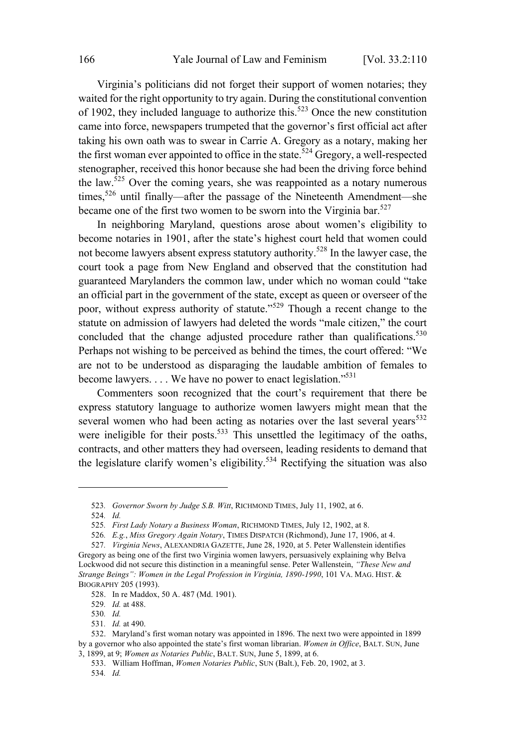Virginia's politicians did not forget their support of women notaries; they waited for the right opportunity to try again. During the constitutional convention of 1902, they included language to authorize this.<sup>523</sup> Once the new constitution came into force, newspapers trumpeted that the governor's first official act after taking his own oath was to swear in Carrie A. Gregory as a notary, making her the first woman ever appointed to office in the state.<sup>524</sup> Gregory, a well-respected stenographer, received this honor because she had been the driving force behind the law.<sup>525</sup> Over the coming years, she was reappointed as a notary numerous times,<sup>526</sup> until finally—after the passage of the Nineteenth Amendment—she became one of the first two women to be sworn into the Virginia bar.<sup>527</sup>

In neighboring Maryland, questions arose about women's eligibility to become notaries in 1901, after the state's highest court held that women could not become lawyers absent express statutory authority.<sup>528</sup> In the lawyer case, the court took a page from New England and observed that the constitution had guaranteed Marylanders the common law, under which no woman could "take an official part in the government of the state, except as queen or overseer of the poor, without express authority of statute."<sup>529</sup> Though a recent change to the statute on admission of lawyers had deleted the words "male citizen," the court concluded that the change adjusted procedure rather than qualifications.<sup>530</sup> Perhaps not wishing to be perceived as behind the times, the court offered: "We are not to be understood as disparaging the laudable ambition of females to become lawyers.  $\dots$  We have no power to enact legislation."<sup>531</sup>

Commenters soon recognized that the court's requirement that there be express statutory language to authorize women lawyers might mean that the several women who had been acting as notaries over the last several years<sup>532</sup> were ineligible for their posts.<sup>533</sup> This unsettled the legitimacy of the oaths, contracts, and other matters they had overseen, leading residents to demand that the legislature clarify women's eligibility.<sup>534</sup> Rectifying the situation was also

531*. Id.* at 490.

<sup>523</sup>*. Governor Sworn by Judge S.B. Witt*, RICHMOND TIMES, July 11, 1902, at 6.

<sup>524</sup>*. Id.*

<sup>525</sup>*. First Lady Notary a Business Woman*, RICHMOND TIMES, July 12, 1902, at 8.

<sup>526</sup>*. E.g.*, *Miss Gregory Again Notary*, TIMES DISPATCH (Richmond), June 17, 1906, at 4.

<sup>527</sup>*. Virginia News*, ALEXANDRIA GAZETTE, June 28, 1920, at 5. Peter Wallenstein identifies Gregory as being one of the first two Virginia women lawyers, persuasively explaining why Belva Lockwood did not secure this distinction in a meaningful sense. Peter Wallenstein, *"These New and Strange Beings": Women in the Legal Profession in Virginia, 1890-1990*, 101 VA. MAG. HIST. & BIOGRAPHY 205 (1993).

<sup>528.</sup> In re Maddox, 50 A. 487 (Md. 1901).

<sup>529</sup>*. Id.* at 488.

<sup>530</sup>*. Id.*

<sup>532.</sup> Maryland's first woman notary was appointed in 1896. The next two were appointed in 1899 by a governor who also appointed the state's first woman librarian. *Women in Office*, BALT. SUN, June 3, 1899, at 9; *Women as Notaries Public*, BALT. SUN, June 5, 1899, at 6.

<sup>533.</sup> William Hoffman, *Women Notaries Public*, SUN (Balt.), Feb. 20, 1902, at 3.

<sup>534</sup>*. Id.*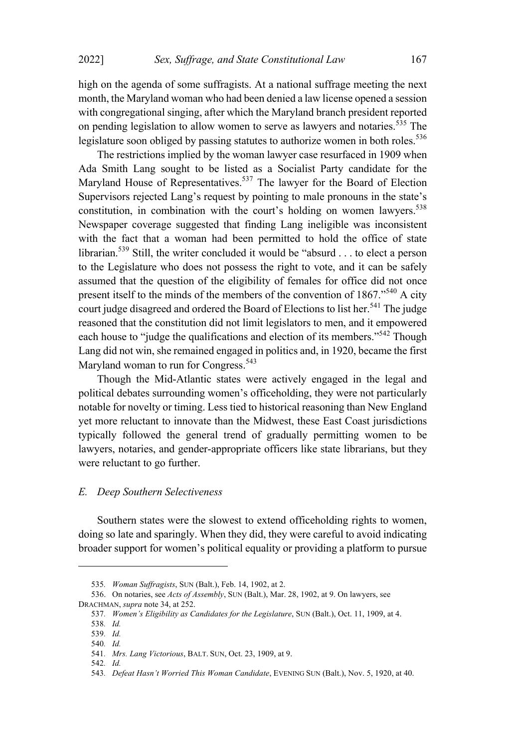high on the agenda of some suffragists. At a national suffrage meeting the next month, the Maryland woman who had been denied a law license opened a session with congregational singing, after which the Maryland branch president reported on pending legislation to allow women to serve as lawyers and notaries.<sup>535</sup> The legislature soon obliged by passing statutes to authorize women in both roles.<sup>536</sup>

The restrictions implied by the woman lawyer case resurfaced in 1909 when Ada Smith Lang sought to be listed as a Socialist Party candidate for the Maryland House of Representatives. <sup>537</sup> The lawyer for the Board of Election Supervisors rejected Lang's request by pointing to male pronouns in the state's constitution, in combination with the court's holding on women lawyers. 538 Newspaper coverage suggested that finding Lang ineligible was inconsistent with the fact that a woman had been permitted to hold the office of state librarian. <sup>539</sup> Still, the writer concluded it would be "absurd . . . to elect <sup>a</sup> person to the Legislature who does not possess the right to vote, and it can be safely assumed that the question of the eligibility of females for office did not once present itself to the minds of the members of the convention of  $1867.^{540}$  A city court judge disagreed and ordered the Board of Elections to list her.<sup>541</sup> The judge reasoned that the constitution did not limit legislators to men, and it empowered each house to "judge the qualifications and election of its members."<sup>542</sup> Though Lang did not win, she remained engaged in politics and, in 1920, became the first Maryland woman to run for Congress. 543

Though the Mid-Atlantic states were actively engaged in the legal and political debates surrounding women's officeholding, they were not particularly notable for novelty or timing. Less tied to historical reasoning than New England yet more reluctant to innovate than the Midwest, these East Coast jurisdictions typically followed the general trend of gradually permitting women to be lawyers, notaries, and gender-appropriate officers like state librarians, but they were reluctant to go further.

### *E. Deep Southern Selectiveness*

Southern states were the slowest to extend officeholding rights to women, doing so late and sparingly. When they did, they were careful to avoid indicating broader support for women's political equality or providing a platform to pursue

<sup>535</sup>*. Woman Suffragists*, SUN (Balt.), Feb. 14, 1902, at 2.

<sup>536.</sup> On notaries, see *Acts of Assembly*, SUN (Balt.), Mar. 28, 1902, at 9. On lawyers, see DRACHMAN, *supra* note 34, at 252.

<sup>537</sup>*. Women's Eligibility as Candidates for the Legislature*, SUN (Balt.), Oct. 11, 1909, at 4.

<sup>538</sup>*. Id.*

<sup>539</sup>*. Id.*

<sup>540</sup>*. Id.*

<sup>541</sup>*. Mrs. Lang Victorious*, BALT. SUN, Oct. 23, 1909, at 9.

<sup>542</sup>*. Id.*

<sup>543</sup>*. Defeat Hasn't Worried This Woman Candidate*, EVENING SUN (Balt.), Nov. 5, 1920, at 40.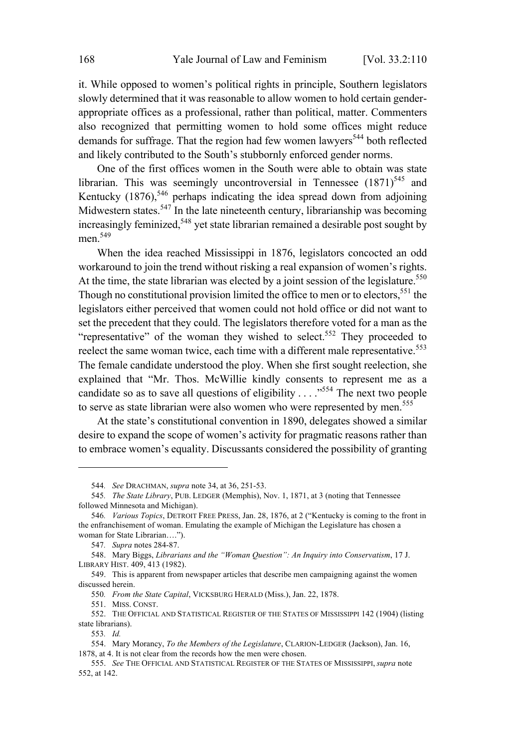it. While opposed to women's political rights in principle, Southern legislators slowly determined that it was reasonable to allow women to hold certain genderappropriate offices as a professional, rather than political, matter. Commenters also recognized that permitting women to hold some offices might reduce demands for suffrage. That the region had few women lawyers<sup>544</sup> both reflected and likely contributed to the South's stubbornly enforced gender norms.

One of the first offices women in the South were able to obtain was state librarian. This was seemingly uncontroversial in Tennessee  $(1871)^{545}$  and Kentucky  $(1876)$ ,<sup>546</sup> perhaps indicating the idea spread down from adjoining Midwestern states.<sup>547</sup> In the late nineteenth century, librarianship was becoming increasingly feminized, <sup>548</sup> yet state librarian remained <sup>a</sup> desirable post sought by men.<sup>549</sup>

When the idea reached Mississippi in 1876, legislators concocted an odd workaround to join the trend without risking a real expansion of women's rights. At the time, the state librarian was elected by a joint session of the legislature.<sup>550</sup> Though no constitutional provision limited the office to men or to electors,<sup>551</sup> the legislators either perceived that women could not hold office or did not want to set the precedent that they could. The legislators therefore voted for a man as the "representative" of the woman they wished to select.<sup>552</sup> They proceeded to reelect the same woman twice, each time with a different male representative.<sup>553</sup> The female candidate understood the ploy. When she first sought reelection, she explained that "Mr. Thos. McWillie kindly consents to represent me as a candidate so as to save all questions of eligibility . . . ."<sup>554</sup> The next two people to serve as state librarian were also women who were represented by men.<sup>555</sup>

At the state's constitutional convention in 1890, delegates showed a similar desire to expand the scope of women's activity for pragmatic reasons rather than to embrace women's equality. Discussants considered the possibility of granting

<sup>544</sup>*. See* DRACHMAN, *supra* note 34, at 36, 251-53.

<sup>545</sup>*. The State Library*, PUB. LEDGER (Memphis), Nov. 1, 1871, at 3 (noting that Tennessee followed Minnesota and Michigan).

<sup>546</sup>*. Various Topics*, DETROIT FREE PRESS, Jan. 28, 1876, at 2 ("Kentucky is coming to the front in the enfranchisement of woman. Emulating the example of Michigan the Legislature has chosen a woman for State Librarian….").

<sup>547</sup>*. Supra* notes 284-87.

<sup>548.</sup> Mary Biggs, *Librarians and the "Woman Question": An Inquiry into Conservatism*, 17 J. LIBRARY HIST. 409, 413 (1982).

<sup>549.</sup> This is apparent from newspaper articles that describe men campaigning against the women discussed herein.

<sup>550</sup>*. From the State Capital*, VICKSBURG HERALD (Miss.), Jan. 22, 1878.

<sup>551.</sup> MISS. CONST.

<sup>552.</sup> THE OFFICIAL AND STATISTICAL REGISTER OF THE STATES OF MISSISSIPPI 142 (1904) (listing state librarians).

<sup>553</sup>*. Id.*

<sup>554.</sup> Mary Morancy, *To the Members of the Legislature*, CLARION-LEDGER (Jackson), Jan. 16, 1878, at 4. It is not clear from the records how the men were chosen.

<sup>555.</sup> *See* THE OFFICIAL AND STATISTICAL REGISTER OF THE STATES OF MISSISSIPPI, *supra* note 552, at 142.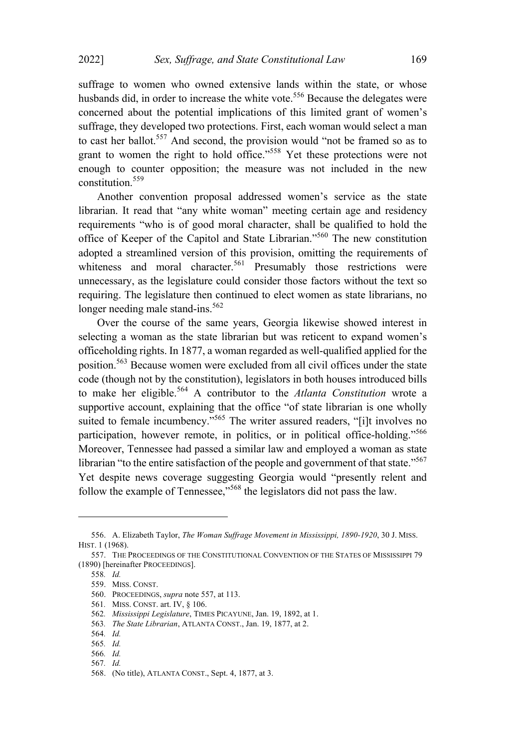suffrage to women who owned extensive lands within the state, or whose husbands did, in order to increase the white vote.<sup>556</sup> Because the delegates were concerned about the potential implications of this limited grant of women's suffrage, they developed two protections. First, each woman would select a man to cast her ballot.<sup>557</sup> And second, the provision would "not be framed so as to grant to women the right to hold office."<sup>558</sup> Yet these protections were not enough to counter opposition; the measure was not included in the new constitution. 559

Another convention proposal addressed women's service as the state librarian. It read that "any white woman" meeting certain age and residency requirements "who is of good moral character, shall be qualified to hold the office of Keeper of the Capitol and State Librarian."<sup>560</sup> The new constitution adopted a streamlined version of this provision, omitting the requirements of whiteness and moral character.<sup>561</sup> Presumably those restrictions were unnecessary, as the legislature could consider those factors without the text so requiring. The legislature then continued to elect women as state librarians, no longer needing male stand-ins.<sup>562</sup>

Over the course of the same years, Georgia likewise showed interest in selecting a woman as the state librarian but was reticent to expand women's officeholding rights. In 1877, a woman regarded as well-qualified applied for the position.<sup>563</sup> Because women were excluded from all civil offices under the state code (though not by the constitution), legislators in both houses introduced bills to make her eligible. <sup>564</sup> <sup>A</sup> contributor to the *Atlanta Constitution* wrote <sup>a</sup> supportive account, explaining that the office "of state librarian is one wholly suited to female incumbency."<sup>565</sup> The writer assured readers, "[i]t involves no participation, however remote, in politics, or in political office-holding."<sup>566</sup> Moreover, Tennessee had passed a similar law and employed a woman as state librarian "to the entire satisfaction of the people and government of that state."<sup>567</sup> Yet despite news coverage suggesting Georgia would "presently relent and follow the example of Tennessee,"<sup>568</sup> the legislators did not pass the law.

<sup>556.</sup> A. Elizabeth Taylor, *The Woman Suffrage Movement in Mississippi, 1890-1920*, 30 J. MISS. HIST. 1 (1968).

<sup>557.</sup> THE PROCEEDINGS OF THE CONSTITUTIONAL CONVENTION OF THE STATES OF MISSISSIPPI 79 (1890) [hereinafter PROCEEDINGS].

<sup>558</sup>*. Id.*

<sup>559.</sup> MISS. CONST.

<sup>560.</sup> PROCEEDINGS, *supra* note 557, at 113.

<sup>561</sup>*.* MISS. CONST. art. IV, § 106.

<sup>562</sup>*. Mississippi Legislature*, TIMES PICAYUNE, Jan. 19, 1892, at 1.

<sup>563</sup>*. The State Librarian*, ATLANTA CONST., Jan. 19, 1877, at 2.

<sup>564</sup>*. Id.*

<sup>565</sup>*. Id.*

<sup>566</sup>*. Id.*

<sup>567</sup>*. Id.*

<sup>568.</sup> (No title), ATLANTA CONST., Sept. 4, 1877, at 3.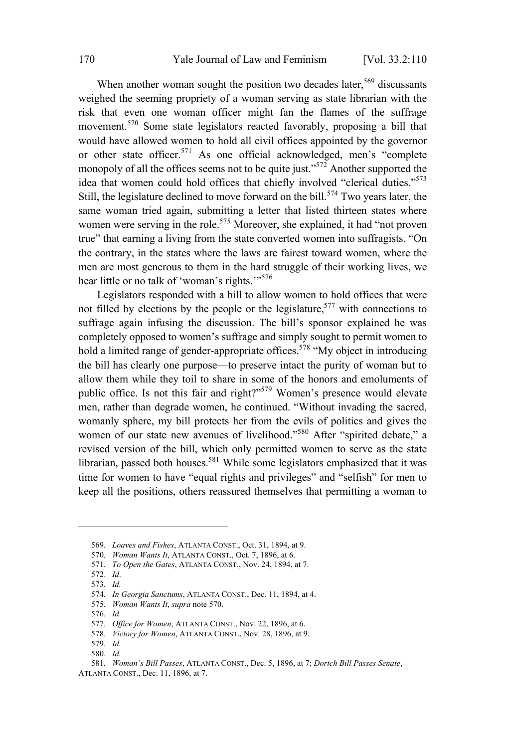When another woman sought the position two decades later,<sup>569</sup> discussants weighed the seeming propriety of a woman serving as state librarian with the risk that even one woman officer might fan the flames of the suffrage movement. <sup>570</sup> Some state legislators reacted favorably, proposing <sup>a</sup> bill that would have allowed women to hold all civil offices appointed by the governor or other state officer.<sup>571</sup> As one official acknowledged, men's "complete monopoly of all the offices seems not to be quite just."<sup>572</sup> Another supported the idea that women could hold offices that chiefly involved "clerical duties."<sup>573</sup> Still, the legislature declined to move forward on the bill.<sup>574</sup> Two years later, the same woman tried again, submitting a letter that listed thirteen states where women were serving in the role.<sup>575</sup> Moreover, she explained, it had "not proven true" that earning a living from the state converted women into suffragists. "On the contrary, in the states where the laws are fairest toward women, where the men are most generous to them in the hard struggle of their working lives, we hear little or no talk of 'woman's rights."<sup>576</sup>

Legislators responded with a bill to allow women to hold offices that were not filled by elections by the people or the legislature, <sup>577</sup> with connections to suffrage again infusing the discussion. The bill's sponsor explained he was completely opposed to women's suffrage and simply sought to permit women to hold a limited range of gender-appropriate offices.<sup>578</sup> "My object in introducing the bill has clearly one purpose—to preserve intact the purity of woman but to allow them while they toil to share in some of the honors and emoluments of public office. Is not this fair and right?"<sup>579</sup> Women's presence would elevate men, rather than degrade women, he continued. "Without invading the sacred, womanly sphere, my bill protects her from the evils of politics and gives the women of our state new avenues of livelihood." <sup>580</sup> After "spirited debate," <sup>a</sup> revised version of the bill, which only permitted women to serve as the state librarian, passed both houses.<sup>581</sup> While some legislators emphasized that it was time for women to have "equal rights and privileges" and "selfish" for men to keep all the positions, others reassured themselves that permitting a woman to

<sup>569</sup>*. Loaves and Fishes*, ATLANTA CONST., Oct. 31, 1894, at 9.

<sup>570</sup>*. Woman Wants It*, ATLANTA CONST., Oct. 7, 1896, at 6.

<sup>571</sup>*. To Open the Gates*, ATLANTA CONST., Nov. 24, 1894, at 7.

<sup>572.</sup> *Id*.

<sup>573</sup>*. Id.*

<sup>574</sup>*. In Georgia Sanctums*, ATLANTA CONST., Dec. 11, 1894, at 4.

<sup>575</sup>*. Woman Wants It*, *supra* note 570.

<sup>576</sup>*. Id.*

<sup>577</sup>*. Office for Women*, ATLANTA CONST., Nov. 22, 1896, at 6.

<sup>578</sup>*. Victory for Women*, ATLANTA CONST., Nov. 28, 1896, at 9.

<sup>579</sup>*. Id.*

<sup>580</sup>*. Id.*

<sup>581</sup>*. Woman's Bill Passes*, ATLANTA CONST., Dec. 5, 1896, at 7; *Dortch Bill Passes Senate*, ATLANTA CONST., Dec. 11, 1896, at 7.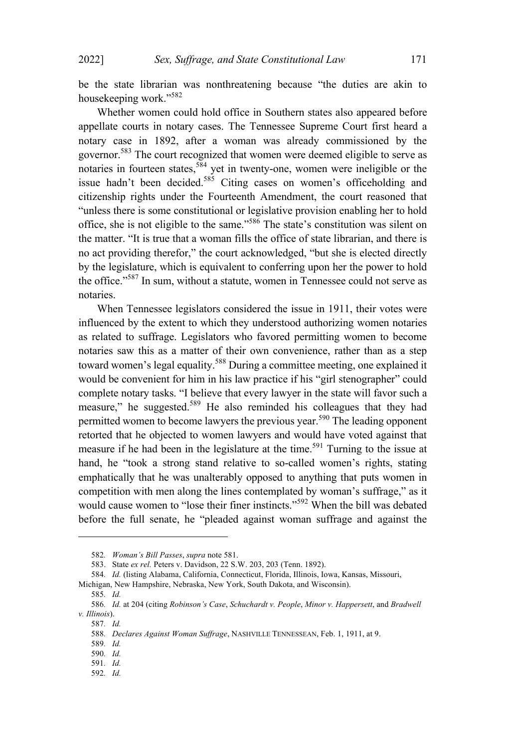be the state librarian was nonthreatening because "the duties are akin to housekeeping work."<sup>582</sup>

Whether women could hold office in Southern states also appeared before appellate courts in notary cases. The Tennessee Supreme Court first heard a notary case in 1892, after a woman was already commissioned by the governor.<sup>583</sup> The court recognized that women were deemed eligible to serve as notaries in fourteen states,<sup>584</sup> yet in twenty-one, women were ineligible or the issue hadn't been decided.<sup>585</sup> Citing cases on women's officeholding and citizenship rights under the Fourteenth Amendment, the court reasoned that "unless there is some constitutional or legislative provision enabling her to hold office, she is not eligible to the same."<sup>586</sup> The state's constitution was silent on the matter. "It is true that a woman fills the office of state librarian, and there is no act providing therefor," the court acknowledged, "but she is elected directly by the legislature, which is equivalent to conferring upon her the power to hold the office."<sup>587</sup> In sum, without <sup>a</sup> statute, women in Tennessee could not serve as notaries.

When Tennessee legislators considered the issue in 1911, their votes were influenced by the extent to which they understood authorizing women notaries as related to suffrage. Legislators who favored permitting women to become notaries saw this as a matter of their own convenience, rather than as a step toward women's legal equality.<sup>588</sup> During a committee meeting, one explained it would be convenient for him in his law practice if his "girl stenographer" could complete notary tasks. "I believe that every lawyer in the state will favor such a measure," he suggested.<sup>589</sup> He also reminded his colleagues that they had permitted women to become lawyers the previous year.<sup>590</sup> The leading opponent retorted that he objected to women lawyers and would have voted against that measure if he had been in the legislature at the time.<sup>591</sup> Turning to the issue at hand, he "took a strong stand relative to so-called women's rights, stating emphatically that he was unalterably opposed to anything that puts women in competition with men along the lines contemplated by woman's suffrage," as it would cause women to "lose their finer instincts."<sup>592</sup> When the bill was debated before the full senate, he "pleaded against woman suffrage and against the

<sup>582</sup>*. Woman's Bill Passes*, *supra* note 581.

<sup>583.</sup> State *ex rel.* Peters v. Davidson, 22 S.W. 203, 203 (Tenn. 1892).

<sup>584</sup>*. Id.* (listing Alabama, California, Connecticut, Florida, Illinois, Iowa, Kansas, Missouri,

Michigan, New Hampshire, Nebraska, New York, South Dakota, and Wisconsin).

<sup>585</sup>*. Id.*

<sup>586</sup>*. Id.* at 204 (citing *Robinson's Case*, *Schuchardt v. People*, *Minor v. Happersett*, and *Bradwell v. Illinois*).

<sup>587</sup>*. Id.*

<sup>588</sup>*. Declares Against Woman Suffrage*, NASHVILLE TENNESSEAN, Feb. 1, 1911, at 9.

<sup>589</sup>*. Id.*

<sup>590</sup>*. Id.*

<sup>591</sup>*. Id.*

<sup>592</sup>*. Id.*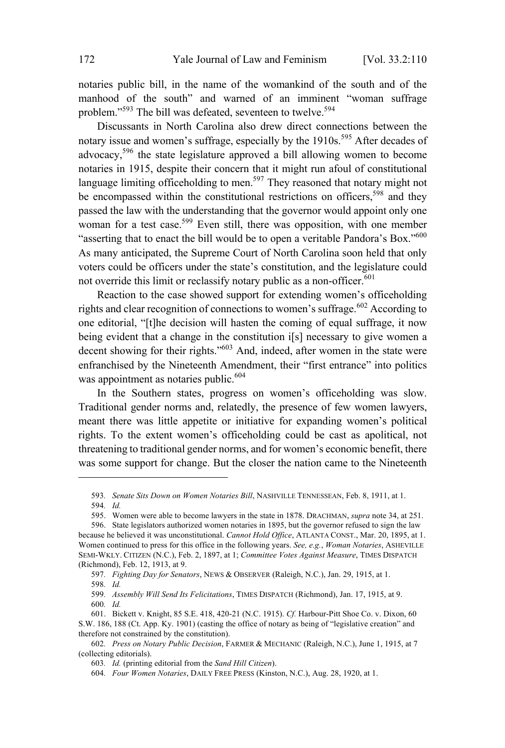notaries public bill, in the name of the womankind of the south and of the manhood of the south" and warned of an imminent "woman suffrage problem."<sup>593</sup> The bill was defeated, seventeen to twelve.<sup>594</sup>

Discussants in North Carolina also drew direct connections between the notary issue and women's suffrage, especially by the 1910s. <sup>595</sup> After decades of advocacy,<sup>596</sup> the state legislature approved <sup>a</sup> bill allowing women to become notaries in 1915, despite their concern that it might run afoul of constitutional language limiting officeholding to men.<sup>597</sup> They reasoned that notary might not be encompassed within the constitutional restrictions on officers,<sup>598</sup> and they passed the law with the understanding that the governor would appoint only one woman for a test case. <sup>599</sup> Even still, there was opposition, with one member "asserting that to enact the bill would be to open a veritable Pandora's Box."<sup>600</sup> As many anticipated, the Supreme Court of North Carolina soon held that only voters could be officers under the state's constitution, and the legislature could not override this limit or reclassify notary public as a non-officer.<sup>601</sup>

Reaction to the case showed support for extending women's officeholding rights and clear recognition of connections to women's suffrage.<sup>602</sup> According to one editorial, "[t]he decision will hasten the coming of equal suffrage, it now being evident that a change in the constitution i[s] necessary to give women a decent showing for their rights."<sup>603</sup> And, indeed, after women in the state were enfranchised by the Nineteenth Amendment, their "first entrance" into politics was appointment as notaries public. $604$ 

In the Southern states, progress on women's officeholding was slow. Traditional gender norms and, relatedly, the presence of few women lawyers, meant there was little appetite or initiative for expanding women's political rights. To the extent women's officeholding could be cast as apolitical, not threatening to traditional gender norms, and for women's economic benefit, there was some support for change. But the closer the nation came to the Nineteenth

<sup>593</sup>*. Senate Sits Down on Women Notaries Bill*, NASHVILLE TENNESSEAN, Feb. 8, 1911, at 1. 594*. Id.*

<sup>595.</sup> Women were able to become lawyers in the state in 1878. DRACHMAN, *supra* note 34, at 251.

<sup>596.</sup> State legislators authorized women notaries in 1895, but the governor refused to sign the law because he believed it was unconstitutional. *Cannot Hold Office*, ATLANTA CONST., Mar. 20, 1895, at 1. Women continued to press for this office in the following years. *See, e.g.*, *Woman Notaries*, ASHEVILLE SEMI-WKLY. CITIZEN (N.C.), Feb. 2, 1897, at 1; *Committee Votes Against Measure*, TIMES DISPATCH (Richmond), Feb. 12, 1913, at 9.

<sup>597</sup>*. Fighting Day for Senators*, NEWS & OBSERVER (Raleigh, N.C.), Jan. 29, 1915, at 1.

<sup>598</sup>*. Id.*

<sup>599</sup>*. Assembly Will Send Its Felicitations*, TIMES DISPATCH (Richmond), Jan. 17, 1915, at 9. 600*. Id.*

<sup>601.</sup> Bickett v. Knight, 85 S.E. 418, 420-21 (N.C. 1915). *Cf.* Harbour-Pitt Shoe Co. v. Dixon, 60 S.W. 186, 188 (Ct. App. Ky. 1901) (casting the office of notary as being of "legislative creation" and therefore not constrained by the constitution).

<sup>602</sup>*. Press on Notary Public Decision*, FARMER & MECHANIC (Raleigh, N.C.), June 1, 1915, at 7 (collecting editorials).

<sup>603</sup>*. Id.* (printing editorial from the *Sand Hill Citizen*).

<sup>604</sup>*. Four Women Notaries*, DAILY FREE PRESS (Kinston, N.C.), Aug. 28, 1920, at 1.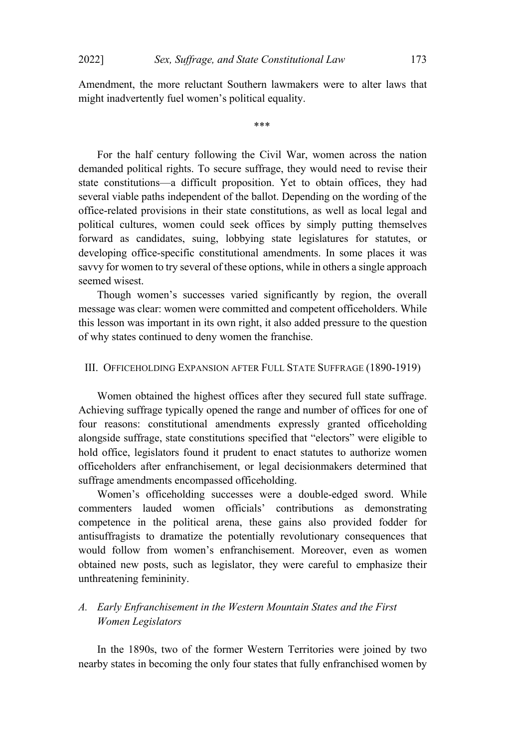Amendment, the more reluctant Southern lawmakers were to alter laws that might inadvertently fuel women's political equality.

\*\*\*

For the half century following the Civil War, women across the nation demanded political rights. To secure suffrage, they would need to revise their state constitutions—a difficult proposition. Yet to obtain offices, they had several viable paths independent of the ballot. Depending on the wording of the office-related provisions in their state constitutions, as well as local legal and political cultures, women could seek offices by simply putting themselves forward as candidates, suing, lobbying state legislatures for statutes, or developing office-specific constitutional amendments. In some places it was savvy for women to try several of these options, while in others a single approach seemed wisest.

Though women's successes varied significantly by region, the overall message was clear: women were committed and competent officeholders. While this lesson was important in its own right, it also added pressure to the question of why states continued to deny women the franchise.

#### III. OFFICEHOLDING EXPANSION AFTER FULL STATE SUFFRAGE (1890-1919)

Women obtained the highest offices after they secured full state suffrage. Achieving suffrage typically opened the range and number of offices for one of four reasons: constitutional amendments expressly granted officeholding alongside suffrage, state constitutions specified that "electors" were eligible to hold office, legislators found it prudent to enact statutes to authorize women officeholders after enfranchisement, or legal decisionmakers determined that suffrage amendments encompassed officeholding.

Women's officeholding successes were a double-edged sword. While commenters lauded women officials' contributions as demonstrating competence in the political arena, these gains also provided fodder for antisuffragists to dramatize the potentially revolutionary consequences that would follow from women's enfranchisement. Moreover, even as women obtained new posts, such as legislator, they were careful to emphasize their unthreatening femininity.

# *A. Early Enfranchisement in the Western Mountain States and the First Women Legislators*

In the 1890s, two of the former Western Territories were joined by two nearby states in becoming the only four states that fully enfranchised women by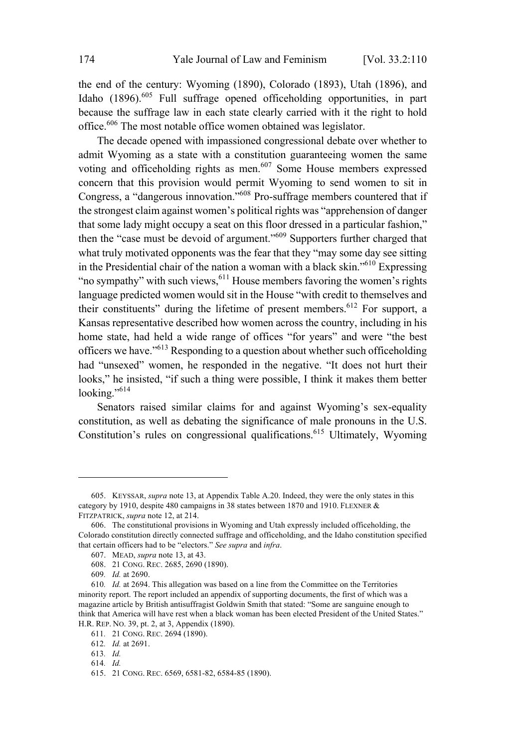the end of the century: Wyoming (1890), Colorado (1893), Utah (1896), and Idaho (1896).<sup>605</sup> Full suffrage opened officeholding opportunities, in part because the suffrage law in each state clearly carried with it the right to hold office. <sup>606</sup> The most notable office women obtained was legislator.

The decade opened with impassioned congressional debate over whether to admit Wyoming as a state with a constitution guaranteeing women the same voting and officeholding rights as men.<sup>607</sup> Some House members expressed concern that this provision would permit Wyoming to send women to sit in Congress, <sup>a</sup> "dangerous innovation."<sup>608</sup> Pro-suffrage members countered that if the strongest claim against women's political rights was "apprehension of danger that some lady might occupy a seat on this floor dressed in a particular fashion," then the "case must be devoid of argument."<sup>609</sup> Supporters further charged that what truly motivated opponents was the fear that they "may some day see sitting in the Presidential chair of the nation a woman with a black skin."<sup>610</sup> Expressing "no sympathy" with such views,  $611$  House members favoring the women's rights language predicted women would sit in the House "with credit to themselves and their constituents" during the lifetime of present members. <sup>612</sup> For support, <sup>a</sup> Kansas representative described how women across the country, including in his home state, had held a wide range of offices "for years" and were "the best officers we have."<sup>613</sup> Responding to a question about whether such officeholding had "unsexed" women, he responded in the negative. "It does not hurt their looks," he insisted, "if such a thing were possible, I think it makes them better looking."<sup>614</sup>

Senators raised similar claims for and against Wyoming's sex-equality constitution, as well as debating the significance of male pronouns in the U.S. Constitution's rules on congressional qualifications.<sup>615</sup> Ultimately, Wyoming

<sup>605.</sup> KEYSSAR, *supra* note 13, at Appendix Table A.20. Indeed, they were the only states in this category by 1910, despite 480 campaigns in 38 states between 1870 and 1910. FLEXNER & FITZPATRICK, *supra* note 12, at 214.

<sup>606.</sup> The constitutional provisions in Wyoming and Utah expressly included officeholding, the Colorado constitution directly connected suffrage and officeholding, and the Idaho constitution specified that certain officers had to be "electors." *See supra* and *infra*.

<sup>607.</sup> MEAD, *supra* note 13, at 43.

<sup>608.</sup> 21 CONG. REC. 2685, 2690 (1890).

<sup>609</sup>*. Id.* at 2690.

<sup>610</sup>*. Id.* at 2694. This allegation was based on a line from the Committee on the Territories minority report. The report included an appendix of supporting documents, the first of which was a magazine article by British antisuffragist Goldwin Smith that stated: "Some are sanguine enough to think that America will have rest when a black woman has been elected President of the United States." H.R. REP. NO. 39, pt. 2, at 3, Appendix (1890).

<sup>611</sup>*.* 21 CONG. REC. 2694 (1890).

<sup>612</sup>*. Id.* at 2691.

<sup>613</sup>*. Id.*

<sup>614</sup>*. Id.*

<sup>615.</sup> 21 CONG. REC. 6569, 6581-82, 6584-85 (1890).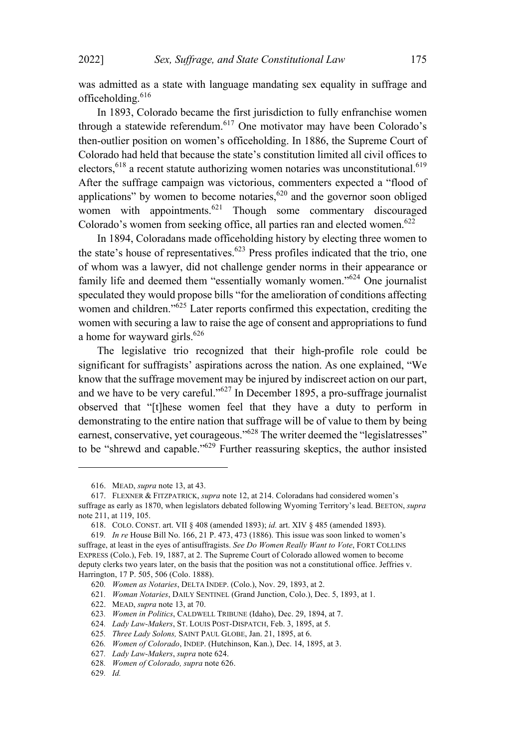was admitted as a state with language mandating sex equality in suffrage and officeholding. 616

In 1893, Colorado became the first jurisdiction to fully enfranchise women through a statewide referendum. <sup>617</sup> One motivator may have been Colorado's then-outlier position on women's officeholding. In 1886, the Supreme Court of Colorado had held that because the state's constitution limited all civil offices to electors,  $618$  a recent statute authorizing women notaries was unconstitutional.  $619$ After the suffrage campaign was victorious, commenters expected a "flood of applications" by women to become notaries, $620$  and the governor soon obliged women with appointments.<sup>621</sup> Though some commentary discouraged Colorado's women from seeking office, all parties ran and elected women.<sup>622</sup>

In 1894, Coloradans made officeholding history by electing three women to the state's house of representatives. $623$  Press profiles indicated that the trio, one of whom was a lawyer, did not challenge gender norms in their appearance or family life and deemed them "essentially womanly women."<sup>624</sup> One journalist speculated they would propose bills "for the amelioration of conditions affecting women and children." <sup>625</sup> Later reports confirmed this expectation, crediting the women with securing a law to raise the age of consent and appropriations to fund a home for wayward girls.<sup>626</sup>

The legislative trio recognized that their high-profile role could be significant for suffragists' aspirations across the nation. As one explained, "We know that the suffrage movement may be injured by indiscreet action on our part, and we have to be very careful." <sup>627</sup> In December 1895, <sup>a</sup> pro-suffrage journalist observed that "[t]hese women feel that they have a duty to perform in demonstrating to the entire nation that suffrage will be of value to them by being earnest, conservative, yet courageous."<sup>628</sup> The writer deemed the "legislatresses" to be "shrewd and capable."<sup>629</sup> Further reassuring skeptics, the author insisted

<sup>616.</sup> MEAD, *supra* note 13, at 43.

<sup>617.</sup> FLEXNER & FITZPATRICK, *supra* note 12, at 214. Coloradans had considered women's suffrage as early as 1870, when legislators debated following Wyoming Territory's lead. BEETON, *supra* note 211, at 119, 105.

<sup>618.</sup> COLO. CONST. art. VII § 408 (amended 1893); *id.* art. XIV § 485 (amended 1893).

<sup>619</sup>*. In re* House Bill No. 166, 21 P. 473, 473 (1886). This issue was soon linked to women's suffrage, at least in the eyes of antisuffragists. *See Do Women Really Want to Vote*, FORT COLLINS EXPRESS (Colo.), Feb. 19, 1887, at 2. The Supreme Court of Colorado allowed women to become deputy clerks two years later, on the basis that the position was not a constitutional office. Jeffries v. Harrington, 17 P. 505, 506 (Colo. 1888).

<sup>620</sup>*. Women as Notaries*, DELTA INDEP. (Colo.), Nov. 29, 1893, at 2.

<sup>621</sup>*. Woman Notaries*, DAILY SENTINEL (Grand Junction, Colo.), Dec. 5, 1893, at 1.

<sup>622.</sup> MEAD, *supra* note 13, at 70.

<sup>623</sup>*. Women in Politics*, CALDWELL TRIBUNE (Idaho), Dec. 29, 1894, at 7.

<sup>624</sup>*. Lady Law-Makers*, ST. LOUIS POST-DISPATCH, Feb. 3, 1895, at 5.

<sup>625</sup>*. Three Lady Solons,* SAINT PAUL GLOBE, Jan. 21, 1895, at 6.

<sup>626</sup>*. Women of Colorado*, INDEP. (Hutchinson, Kan.), Dec. 14, 1895, at 3.

<sup>627</sup>*. Lady Law-Makers*, *supra* note 624.

<sup>628</sup>*. Women of Colorado, supra* note 626.

<sup>629</sup>*. Id.*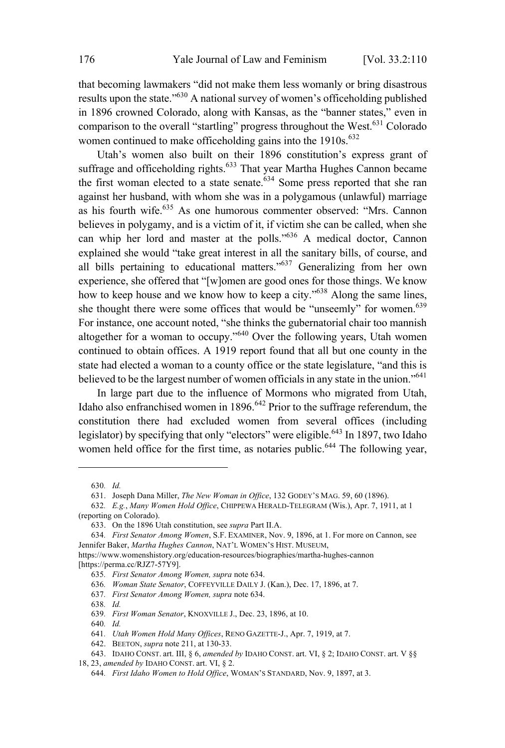that becoming lawmakers "did not make them less womanly or bring disastrous results upon the state."<sup>630</sup> <sup>A</sup> national survey of women's officeholding published in 1896 crowned Colorado, along with Kansas, as the "banner states," even in comparison to the overall "startling" progress throughout the West.<sup>631</sup> Colorado women continued to make officeholding gains into the  $1910s$ .<sup>632</sup>

Utah's women also built on their 1896 constitution's express grant of suffrage and officeholding rights.<sup>633</sup> That year Martha Hughes Cannon became the first woman elected to a state senate. $634$  Some press reported that she ran against her husband, with whom she was in a polygamous (unlawful) marriage as his fourth wife.<sup>635</sup> As one humorous commenter observed: "Mrs. Cannon believes in polygamy, and is a victim of it, if victim she can be called, when she can whip her lord and master at the polls." <sup>636</sup> <sup>A</sup> medical doctor, Cannon explained she would "take great interest in all the sanitary bills, of course, and all bills pertaining to educational matters."<sup>637</sup> Generalizing from her own experience, she offered that "[w]omen are good ones for those things. We know how to keep house and we know how to keep a city."<sup>638</sup> Along the same lines, she thought there were some offices that would be "unseemly" for women.<sup>639</sup> For instance, one account noted, "she thinks the gubernatorial chair too mannish altogether for <sup>a</sup> woman to occupy."<sup>640</sup> Over the following years, Utah women continued to obtain offices. A 1919 report found that all but one county in the state had elected a woman to a county office or the state legislature, "and this is believed to be the largest number of women officials in any state in the union."<sup>641</sup>

In large part due to the influence of Mormons who migrated from Utah, Idaho also enfranchised women in  $1896.642$  Prior to the suffrage referendum, the constitution there had excluded women from several offices (including legislator) by specifying that only "electors" were eligible. <sup>643</sup> In 1897, two Idaho women held office for the first time, as notaries public.<sup>644</sup> The following year,

<sup>630</sup>*. Id.*

<sup>631.</sup> Joseph Dana Miller, *The New Woman in Office*, 132 GODEY'<sup>S</sup> MAG. 59, 60 (1896).

<sup>632</sup>*. E.g.*, *Many Women Hold Office*, CHIPPEWA HERALD-TELEGRAM (Wis.), Apr. 7, 1911, at 1 (reporting on Colorado).

<sup>633.</sup> On the 1896 Utah constitution, see *supra* Part II.A.

<sup>634</sup>*. First Senator Among Women*, S.F. EXAMINER, Nov. 9, 1896, at 1. For more on Cannon, see Jennifer Baker, *Martha Hughes Cannon*, NAT'<sup>L</sup> WOMEN'<sup>S</sup> HIST. MUSEUM, https://www.womenshistory.org/education-resources/biographies/martha-hughes-cannon

<sup>[</sup>https://perma.cc/RJZ7-57Y9].

<sup>635</sup>*. First Senator Among Women, supra* note 634.

<sup>636</sup>*. Woman State Senator*, COFFEYVILLE DAILY J. (Kan.), Dec. 17, 1896, at 7.

<sup>637</sup>*. First Senator Among Women, supra* note 634.

<sup>638</sup>*. Id.*

<sup>639</sup>*. First Woman Senator*, KNOXVILLE J., Dec. 23, 1896, at 10.

<sup>640</sup>*. Id.*

<sup>641</sup>*. Utah Women Hold Many Offices*, RENO GAZETTE-J., Apr. 7, 1919, at 7.

<sup>642.</sup> BEETON, *supra* note 211, at 130-33.

<sup>643.</sup> IDAHO CONST. art. III, § 6, *amended by* IDAHO CONST. art. VI, § 2; IDAHO CONST. art. V §§

<sup>18,</sup> 23, *amended by* IDAHO CONST. art. VI, § 2.

<sup>644</sup>*. First Idaho Women to Hold Office*, WOMAN'<sup>S</sup> STANDARD, Nov. 9, 1897, at 3.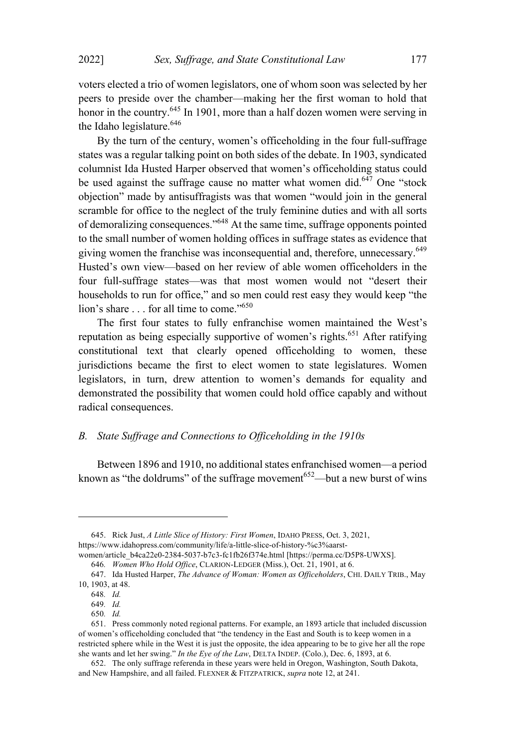voters elected a trio of women legislators, one of whom soon was selected by her peers to preside over the chamber—making her the first woman to hold that honor in the country.<sup>645</sup> In 1901, more than a half dozen women were serving in the Idaho legislature. 646

By the turn of the century, women's officeholding in the four full-suffrage states was a regular talking point on both sides of the debate. In 1903, syndicated columnist Ida Husted Harper observed that women's officeholding status could be used against the suffrage cause no matter what women did.<sup>647</sup> One "stock objection" made by antisuffragists was that women "would join in the general scramble for office to the neglect of the truly feminine duties and with all sorts of demoralizing consequences."<sup>648</sup> At the same time, suffrage opponents pointed to the small number of women holding offices in suffrage states as evidence that giving women the franchise was inconsequential and, therefore, unnecessary.<sup>649</sup> Husted's own view—based on her review of able women officeholders in the four full-suffrage states—was that most women would not "desert their households to run for office," and so men could rest easy they would keep "the lion's share . . . for all time to come."<sup>650</sup>

The first four states to fully enfranchise women maintained the West's reputation as being especially supportive of women's rights.<sup>651</sup> After ratifying constitutional text that clearly opened officeholding to women, these jurisdictions became the first to elect women to state legislatures. Women legislators, in turn, drew attention to women's demands for equality and demonstrated the possibility that women could hold office capably and without radical consequences.

### *B. State Suffrage and Connections to Officeholding in the 1910s*

Between 1896 and 1910, no additional states enfranchised women—a period known as "the doldrums" of the suffrage movement<sup>652</sup>—but a new burst of wins

<sup>645.</sup> Rick Just, *A Little Slice of History: First Women*, IDAHO PRESS, Oct. 3, 2021, https://www.idahopress.com/community/life/a-little-slice-of-history-%c3%aarst-

women/article\_b4ca22e0-2384-5037-b7c3-fc1fb26f374e.html [https://perma.cc/D5P8-UWXS].

<sup>646</sup>*. Women Who Hold Office*, CLARION-LEDGER (Miss.), Oct. 21, 1901, at 6.

<sup>647.</sup> Ida Husted Harper, *The Advance of Woman: Women as Officeholders*, CHI. DAILY TRIB., May 10, 1903, at 48.

<sup>648</sup>*. Id.*

<sup>649</sup>*. Id.*

<sup>650</sup>*. Id.*

<sup>651.</sup> Press commonly noted regional patterns. For example, an 1893 article that included discussion of women's officeholding concluded that "the tendency in the East and South is to keep women in a restricted sphere while in the West it is just the opposite, the idea appearing to be to give her all the rope she wants and let her swing." *In the Eye of the Law*, DELTA INDEP. (Colo.), Dec. 6, 1893, at 6.

<sup>652.</sup> The only suffrage referenda in these years were held in Oregon, Washington, South Dakota, and New Hampshire, and all failed. FLEXNER & FITZPATRICK, *supra* note 12, at 241.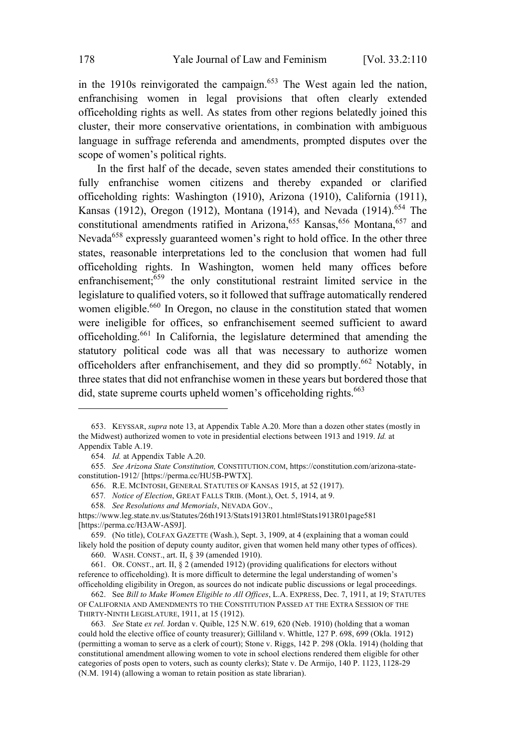in the 1910s reinvigorated the campaign.<sup>653</sup> The West again led the nation, enfranchising women in legal provisions that often clearly extended officeholding rights as well. As states from other regions belatedly joined this cluster, their more conservative orientations, in combination with ambiguous language in suffrage referenda and amendments, prompted disputes over the scope of women's political rights.

In the first half of the decade, seven states amended their constitutions to fully enfranchise women citizens and thereby expanded or clarified officeholding rights: Washington (1910), Arizona (1910), California (1911), Kansas (1912), Oregon (1912), Montana (1914), and Nevada (1914).<sup>654</sup> The constitutional amendments ratified in Arizona,  $655$  Kansas,  $656$  Montana,  $657$  and Nevada<sup>658</sup> expressly guaranteed women's right to hold office. In the other three states, reasonable interpretations led to the conclusion that women had full officeholding rights. In Washington, women held many offices before enfranchisement;<sup>659</sup> the only constitutional restraint limited service in the legislature to qualified voters, so it followed that suffrage automatically rendered women eligible.<sup>660</sup> In Oregon, no clause in the constitution stated that women were ineligible for offices, so enfranchisement seemed sufficient to award officeholding. <sup>661</sup> In California, the legislature determined that amending the statutory political code was all that was necessary to authorize women officeholders after enfranchisement, and they did so promptly.<sup>662</sup> Notably, in three states that did not enfranchise women in these years but bordered those that did, state supreme courts upheld women's officeholding rights.<sup>663</sup>

<sup>653.</sup> KEYSSAR, *supra* note 13, at Appendix Table A.20. More than a dozen other states (mostly in the Midwest) authorized women to vote in presidential elections between 1913 and 1919. *Id.* at Appendix Table A.19.

<sup>654</sup>*. Id.* at Appendix Table A.20.

<sup>655</sup>*. See Arizona State Constitution,* CONSTITUTION.COM, https://constitution.com/arizona-stateconstitution-1912/ [https://perma.cc/HU5B-PWTX].

<sup>656.</sup> R.E. MCINTOSH, GENERAL STATUTES OF KANSAS 1915, at 52 (1917).

<sup>657</sup>*. Notice of Election*, GREAT FALLS TRIB. (Mont.), Oct. 5, 1914, at 9.

<sup>658</sup>*. See Resolutions and Memorials*, NEVADA GOV.,

https://www.leg.state.nv.us/Statutes/26th1913/Stats1913R01.html#Stats1913R01page581 [https://perma.cc/H3AW-AS9J].

<sup>659.</sup> (No title), COLFAX GAZETTE (Wash.), Sept. 3, 1909, at 4 (explaining that a woman could likely hold the position of deputy county auditor, given that women held many other types of offices).

<sup>660.</sup> WASH. CONST., art. II, § 39 (amended 1910).

<sup>661.</sup> OR. CONST., art. II, § 2 (amended 1912) (providing qualifications for electors without reference to officeholding). It is more difficult to determine the legal understanding of women's officeholding eligibility in Oregon, as sources do not indicate public discussions or legal proceedings.

<sup>662.</sup> See *Bill to Make Women Eligible to All Offices*, L.A. EXPRESS, Dec. 7, 1911, at 19; STATUTES OF CALIFORNIA AND AMENDMENTS TO THE CONSTITUTION PASSED AT THE EXTRA SESSION OF THE THIRTY-NINTH LEGISLATURE, 1911, at 15 (1912).

<sup>663</sup>*. See* State *ex rel.* Jordan v. Quible, 125 N.W. 619, 620 (Neb. 1910) (holding that a woman could hold the elective office of county treasurer); Gilliland v. Whittle, 127 P. 698, 699 (Okla. 1912) (permitting a woman to serve as a clerk of court); Stone v. Riggs, 142 P. 298 (Okla. 1914) (holding that constitutional amendment allowing women to vote in school elections rendered them eligible for other categories of posts open to voters, such as county clerks); State v. De Armijo, 140 P. 1123, 1128-29 (N.M. 1914) (allowing a woman to retain position as state librarian).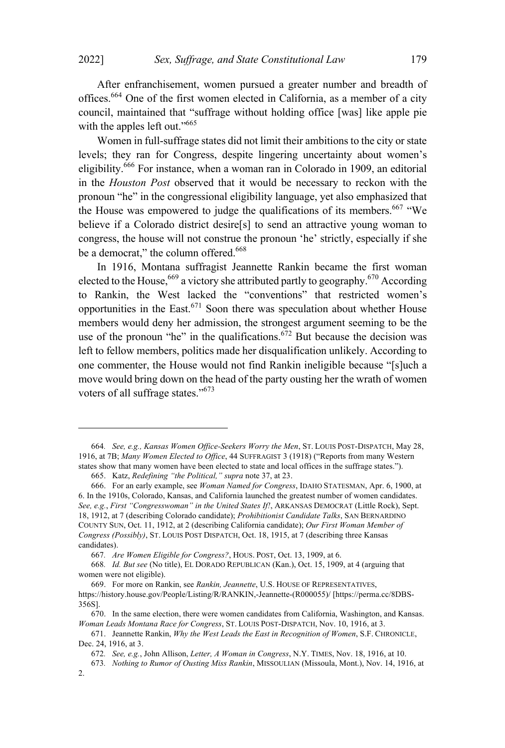After enfranchisement, women pursued a greater number and breadth of offices.<sup>664</sup> One of the first women elected in California, as a member of a city council, maintained that "suffrage without holding office [was] like apple pie with the apples left out."<sup>665</sup>

Women in full-suffrage states did not limit their ambitions to the city or state levels; they ran for Congress, despite lingering uncertainty about women's eligibility.<sup>666</sup> For instance, when <sup>a</sup> woman ran in Colorado in 1909, an editorial in the *Houston Post* observed that it would be necessary to reckon with the pronoun "he" in the congressional eligibility language, yet also emphasized that the House was empowered to judge the qualifications of its members.<sup>667</sup> "We believe if a Colorado district desire[s] to send an attractive young woman to congress, the house will not construe the pronoun 'he' strictly, especially if she be a democrat," the column offered.<sup>668</sup>

In 1916, Montana suffragist Jeannette Rankin became the first woman elected to the House,<sup>669</sup> a victory she attributed partly to geography.<sup>670</sup> According to Rankin, the West lacked the "conventions" that restricted women's opportunities in the East. <sup>671</sup> Soon there was speculation about whether House members would deny her admission, the strongest argument seeming to be the use of the pronoun "he" in the qualifications.<sup>672</sup> But because the decision was left to fellow members, politics made her disqualification unlikely. According to one commenter, the House would not find Rankin ineligible because "[s]uch a move would bring down on the head of the party ousting her the wrath of women voters of all suffrage states."<sup>673</sup>

<sup>664</sup>*. See, e.g., Kansas Women Office-Seekers Worry the Men*, ST. LOUIS POST-DISPATCH, May 28, 1916, at 7B; *Many Women Elected to Office*, 44 SUFFRAGIST 3 (1918) ("Reports from many Western states show that many women have been elected to state and local offices in the suffrage states.").

<sup>665.</sup> Katz, *Redefining "the Political," supra* note 37, at 23.

<sup>666.</sup> For an early example, see *Woman Named for Congress*, IDAHO STATESMAN, Apr. 6, 1900, at 6. In the 1910s, Colorado, Kansas, and California launched the greatest number of women candidates. *See, e.g.*, *First "Congresswoman" in the United States If!*, ARKANSAS DEMOCRAT (Little Rock), Sept. 18, 1912, at 7 (describing Colorado candidate); *Prohibitionist Candidate Talks*, SAN BERNARDINO COUNTY SUN, Oct. 11, 1912, at 2 (describing California candidate); *Our First Woman Member of Congress (Possibly)*, ST. LOUIS POST DISPATCH, Oct. 18, 1915, at 7 (describing three Kansas candidates).

<sup>667</sup>*. Are Women Eligible for Congress?*, HOUS. POST, Oct. 13, 1909, at 6.

<sup>668</sup>*. Id. But see* (No title), E<sup>L</sup> DORADO REPUBLICAN (Kan.), Oct. 15, 1909, at 4 (arguing that women were not eligible).

<sup>669.</sup> For more on Rankin, see *Rankin, Jeannette*, U.S. HOUSE OF REPRESENTATIVES, https://history.house.gov/People/Listing/R/RANKIN,-Jeannette-(R000055)/ [https://perma.cc/8DBS-356S].

<sup>670.</sup> In the same election, there were women candidates from California, Washington, and Kansas. *Woman Leads Montana Race for Congress*, ST. LOUIS POST-DISPATCH, Nov. 10, 1916, at 3.

<sup>671.</sup> Jeannette Rankin, *Why the West Leads the East in Recognition of Women*, S.F. CHRONICLE, Dec. 24, 1916, at 3.

<sup>672</sup>*. See, e.g.*, John Allison, *Letter, A Woman in Congress*, N.Y. TIMES, Nov. 18, 1916, at 10.

<sup>673</sup>*. Nothing to Rumor of Ousting Miss Rankin*, MISSOULIAN (Missoula, Mont.), Nov. 14, 1916, at

<sup>2.</sup>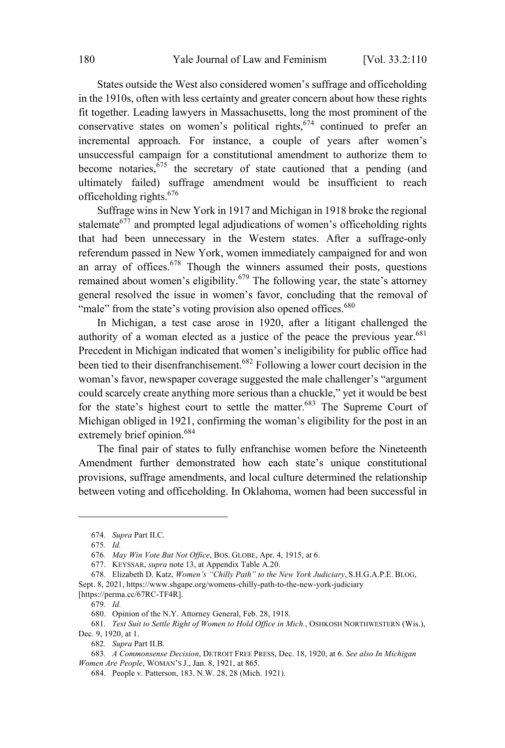States outside the West also considered women's suffrage and officeholding in the 1910s, often with less certainty and greater concern about how these rights fit together. Leading lawyers in Massachusetts, long the most prominent of the conservative states on women's political rights, $674$  continued to prefer an incremental approach. For instance, a couple of years after women's unsuccessful campaign for a constitutional amendment to authorize them to become notaries,  $675$  the secretary of state cautioned that a pending (and ultimately failed) suffrage amendment would be insufficient to reach officeholding rights.<sup>676</sup>

Suffrage wins in New York in 1917 and Michigan in 1918 broke the regional stalemate $677$  and prompted legal adjudications of women's officeholding rights that had been unnecessary in the Western states. After a suffrage-only referendum passed in New York, women immediately campaigned for and won an array of offices.<sup>678</sup> Though the winners assumed their posts, questions remained about women's eligibility.<sup>679</sup> The following year, the state's attorney general resolved the issue in women's favor, concluding that the removal of "male" from the state's voting provision also opened offices.<sup>680</sup>

In Michigan, a test case arose in 1920, after a litigant challenged the authority of a woman elected as a justice of the peace the previous year. $681$ Precedent in Michigan indicated that women's ineligibility for public office had been tied to their disenfranchisement.<sup>682</sup> Following <sup>a</sup> lower court decision in the woman's favor, newspaper coverage suggested the male challenger's "argument could scarcely create anything more serious than a chuckle," yet it would be best for the state's highest court to settle the matter.<sup>683</sup> The Supreme Court of Michigan obliged in 1921, confirming the woman's eligibility for the post in an extremely brief opinion.<sup>684</sup>

The final pair of states to fully enfranchise women before the Nineteenth Amendment further demonstrated how each state's unique constitutional provisions, suffrage amendments, and local culture determined the relationship between voting and officeholding. In Oklahoma, women had been successful in

<sup>674</sup>*. Supra* Part II.C.

<sup>675</sup>*. Id.*

<sup>676</sup>*. May Win Vote But Not Office*, BOS. GLOBE, Apr. 4, 1915, at 6.

<sup>677.</sup> KEYSSAR, *supra* note 13, at Appendix Table A.20.

<sup>678.</sup> Elizabeth D. Katz, *Women's "Chilly Path" to the New York Judiciary*, S.H.G.A.P.E. BLOG,

Sept. 8, 2021, https://www.shgape.org/womens-chilly-path-to-the-new-york-judiciary

<sup>[</sup>https://perma.cc/67RC-TF4R].

<sup>679</sup>*. Id.*

<sup>680.</sup> Opinion of the N.Y. Attorney General, Feb. 28, 1918.

<sup>681</sup>*. Test Suit to Settle Right of Women to Hold Office in Mich.*, OSHKOSH NORTHWESTERN (Wis.), Dec. 9, 1920, at 1.

<sup>682</sup>*. Supra* Part II.B.

<sup>683</sup>*. A Commonsense Decision*, DETROIT FREE PRESS, Dec. 18, 1920, at 6. *See also In Michigan Women Are People*, WOMAN'<sup>S</sup> J., Jan. 8, 1921, at 865.

<sup>684.</sup> People v. Patterson, 183. N.W. 28, 28 (Mich. 1921).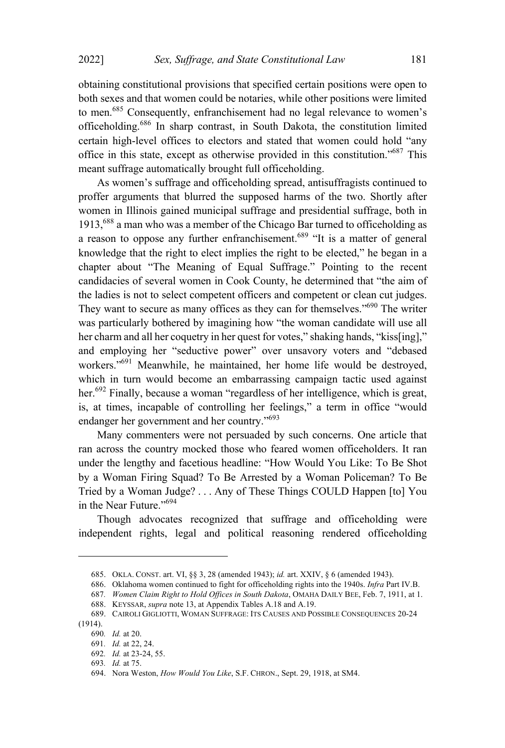obtaining constitutional provisions that specified certain positions were open to both sexes and that women could be notaries, while other positions were limited to men.<sup>685</sup> Consequently, enfranchisement had no legal relevance to women's officeholding.<sup>686</sup> In sharp contrast, in South Dakota, the constitution limited certain high-level offices to electors and stated that women could hold "any office in this state, except as otherwise provided in this constitution."<sup>687</sup> This meant suffrage automatically brought full officeholding.

As women's suffrage and officeholding spread, antisuffragists continued to proffer arguments that blurred the supposed harms of the two. Shortly after women in Illinois gained municipal suffrage and presidential suffrage, both in 1913,<sup>688</sup> <sup>a</sup> man who was <sup>a</sup> member of the Chicago Bar turned to officeholding as a reason to oppose any further enfranchisement.<sup>689</sup> "It is a matter of general knowledge that the right to elect implies the right to be elected," he began in a chapter about "The Meaning of Equal Suffrage." Pointing to the recent candidacies of several women in Cook County, he determined that "the aim of the ladies is not to select competent officers and competent or clean cut judges. They want to secure as many offices as they can for themselves."<sup>690</sup> The writer was particularly bothered by imagining how "the woman candidate will use all her charm and all her coquetry in her quest for votes," shaking hands, "kiss[ing]," and employing her "seductive power" over unsavory voters and "debased workers." <sup>691</sup> Meanwhile, he maintained, her home life would be destroyed, which in turn would become an embarrassing campaign tactic used against her.<sup>692</sup> Finally, because a woman "regardless of her intelligence, which is great, is, at times, incapable of controlling her feelings," a term in office "would endanger her government and her country."<sup>693</sup>

Many commenters were not persuaded by such concerns. One article that ran across the country mocked those who feared women officeholders. It ran under the lengthy and facetious headline: "How Would You Like: To Be Shot by a Woman Firing Squad? To Be Arrested by a Woman Policeman? To Be Tried by a Woman Judge? . . . Any of These Things COULD Happen [to] You in the Near Future."<sup>694</sup>

Though advocates recognized that suffrage and officeholding were independent rights, legal and political reasoning rendered officeholding

688. KEYSSAR, *supra* note 13, at Appendix Tables A.18 and A.19.

<sup>685.</sup> OKLA. CONST. art. VI, §§ 3, 28 (amended 1943); *id.* art. XXIV, § 6 (amended 1943).

<sup>686.</sup> Oklahoma women continued to fight for officeholding rights into the 1940s. *Infra* Part IV.B.

<sup>687</sup>*. Women Claim Right to Hold Offices in South Dakota*, OMAHA DAILY BEE, Feb. 7, 1911, at 1.

<sup>689.</sup> CAIROLI GIGLIOTTI, WOMAN SUFFRAGE: ITS CAUSES AND POSSIBLE CONSEQUENCES 20-24 (1914).

<sup>690</sup>*. Id.* at 20.

<sup>691</sup>*. Id.* at 22, 24.

<sup>692</sup>*. Id.* at 23-24, 55.

<sup>693</sup>*. Id.* at 75.

<sup>694.</sup> Nora Weston, *How Would You Like*, S.F. CHRON., Sept. 29, 1918, at SM4.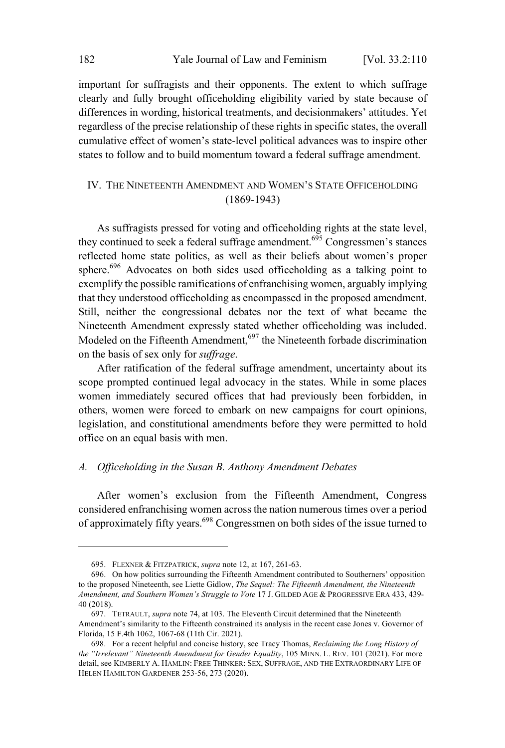important for suffragists and their opponents. The extent to which suffrage clearly and fully brought officeholding eligibility varied by state because of differences in wording, historical treatments, and decisionmakers' attitudes. Yet regardless of the precise relationship of these rights in specific states, the overall cumulative effect of women's state-level political advances was to inspire other states to follow and to build momentum toward a federal suffrage amendment.

## IV. THE NINETEENTH AMENDMENT AND WOMEN'S STATE OFFICEHOLDING (1869-1943)

As suffragists pressed for voting and officeholding rights at the state level, they continued to seek a federal suffrage amendment. <sup>695</sup> Congressmen's stances reflected home state politics, as well as their beliefs about women's proper sphere.<sup>696</sup> Advocates on both sides used officeholding as a talking point to exemplify the possible ramifications of enfranchising women, arguably implying that they understood officeholding as encompassed in the proposed amendment. Still, neither the congressional debates nor the text of what became the Nineteenth Amendment expressly stated whether officeholding was included. Modeled on the Fifteenth Amendment,  $697$  the Nineteenth forbade discrimination on the basis of sex only for *suffrage*.

After ratification of the federal suffrage amendment, uncertainty about its scope prompted continued legal advocacy in the states. While in some places women immediately secured offices that had previously been forbidden, in others, women were forced to embark on new campaigns for court opinions, legislation, and constitutional amendments before they were permitted to hold office on an equal basis with men.

## *A. Officeholding in the Susan B. Anthony Amendment Debates*

After women's exclusion from the Fifteenth Amendment, Congress considered enfranchising women across the nation numerous times over a period of approximately fifty years.<sup>698</sup> Congressmen on both sides of the issue turned to

<sup>695.</sup> FLEXNER & FITZPATRICK, *supra* note 12, at 167, 261-63.

<sup>696.</sup> On how politics surrounding the Fifteenth Amendment contributed to Southerners' opposition to the proposed Nineteenth, see Liette Gidlow, *The Sequel: The Fifteenth Amendment, the Nineteenth Amendment, and Southern Women's Struggle to Vote* 17 J. GILDED AGE & PROGRESSIVE ERA 433, 439- 40 (2018).

<sup>697.</sup> TETRAULT, *supra* note 74, at 103. The Eleventh Circuit determined that the Nineteenth Amendment's similarity to the Fifteenth constrained its analysis in the recent case Jones v. Governor of Florida, 15 F.4th 1062, 1067-68 (11th Cir. 2021).

<sup>698.</sup> For a recent helpful and concise history, see Tracy Thomas, *Reclaiming the Long History of the "Irrelevant" Nineteenth Amendment for Gender Equality*, 105 MINN. L. REV. 101 (2021). For more detail, see KIMBERLY A. HAMLIN: FREE THINKER: SEX, SUFFRAGE, AND THE EXTRAORDINARY LIFE OF HELEN HAMILTON GARDENER 253-56, 273 (2020).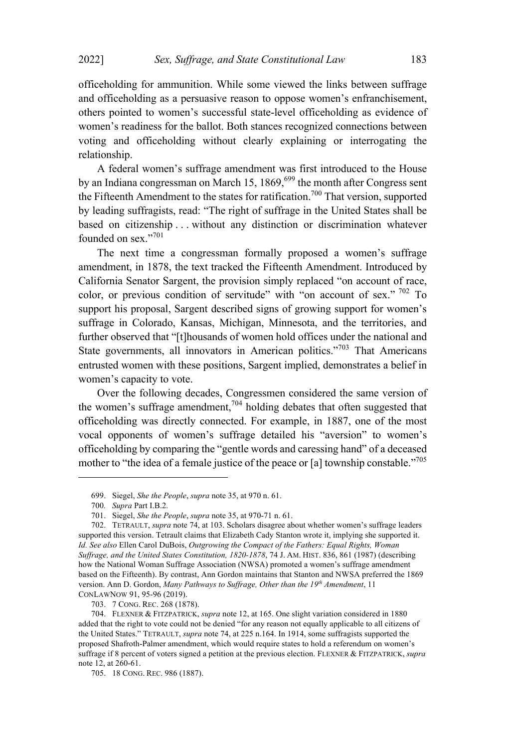officeholding for ammunition. While some viewed the links between suffrage and officeholding as a persuasive reason to oppose women's enfranchisement, others pointed to women's successful state-level officeholding as evidence of women's readiness for the ballot. Both stances recognized connections between voting and officeholding without clearly explaining or interrogating the relationship.

A federal women's suffrage amendment was first introduced to the House by an Indiana congressman on March 15,  $1869$ ,  $699$  the month after Congress sent the Fifteenth Amendment to the states for ratification. <sup>700</sup> That version, supported by leading suffragists, read: "The right of suffrage in the United States shall be based on citizenship . . . without any distinction or discrimination whatever founded on sex."<sup>701</sup>

The next time a congressman formally proposed a women's suffrage amendment, in 1878, the text tracked the Fifteenth Amendment. Introduced by California Senator Sargent, the provision simply replaced "on account of race, color, or previous condition of servitude" with "on account of sex."  $\frac{702}{10}$  To support his proposal, Sargent described signs of growing support for women's suffrage in Colorado, Kansas, Michigan, Minnesota, and the territories, and further observed that "[t]housands of women hold offices under the national and State governments, all innovators in American politics."<sup>703</sup> That Americans entrusted women with these positions, Sargent implied, demonstrates a belief in women's capacity to vote.

Over the following decades, Congressmen considered the same version of the women's suffrage amendment, <sup>704</sup> holding debates that often suggested that officeholding was directly connected. For example, in 1887, one of the most vocal opponents of women's suffrage detailed his "aversion" to women's officeholding by comparing the "gentle words and caressing hand" of a deceased mother to "the idea of a female justice of the peace or [a] township constable."<sup>705</sup>

703. 7 CONG. REC. 268 (1878).

<sup>699.</sup> Siegel, *She the People*, *supra* note 35, at 970 n. 61.

<sup>700</sup>*. Supra* Part I.B.2.

<sup>701.</sup> Siegel, *She the People*, *supra* note 35, at 970-71 n. 61.

<sup>702.</sup> TETRAULT, *supra* note 74, at 103. Scholars disagree about whether women's suffrage leaders supported this version. Tetrault claims that Elizabeth Cady Stanton wrote it, implying she supported it. *Id. See also* Ellen Carol DuBois, *Outgrowing the Compact of the Fathers: Equal Rights, Woman Suffrage, and the United States Constitution, 1820-1878*, 74 J. AM. HIST. 836, 861 (1987) (describing how the National Woman Suffrage Association (NWSA) promoted a women's suffrage amendment based on the Fifteenth). By contrast, Ann Gordon maintains that Stanton and NWSA preferred the 1869 version. Ann D. Gordon, *Many Pathways to Suffrage, Other than the 19th Amendment*, 11 CONLAWNOW 91, 95-96 (2019).

<sup>704.</sup> FLEXNER & FITZPATRICK, *supra* note 12, at 165. One slight variation considered in 1880 added that the right to vote could not be denied "for any reason not equally applicable to all citizens of the United States." TETRAULT, *supra* note 74, at 225 n.164. In 1914, some suffragists supported the proposed Shafroth-Palmer amendment, which would require states to hold a referendum on women's suffrage if 8 percent of voters signed a petition at the previous election. FLEXNER & FITZPATRICK, *supra* note 12, at 260-61.

<sup>705.</sup> 18 CONG. REC. 986 (1887).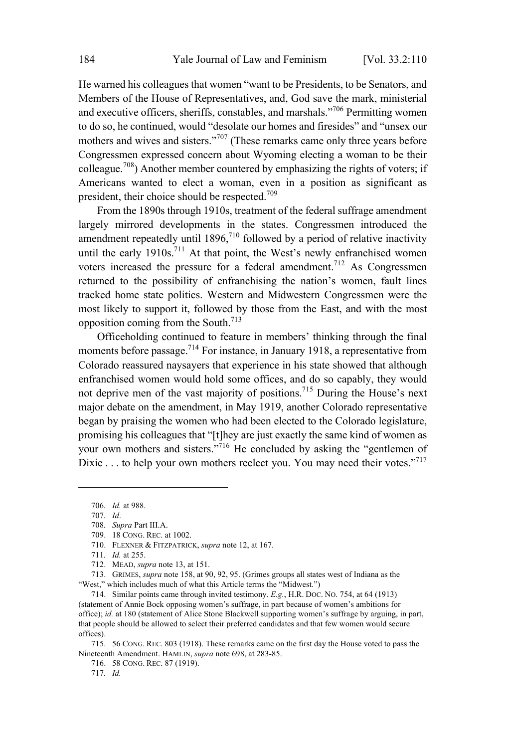He warned his colleagues that women "want to be Presidents, to be Senators, and Members of the House of Representatives, and, God save the mark, ministerial and executive officers, sheriffs, constables, and marshals."<sup>706</sup> Permitting women to do so, he continued, would "desolate our homes and firesides" and "unsex our mothers and wives and sisters."<sup>707</sup> (These remarks came only three years before Congressmen expressed concern about Wyoming electing a woman to be their colleague. <sup>708</sup>) Another member countered by emphasizing the rights of voters; if Americans wanted to elect a woman, even in a position as significant as president, their choice should be respected.<sup>709</sup>

From the 1890s through 1910s, treatment of the federal suffrage amendment largely mirrored developments in the states. Congressmen introduced the amendment repeatedly until  $1896$ ,<sup>710</sup> followed by a period of relative inactivity until the early 1910s.<sup>711</sup> At that point, the West's newly enfranchised women voters increased the pressure for a federal amendment.<sup>712</sup> As Congressmen returned to the possibility of enfranchising the nation's women, fault lines tracked home state politics. Western and Midwestern Congressmen were the most likely to support it, followed by those from the East, and with the most opposition coming from the South.<sup>713</sup>

Officeholding continued to feature in members' thinking through the final moments before passage.<sup>714</sup> For instance, in January 1918, a representative from Colorado reassured naysayers that experience in his state showed that although enfranchised women would hold some offices, and do so capably, they would not deprive men of the vast majority of positions.<sup>715</sup> During the House's next major debate on the amendment, in May 1919, another Colorado representative began by praising the women who had been elected to the Colorado legislature, promising his colleagues that "[t]hey are just exactly the same kind of women as your own mothers and sisters."<sup>716</sup> He concluded by asking the "gentlemen of Dixie . . . to help your own mothers reelect you. You may need their votes."<sup>717</sup>

709. 18 CONG. REC. at 1002.

<sup>706</sup>*. Id.* at 988.

<sup>707</sup>*. Id*.

<sup>708</sup>*. Supra* Part III.A.

<sup>710.</sup> FLEXNER & FITZPATRICK, *supra* note 12, at 167.

<sup>711</sup>*. Id.* at 255.

<sup>712.</sup> MEAD, *supra* note 13, at 151.

<sup>713.</sup> GRIMES, *supra* note 158, at 90, 92, 95. (Grimes groups all states west of Indiana as the "West," which includes much of what this Article terms the "Midwest.")

<sup>714.</sup> Similar points came through invited testimony. *E.g.*, H.R. DOC. NO. 754, at 64 (1913) (statement of Annie Bock opposing women's suffrage, in part because of women's ambitions for office); *id.* at 180 (statement of Alice Stone Blackwell supporting women's suffrage by arguing, in part, that people should be allowed to select their preferred candidates and that few women would secure offices).

<sup>715.</sup> 56 CONG. REC. 803 (1918). These remarks came on the first day the House voted to pass the Nineteenth Amendment. HAMLIN, *supra* note 698, at 283-85.

<sup>716.</sup> 58 CONG. REC. 87 (1919).

<sup>717</sup>*. Id.*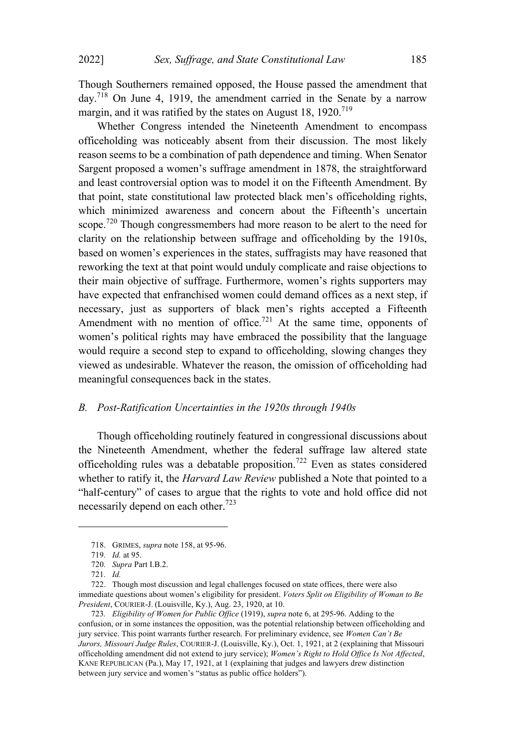Though Southerners remained opposed, the House passed the amendment that day.<sup>718</sup> On June 4, 1919, the amendment carried in the Senate by <sup>a</sup> narrow margin, and it was ratified by the states on August 18, 1920.<sup>719</sup>

Whether Congress intended the Nineteenth Amendment to encompass officeholding was noticeably absent from their discussion. The most likely reason seems to be a combination of path dependence and timing. When Senator Sargent proposed a women's suffrage amendment in 1878, the straightforward and least controversial option was to model it on the Fifteenth Amendment. By that point, state constitutional law protected black men's officeholding rights, which minimized awareness and concern about the Fifteenth's uncertain scope.<sup>720</sup> Though congressmembers had more reason to be alert to the need for clarity on the relationship between suffrage and officeholding by the 1910s, based on women's experiences in the states, suffragists may have reasoned that reworking the text at that point would unduly complicate and raise objections to their main objective of suffrage. Furthermore, women's rights supporters may have expected that enfranchised women could demand offices as a next step, if necessary, just as supporters of black men's rights accepted a Fifteenth Amendment with no mention of office.<sup>721</sup> At the same time, opponents of women's political rights may have embraced the possibility that the language would require a second step to expand to officeholding, slowing changes they viewed as undesirable. Whatever the reason, the omission of officeholding had meaningful consequences back in the states.

## *B. Post-Ratification Uncertainties in the 1920s through 1940s*

Though officeholding routinely featured in congressional discussions about the Nineteenth Amendment, whether the federal suffrage law altered state officeholding rules was a debatable proposition.<sup>722</sup> Even as states considered whether to ratify it, the *Harvard Law Review* published a Note that pointed to a "half-century" of cases to argue that the rights to vote and hold office did not necessarily depend on each other. 723

<sup>718.</sup> GRIMES, *supra* note 158, at 95-96.

<sup>719</sup>*. Id.* at 95.

<sup>720</sup>*. Supra* Part I.B.2.

<sup>721</sup>*. Id.*

<sup>722.</sup> Though most discussion and legal challenges focused on state offices, there were also immediate questions about women's eligibility for president. *Voters Split on Eligibility of Woman to Be President*, COURIER-J. (Louisville, Ky.), Aug. 23, 1920, at 10.

<sup>723</sup>*. Eligibility of Women for Public Office* (1919), *supra* note 6, at 295-96. Adding to the confusion, or in some instances the opposition, was the potential relationship between officeholding and jury service. This point warrants further research. For preliminary evidence, see *Women Can't Be Jurors, Missouri Judge Rules*, COURIER-J. (Louisville, Ky.), Oct. 1, 1921, at 2 (explaining that Missouri officeholding amendment did not extend to jury service); *Women's Right to Hold Office Is Not Affected*, KANE REPUBLICAN (Pa.), May 17, 1921, at 1 (explaining that judges and lawyers drew distinction between jury service and women's "status as public office holders").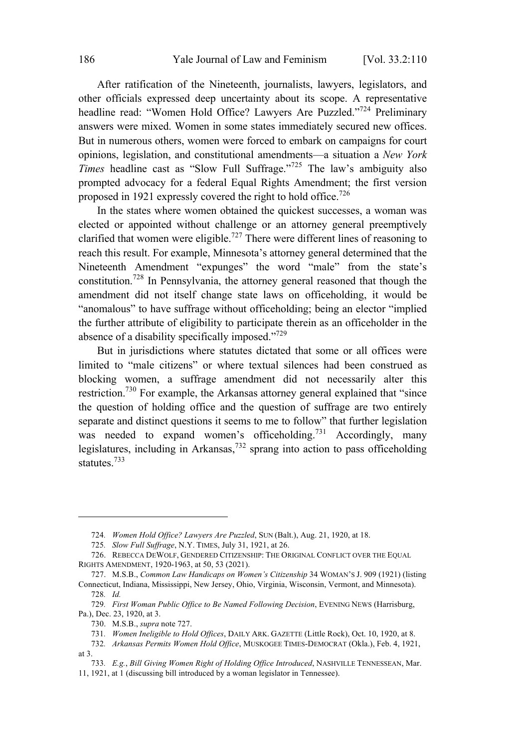After ratification of the Nineteenth, journalists, lawyers, legislators, and other officials expressed deep uncertainty about its scope. A representative headline read: "Women Hold Office? Lawyers Are Puzzled."<sup>724</sup> Preliminary answers were mixed. Women in some states immediately secured new offices. But in numerous others, women were forced to embark on campaigns for court opinions, legislation, and constitutional amendments—a situation a *New York Times* headline cast as "Slow Full Suffrage."<sup>725</sup> The law's ambiguity also prompted advocacy for a federal Equal Rights Amendment; the first version proposed in 1921 expressly covered the right to hold office.<sup>726</sup>

In the states where women obtained the quickest successes, a woman was elected or appointed without challenge or an attorney general preemptively clarified that women were eligible.<sup>727</sup> There were different lines of reasoning to reach this result. For example, Minnesota's attorney general determined that the Nineteenth Amendment "expunges" the word "male" from the state's constitution. <sup>728</sup> In Pennsylvania, the attorney general reasoned that though the amendment did not itself change state laws on officeholding, it would be "anomalous" to have suffrage without officeholding; being an elector "implied the further attribute of eligibility to participate therein as an officeholder in the absence of a disability specifically imposed."<sup>729</sup>

But in jurisdictions where statutes dictated that some or all offices were limited to "male citizens" or where textual silences had been construed as blocking women, a suffrage amendment did not necessarily alter this restriction.<sup>730</sup> For example, the Arkansas attorney general explained that "since the question of holding office and the question of suffrage are two entirely separate and distinct questions it seems to me to follow" that further legislation was needed to expand women's officeholding.<sup>731</sup> Accordingly, many legislatures, including in Arkansas, <sup>732</sup> sprang into action to pass officeholding statutes.<sup>733</sup>

<sup>724</sup>*. Women Hold Office? Lawyers Are Puzzled*, SUN (Balt.), Aug. 21, 1920, at 18.

<sup>725</sup>*. Slow Full Suffrage*, N.Y. TIMES, July 31, 1921, at 26.

<sup>726.</sup> REBECCA DEWOLF, GENDERED CITIZENSHIP: THE ORIGINAL CONFLICT OVER THE EQUAL RIGHTS AMENDMENT, 1920-1963, at 50, 53 (2021).

<sup>727.</sup> M.S.B., *Common Law Handicaps on Women's Citizenship* 34 WOMAN'<sup>S</sup> J. 909 (1921) (listing Connecticut, Indiana, Mississippi, New Jersey, Ohio, Virginia, Wisconsin, Vermont, and Minnesota). 728*. Id.*

<sup>729</sup>*. First Woman Public Office to Be Named Following Decision*, EVENING NEWS (Harrisburg, Pa.), Dec. 23, 1920, at 3.

<sup>730.</sup> M.S.B., *supra* note 727.

<sup>731</sup>*. Women Ineligible to Hold Offices*, DAILY ARK. GAZETTE (Little Rock), Oct. 10, 1920, at 8.

<sup>732</sup>*. Arkansas Permits Women Hold Office*, MUSKOGEE TIMES-DEMOCRAT (Okla.), Feb. 4, 1921, at 3.

<sup>733</sup>*. E.g.*, *Bill Giving Women Right of Holding Office Introduced*, NASHVILLE TENNESSEAN, Mar. 11, 1921, at 1 (discussing bill introduced by a woman legislator in Tennessee).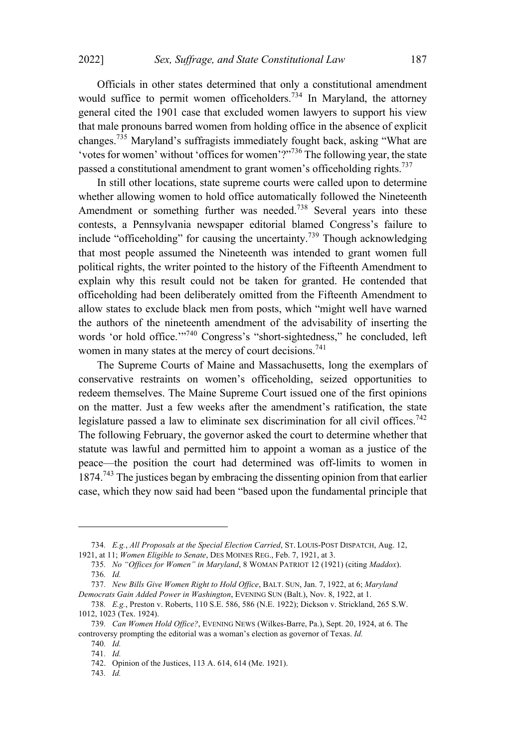Officials in other states determined that only a constitutional amendment would suffice to permit women officeholders.<sup>734</sup> In Maryland, the attorney general cited the 1901 case that excluded women lawyers to support his view that male pronouns barred women from holding office in the absence of explicit changes.<sup>735</sup> Maryland's suffragists immediately fought back, asking "What are 'votes for women' without 'offices for women'?"<sup>736</sup> The following year, the state passed a constitutional amendment to grant women's officeholding rights.<sup>737</sup>

In still other locations, state supreme courts were called upon to determine whether allowing women to hold office automatically followed the Nineteenth Amendment or something further was needed.<sup>738</sup> Several years into these contests, a Pennsylvania newspaper editorial blamed Congress's failure to include "officeholding" for causing the uncertainty. <sup>739</sup> Though acknowledging that most people assumed the Nineteenth was intended to grant women full political rights, the writer pointed to the history of the Fifteenth Amendment to explain why this result could not be taken for granted. He contended that officeholding had been deliberately omitted from the Fifteenth Amendment to allow states to exclude black men from posts, which "might well have warned the authors of the nineteenth amendment of the advisability of inserting the words 'or hold office."<sup>740</sup> Congress's "short-sightedness," he concluded, left women in many states at the mercy of court decisions.<sup>741</sup>

The Supreme Courts of Maine and Massachusetts, long the exemplars of conservative restraints on women's officeholding, seized opportunities to redeem themselves. The Maine Supreme Court issued one of the first opinions on the matter. Just a few weeks after the amendment's ratification, the state legislature passed a law to eliminate sex discrimination for all civil offices.<sup>742</sup> The following February, the governor asked the court to determine whether that statute was lawful and permitted him to appoint a woman as a justice of the peace—the position the court had determined was off-limits to women in 1874.<sup>743</sup> The justices began by embracing the dissenting opinion from that earlier case, which they now said had been "based upon the fundamental principle that

<sup>734</sup>*. E.g.*, *All Proposals at the Special Election Carried*, ST. LOUIS-POST DISPATCH, Aug. 12, 1921, at 11; *Women Eligible to Senate*, DES MOINES REG., Feb. 7, 1921, at 3.

<sup>735</sup>*. No "Offices for Women" in Maryland*, 8 WOMAN PATRIOT 12 (1921) (citing *Maddox*). 736*. Id.*

<sup>737</sup>*. New Bills Give Women Right to Hold Office*, BALT. SUN, Jan. 7, 1922, at 6; *Maryland Democrats Gain Added Power in Washington*, EVENING SUN (Balt.), Nov. 8, 1922, at 1.

<sup>738</sup>*. E.g.*, Preston v. Roberts, 110 S.E. 586, 586 (N.E. 1922); Dickson v. Strickland, 265 S.W. 1012, 1023 (Tex. 1924).

<sup>739</sup>*. Can Women Hold Office?*, EVENING NEWS (Wilkes-Barre, Pa.), Sept. 20, 1924, at 6. The controversy prompting the editorial was a woman's election as governor of Texas. *Id.*

<sup>740</sup>*. Id.*

<sup>741</sup>*. Id.*

<sup>742.</sup> Opinion of the Justices, 113 A. 614, 614 (Me. 1921).

<sup>743</sup>*. Id.*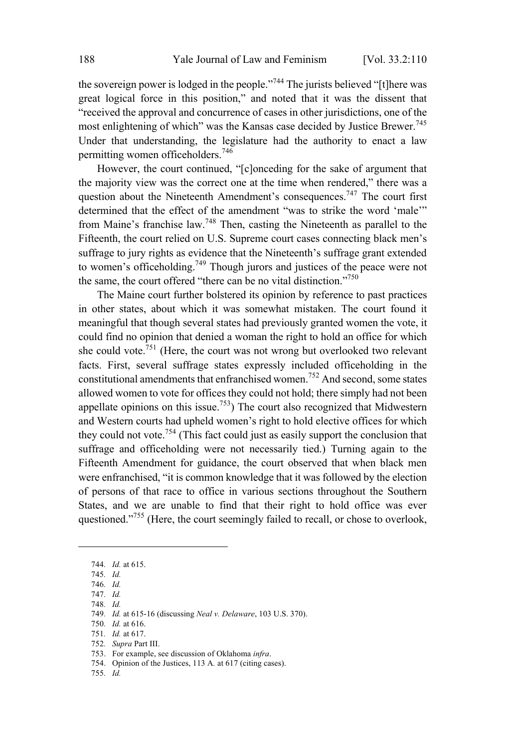the sovereign power is lodged in the people."<sup>744</sup> The jurists believed "[t]here was great logical force in this position," and noted that it was the dissent that "received the approval and concurrence of cases in other jurisdictions, one of the most enlightening of which" was the Kansas case decided by Justice Brewer. 745 Under that understanding, the legislature had the authority to enact a law permitting women officeholders.<sup>746</sup>

However, the court continued, "[c]onceding for the sake of argument that the majority view was the correct one at the time when rendered," there was a question about the Nineteenth Amendment's consequences.<sup>747</sup> The court first determined that the effect of the amendment "was to strike the word 'male'" from Maine's franchise law.<sup>748</sup> Then, casting the Nineteenth as parallel to the Fifteenth, the court relied on U.S. Supreme court cases connecting black men's suffrage to jury rights as evidence that the Nineteenth's suffrage grant extended to women's officeholding.<sup>749</sup> Though jurors and justices of the peace were not the same, the court offered "there can be no vital distinction."<sup>750</sup>

The Maine court further bolstered its opinion by reference to past practices in other states, about which it was somewhat mistaken. The court found it meaningful that though several states had previously granted women the vote, it could find no opinion that denied a woman the right to hold an office for which she could vote.<sup>751</sup> (Here, the court was not wrong but overlooked two relevant facts. First, several suffrage states expressly included officeholding in the constitutional amendments that enfranchised women.<sup>752</sup> And second, some states allowed women to vote for offices they could not hold; there simply had not been appellate opinions on this issue.<sup>753</sup>) The court also recognized that Midwestern and Western courts had upheld women's right to hold elective offices for which they could not vote. <sup>754</sup> (This fact could just as easily support the conclusion that suffrage and officeholding were not necessarily tied.) Turning again to the Fifteenth Amendment for guidance, the court observed that when black men were enfranchised, "it is common knowledge that it was followed by the election of persons of that race to office in various sections throughout the Southern States, and we are unable to find that their right to hold office was ever questioned."<sup>755</sup> (Here, the court seemingly failed to recall, or chose to overlook,

<sup>744</sup>*. Id.* at 615.

<sup>745</sup>*. Id.*

<sup>746</sup>*. Id.*

<sup>747</sup>*. Id.* 748*. Id.*

<sup>749</sup>*. Id.* at 615-16 (discussing *Neal v. Delaware*, 103 U.S. 370).

<sup>750</sup>*. Id.* at 616.

<sup>751</sup>*. Id.* at 617.

<sup>752</sup>*. Supra* Part III.

<sup>753.</sup> For example, see discussion of Oklahoma *infra*.

<sup>754.</sup> Opinion of the Justices, 113 A*.* at 617 (citing cases).

<sup>755</sup>*. Id.*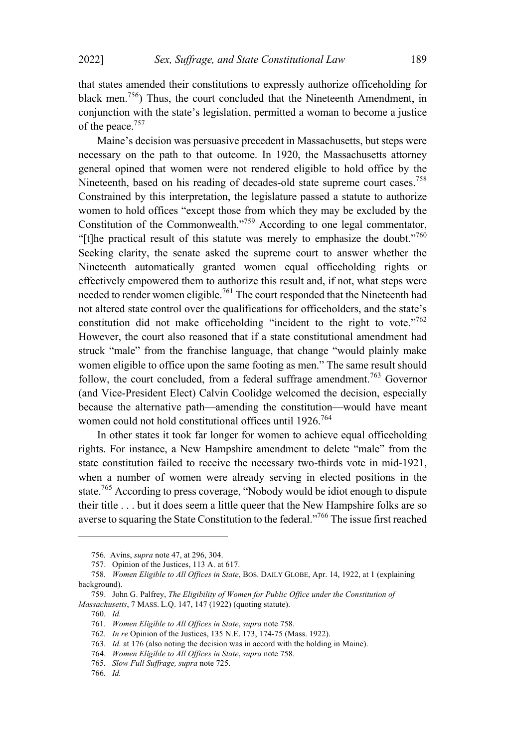that states amended their constitutions to expressly authorize officeholding for black men.<sup>756</sup>) Thus, the court concluded that the Nineteenth Amendment, in conjunction with the state's legislation, permitted a woman to become a justice of the peace. 757

Maine's decision was persuasive precedent in Massachusetts, but steps were necessary on the path to that outcome. In 1920, the Massachusetts attorney general opined that women were not rendered eligible to hold office by the Nineteenth, based on his reading of decades-old state supreme court cases.<sup>758</sup> Constrained by this interpretation, the legislature passed a statute to authorize women to hold offices "except those from which they may be excluded by the Constitution of the Commonwealth."<sup>759</sup> According to one legal commentator, "[t]he practical result of this statute was merely to emphasize the doubt."<sup>760</sup> Seeking clarity, the senate asked the supreme court to answer whether the Nineteenth automatically granted women equal officeholding rights or effectively empowered them to authorize this result and, if not, what steps were needed to render women eligible.<sup>761</sup> The court responded that the Nineteenth had not altered state control over the qualifications for officeholders, and the state's constitution did not make officeholding "incident to the right to vote."<sup>762</sup> However, the court also reasoned that if a state constitutional amendment had struck "male" from the franchise language, that change "would plainly make women eligible to office upon the same footing as men." The same result should follow, the court concluded, from a federal suffrage amendment.<sup>763</sup> Governor (and Vice-President Elect) Calvin Coolidge welcomed the decision, especially because the alternative path—amending the constitution—would have meant women could not hold constitutional offices until 1926.<sup>764</sup>

In other states it took far longer for women to achieve equal officeholding rights. For instance, a New Hampshire amendment to delete "male" from the state constitution failed to receive the necessary two-thirds vote in mid-1921, when a number of women were already serving in elected positions in the state.<sup>765</sup> According to press coverage, "Nobody would be idiot enough to dispute their title . . . but it does seem a little queer that the New Hampshire folks are so averse to squaring the State Constitution to the federal."<sup>766</sup> The issue first reached

<sup>756</sup>*.* Avins, *supra* note 47, at 296, 304.

<sup>757.</sup> Opinion of the Justices, 113 A. at 617.

<sup>758</sup>*. Women Eligible to All Offices in State*, BOS. DAILY GLOBE, Apr. 14, 1922, at 1 (explaining background).

<sup>759.</sup> John G. Palfrey, *The Eligibility of Women for Public Office under the Constitution of Massachusetts*, 7 MASS. L.Q. 147, 147 (1922) (quoting statute).

<sup>760</sup>*. Id.*

<sup>761</sup>*. Women Eligible to All Offices in State*, *supra* note 758.

<sup>762</sup>*. In re* Opinion of the Justices, 135 N.E. 173, 174-75 (Mass. 1922).

<sup>763</sup>*. Id.* at 176 (also noting the decision was in accord with the holding in Maine).

<sup>764</sup>*. Women Eligible to All Offices in State*, *supra* note 758.

<sup>765</sup>*. Slow Full Suffrage, supra* note 725.

<sup>766</sup>*. Id.*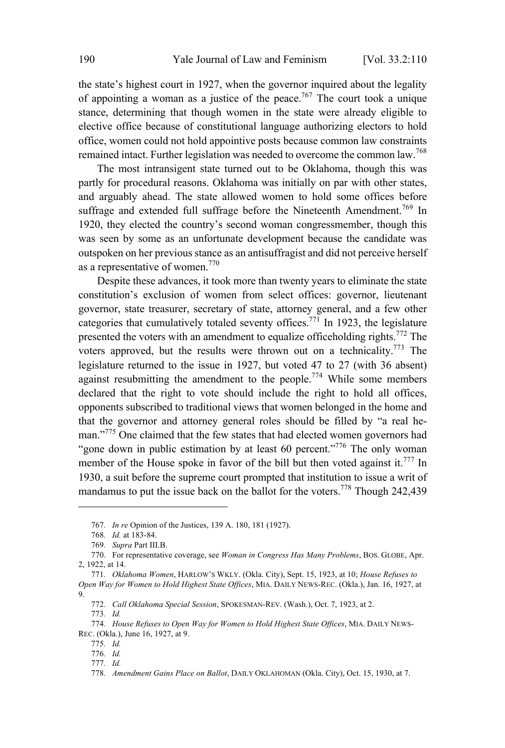the state's highest court in 1927, when the governor inquired about the legality of appointing a woman as a justice of the peace.<sup>767</sup> The court took a unique stance, determining that though women in the state were already eligible to elective office because of constitutional language authorizing electors to hold office, women could not hold appointive posts because common law constraints remained intact. Further legislation was needed to overcome the common law.<sup>768</sup>

The most intransigent state turned out to be Oklahoma, though this was partly for procedural reasons. Oklahoma was initially on par with other states, and arguably ahead. The state allowed women to hold some offices before suffrage and extended full suffrage before the Nineteenth Amendment.<sup>769</sup> In 1920, they elected the country's second woman congressmember, though this was seen by some as an unfortunate development because the candidate was outspoken on her previous stance as an antisuffragist and did not perceive herself as a representative of women.<sup>770</sup>

Despite these advances, it took more than twenty years to eliminate the state constitution's exclusion of women from select offices: governor, lieutenant governor, state treasurer, secretary of state, attorney general, and a few other categories that cumulatively totaled seventy offices.<sup>771</sup> In 1923, the legislature presented the voters with an amendment to equalize officeholding rights.<sup>772</sup> The voters approved, but the results were thrown out on a technicality.<sup>773</sup> The legislature returned to the issue in 1927, but voted 47 to 27 (with 36 absent) against resubmitting the amendment to the people.<sup>774</sup> While some members declared that the right to vote should include the right to hold all offices, opponents subscribed to traditional views that women belonged in the home and that the governor and attorney general roles should be filled by "a real heman."<sup>775</sup> One claimed that the few states that had elected women governors had "gone down in public estimation by at least 60 percent."<sup>776</sup> The only woman member of the House spoke in favor of the bill but then voted against it.<sup>777</sup> In 1930, a suit before the supreme court prompted that institution to issue a writ of mandamus to put the issue back on the ballot for the voters.<sup>778</sup> Though 242,439

<sup>767</sup>*. In re* Opinion of the Justices, 139 A. 180, 181 (1927).

<sup>768</sup>*. Id.* at 183-84.

<sup>769</sup>*. Supra* Part III.B.

<sup>770.</sup> For representative coverage, see *Woman in Congress Has Many Problems*, BOS. GLOBE, Apr. 2, 1922, at 14.

<sup>771</sup>*. Oklahoma Women*, HARLOW'<sup>S</sup> WKLY. (Okla. City), Sept. 15, 1923, at 10; *House Refuses to Open Way for Women to Hold Highest State Offices*, MIA. DAILY NEWS-REC. (Okla.), Jan. 16, 1927, at  $Q_{\text{}}$ 

<sup>772</sup>*. Call Oklahoma Special Session*, SPOKESMAN-REV. (Wash.), Oct. 7, 1923, at 2.

<sup>773</sup>*. Id.*

<sup>774</sup>*. House Refuses to Open Way for Women to Hold Highest State Offices*, MIA. DAILY NEWS-REC. (Okla.), June 16, 1927, at 9.

<sup>775</sup>*. Id.*

<sup>776</sup>*. Id.*

<sup>777</sup>*. Id.*

<sup>778</sup>*. Amendment Gains Place on Ballot*, DAILY OKLAHOMAN (Okla. City), Oct. 15, 1930, at 7.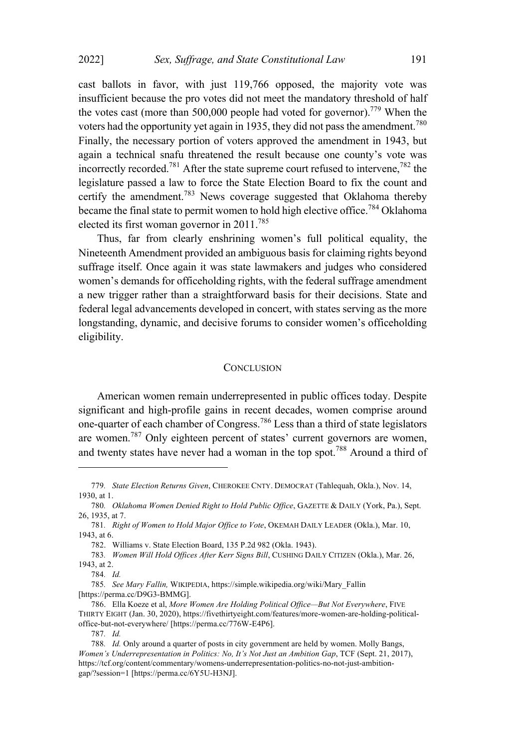cast ballots in favor, with just 119,766 opposed, the majority vote was insufficient because the pro votes did not meet the mandatory threshold of half the votes cast (more than 500,000 people had voted for governor).<sup>779</sup> When the voters had the opportunity vet again in 1935, they did not pass the amendment.<sup>780</sup> Finally, the necessary portion of voters approved the amendment in 1943, but again a technical snafu threatened the result because one county's vote was incorrectly recorded.<sup>781</sup> After the state supreme court refused to intervene.<sup>782</sup> the legislature passed a law to force the State Election Board to fix the count and certify the amendment.<sup>783</sup> News coverage suggested that Oklahoma thereby became the final state to permit women to hold high elective office.<sup>784</sup> Oklahoma elected its first woman governor in 2011. 785

Thus, far from clearly enshrining women's full political equality, the Nineteenth Amendment provided an ambiguous basis for claiming rights beyond suffrage itself. Once again it was state lawmakers and judges who considered women's demands for officeholding rights, with the federal suffrage amendment a new trigger rather than a straightforward basis for their decisions. State and federal legal advancements developed in concert, with states serving as the more longstanding, dynamic, and decisive forums to consider women's officeholding eligibility.

## **CONCLUSION**

American women remain underrepresented in public offices today. Despite significant and high-profile gains in recent decades, women comprise around one-quarter of each chamber of Congress. <sup>786</sup> Less than a third of state legislators are women.<sup>787</sup> Only eighteen percent of states' current governors are women, and twenty states have never had a woman in the top spot.<sup>788</sup> Around a third of

<sup>779</sup>*. State Election Returns Given*, CHEROKEE CNTY. DEMOCRAT (Tahlequah, Okla.), Nov. 14, 1930, at 1.

<sup>780</sup>*. Oklahoma Women Denied Right to Hold Public Office*, GAZETTE & DAILY (York, Pa.), Sept. 26, 1935, at 7.

<sup>781</sup>*. Right of Women to Hold Major Office to Vote*, OKEMAH DAILY LEADER (Okla.), Mar. 10, 1943, at 6.

<sup>782.</sup> Williams v. State Election Board, 135 P.2d 982 (Okla. 1943).

<sup>783</sup>*. Women Will Hold Offices After Kerr Signs Bill*, CUSHING DAILY CITIZEN (Okla.), Mar. 26, 1943, at 2.

<sup>784</sup>*. Id.*

<sup>785</sup>*. See Mary Fallin,* WIKIPEDIA, https://simple.wikipedia.org/wiki/Mary\_Fallin [https://perma.cc/D9G3-BMMG].

<sup>786.</sup> Ella Koeze et al, *More Women Are Holding Political Office—But Not Everywhere*, FIVE THIRTY EIGHT (Jan. 30, 2020), https://fivethirtyeight.com/features/more-women-are-holding-politicaloffice-but-not-everywhere/ [https://perma.cc/776W-E4P6].

<sup>787</sup>*. Id.*

<sup>788</sup>*. Id.* Only around a quarter of posts in city government are held by women. Molly Bangs, *Women's Underrepresentation in Politics: No, It's Not Just an Ambition Gap*, TCF (Sept. 21, 2017), https://tcf.org/content/commentary/womens-underrepresentation-politics-no-not-just-ambitiongap/?session=1 [https://perma.cc/6Y5U-H3NJ].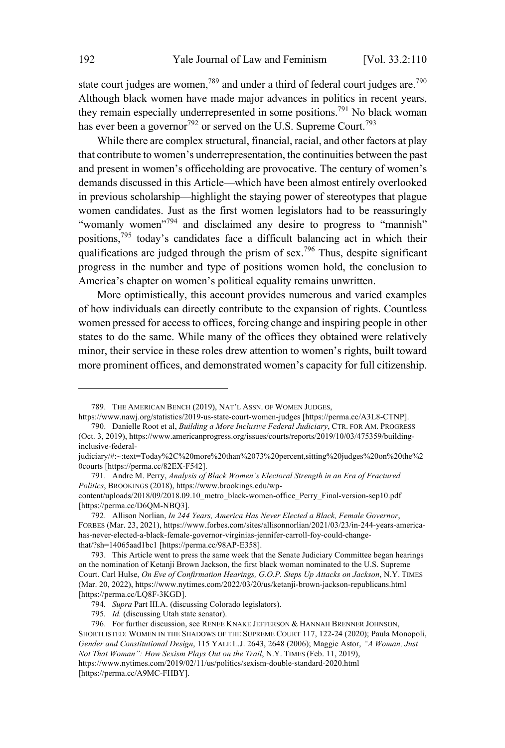state court judges are women,<sup>789</sup> and under a third of federal court judges are.<sup>790</sup> Although black women have made major advances in politics in recent years, they remain especially underrepresented in some positions.<sup>791</sup> No black woman has ever been a governor<sup>792</sup> or served on the U.S. Supreme Court.<sup>793</sup>

While there are complex structural, financial, racial, and other factors at play that contribute to women's underrepresentation, the continuities between the past and present in women's officeholding are provocative. The century of women's demands discussed in this Article—which have been almost entirely overlooked in previous scholarship—highlight the staying power of stereotypes that plague women candidates. Just as the first women legislators had to be reassuringly "womanly women"<sup>794</sup> and disclaimed any desire to progress to "mannish" positions,<sup>795</sup> today's candidates face <sup>a</sup> difficult balancing act in which their qualifications are judged through the prism of sex.<sup>796</sup> Thus, despite significant progress in the number and type of positions women hold, the conclusion to America's chapter on women's political equality remains unwritten.

More optimistically, this account provides numerous and varied examples of how individuals can directly contribute to the expansion of rights. Countless women pressed for access to offices, forcing change and inspiring people in other states to do the same. While many of the offices they obtained were relatively minor, their service in these roles drew attention to women's rights, built toward more prominent offices, and demonstrated women's capacity for full citizenship.

<sup>789.</sup> THE AMERICAN BENCH (2019), NAT'L ASSN. OF WOMEN JUDGES,

https://www.nawj.org/statistics/2019-us-state-court-women-judges [https://perma.cc/A3L8-CTNP]. 790. Danielle Root et al, *Building a More Inclusive Federal Judiciary*, CTR. FOR AM. PROGRESS

<sup>(</sup>Oct. 3, 2019), https://www.americanprogress.org/issues/courts/reports/2019/10/03/475359/buildinginclusive-federal-

judiciary/#:~:text=Today%2C%20more%20than%2073%20percent,sitting%20judges%20on%20the%2 0courts [https://perma.cc/82EX-F542].

<sup>791.</sup> Andre M. Perry, *Analysis of Black Women's Electoral Strength in an Era of Fractured Politics*, BROOKINGS (2018), https://www.brookings.edu/wp-

content/uploads/2018/09/2018.09.10\_metro\_black-women-office\_Perry\_Final-version-sep10.pdf [https://perma.cc/D6QM-NBQ3].

<sup>792.</sup> Allison Norlian, *In 244 Years, America Has Never Elected a Black, Female Governor*, FORBES (Mar. 23, 2021), https://www.forbes.com/sites/allisonnorlian/2021/03/23/in-244-years-americahas-never-elected-a-black-female-governor-virginias-jennifer-carroll-foy-could-changethat/?sh=14065aad1bc1 [https://perma.cc/98AP-E358].

<sup>793.</sup> This Article went to press the same week that the Senate Judiciary Committee began hearings on the nomination of Ketanji Brown Jackson, the first black woman nominated to the U.S. Supreme Court. Carl Hulse, *On Eve of Confirmation Hearings, G.O.P. Steps Up Attacks on Jackson*, N.Y. TIMES (Mar. 20, 2022), https://www.nytimes.com/2022/03/20/us/ketanji-brown-jackson-republicans.html [https://perma.cc/LQ8F-3KGD].

<sup>794</sup>*. Supra* Part III.A. (discussing Colorado legislators).

<sup>795</sup>*. Id.* (discussing Utah state senator).

<sup>796.</sup> For further discussion, see RENEE KNAKE JEFFERSON & HANNAH BRENNER JOHNSON, SHORTLISTED: WOMEN IN THE SHADOWS OF THE SUPREME COURT 117, 122-24 (2020); Paula Monopoli, *Gender and Constitutional Design*, 115 YALE L.J. 2643, 2648 (2006); Maggie Astor, *"A Woman, Just Not That Woman": How Sexism Plays Out on the Trail*, N.Y. TIMES (Feb. 11, 2019), https://www.nytimes.com/2019/02/11/us/politics/sexism-double-standard-2020.html [https://perma.cc/A9MC-FHBY].